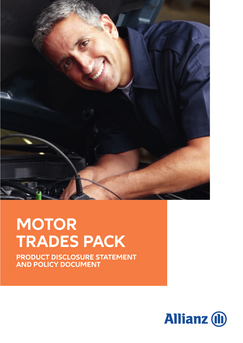

# **MOTOR TRADES PACK**

**PRODUCT DISCLOSURE STATEMENT AND POLICY DOCUMENT**

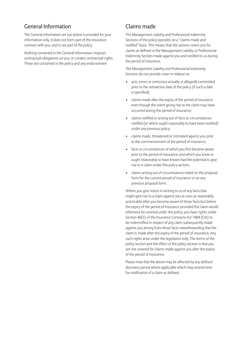## General Information

The General Information set out below is provided for your information only. It does not form part of the insurance contract with you, and is not part of the policy.

Nothing contained in the General Information imposes contractual obligations on you, or creates contractual rights. These are contained in the policy and any endorsement

## Claims made

The Management Liability and Professional Indemnity Sections of the policy operates on a "claims made and notified" basis. This means that the section covers you for claims as defined in the Management Liability or Professional Indemnity Section made against you and notified to us during the period of insurance.

The Management Liability and Professional Indemnity Sections do not provide cover in relation to:

- acts, errors or omissions actually or allegedly committed prior to the retroactive date of the policy (if such a date is specified);
- claims made after the expiry of the period of insurance even though the event giving rise to the claim may have occurred during the period of insurance;
- claims notified or arising out of facts or circumstances notified (or which ought reasonably to have been notified) under any previous policy;
- claims made, threatened or intimated against you prior to the commencement of the period of insurance;
- facts or circumstances of which you first became aware prior to the period of insurance, and which you knew or ought reasonably to have known had the potential to give rise to a claim under this policy section;
- claims arising out of circumstances noted on the proposal form for the current period of insurance or on any previous proposal form.

Where you give notice in writing to us of any facts that might give rise to a claim against you as soon as reasonably practicable after you become aware of those facts but before the expiry of the period of insurance provided the claim would otherwise be covered under the policy, you have rights under Section 40(3) of the Insurance Contracts Act 1984 (Cth) to be indemnified in respect of any claim subsequently made against you arising from those facts notwithstanding that the claim is made after the expiry of the period of insurance. Any such rights arise under the legislation only. The terms of the policy section and the effect of the policy section is that you are not covered for claims made against you after the expiry of the period of insurance.

Please note that the above may be affected by any defined discovery period where applicable which may extend time for notification of a claim as defined.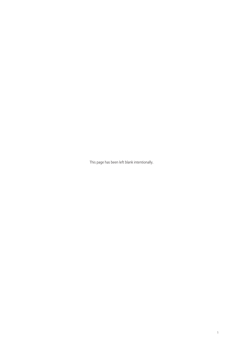This page has been left blank intentionally.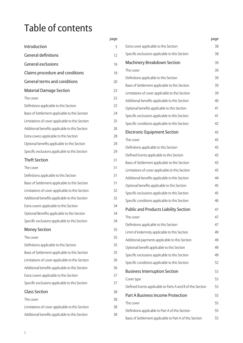## Table of contents

| Introduction                                    | 5  |
|-------------------------------------------------|----|
| <b>General definitions</b>                      | 12 |
| <b>General exclusions</b>                       | 16 |
| Claims procedure and conditions                 | 18 |
| <b>General terms and conditions</b>             | 20 |
| <b>Material Damage Section</b>                  | 23 |
| The cover                                       | 23 |
| Definitions applicable to this Section          | 23 |
| Basis of Settlement applicable to this Section  | 24 |
| Limitations of cover applicable to this Section | 25 |
| Additional benefits applicable to this Section  | 26 |
| Extra covers applicable to this Section         | 28 |
| Optional benefits applicable to this Section    | 29 |
| Specific exclusions applicable to this Section  | 29 |
| <b>Theft Section</b>                            | 31 |
| The cover                                       | 31 |
| Definitions applicable to this Section          | 31 |
| Basis of Settlement applicable to this Section  | 31 |
| Limitations of cover applicable to this Section | 32 |
| Additional benefits applicable to this Section  | 32 |
| Extra covers applicable to this Section         | 34 |
| Optional Benefits applicable to this Section    | 34 |
| Specific exclusions applicable to this Section  | 34 |
| <b>Money Section</b>                            | 35 |
| The cover                                       | 35 |
| Definitions applicable to this Section          | 35 |
| Basis of Settlement applicable to this Section  | 35 |
| Limitations of cover applicable to this Section | 36 |
| Additional benefits applicable to this Section  | 36 |
| Extra covers applicable to this Section         | 37 |
| Specific exclusions applicable to this Section  | 37 |
| <b>Glass Section</b>                            | 38 |
| The cover                                       | 38 |
| Limitations of cover applicable to this Section | 38 |
| Additional benefits applicable to this Section  | 38 |

| page |                                                            | page |
|------|------------------------------------------------------------|------|
| 5    | Extra cover applicable to this Section                     | 38   |
| 12   | Specific exclusions applicable to this Section             | 38   |
| 16   | <b>Machinery Breakdown Section</b>                         | 39   |
| 18   | The cover                                                  | 39   |
| 20   | Definitions applicable to this Section                     | 39   |
|      | Basis of Settlement applicable to this Section             | 39   |
| 23   | Limitations of cover applicable to this Section            | 39   |
| 23   | Additional benefits applicable to this Section             | 40   |
| 23   | Optional benefits applicable to this Section               | 41   |
| 24   | Specific exclusions applicable to this Section             | 41   |
| 25   | Specific conditions applicable to this Section             | 42   |
| 26   | <b>Electronic Equipment Section</b>                        | 43   |
| 28   | The cover                                                  | 43   |
| 29   | Definitions applicable to this Section                     | 43   |
| 29   | Defined Events applicable to this Section                  | 43   |
| 31   | Basis of Settlement applicable to this Section             | 43   |
| 31   | Limitations of cover applicable to this Section            | 43   |
| 31   | Additional benefits applicable to this Section             | 44   |
| 31   | Optional benefits applicable to this Section               | 45   |
| 32   | Specific exclusions applicable to this Section             | 45   |
| 32   | Specific conditions applicable to this Section             | 46   |
| 34   | <b>Public and Products Liability Section</b>               | 47   |
| 34   | The cover                                                  | 47   |
| 34   | Definitions applicable to this Section                     | 47   |
| 35   | Limit of Indemnity applicable to this Section              | 49   |
| 35   | Additional payments applicable to this Section             | 49   |
| 35   | Optional benefit applicable to this Section                | 49   |
| 35   | Specific exclusions applicable to this Section             | 49   |
| 36   | Specific conditions applicable to this Section             | 52   |
| 36   | <b>Business Interruption Section</b>                       | 53   |
| 37   | Cover type                                                 | 53   |
| 37   | Defined Events applicable to Parts A and B of this Section | 53   |
| 38   | <b>Part A Business Income Protection</b>                   | 55   |
| 38   | The cover                                                  | 55   |
| 38   | Definitions applicable to Part A of this Section           | 55   |
| 38   | Basis of Settlement applicable to Part A of this Section   | 55   |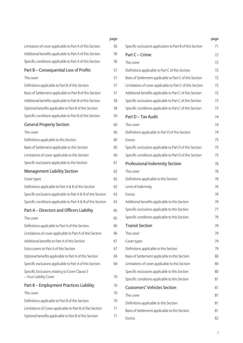|                                                                          | hañc |
|--------------------------------------------------------------------------|------|
| Limitation of cover applicable to Part A of this Section                 | 56   |
| Additional benefits applicable to Part A of this Section                 | 56   |
| Specific conditions applicable to Part A of this Section                 | 56   |
| Part B - Consequential Loss of Profits                                   | 57   |
| The cover                                                                | 57   |
| Definitions applicable to Part B of this Section                         | 57   |
| Basis of Settlement applicable to Part B of this Section                 | 57   |
| Additional benefits applicable to Part B of this Section                 | 58   |
| Optional benefits applicable to Part B of this Section                   | 58   |
| Specific conditions applicable to Part B of this Section                 | 59   |
| <b>General Property Section</b>                                          | 60   |
| The cover                                                                | 60   |
| Definitions applicable to this Section                                   | 60   |
| Basis of Settlement applicable to this Section                           | 60   |
| Limitations of cover applicable to this Section                          | 60   |
| Specific exclusions applicable to this Section                           | 61   |
| <b>Management Liability Section</b>                                      | 62   |
| Cover types                                                              | 62   |
| Definitions applicable to Part A & B of this Section                     | 62   |
| Specific exclusions applicable to Part A & B of this Section             | 63   |
| Specific conditions applicable to Part A & B of this Section             | 63   |
| Part A - Directors and Officers Liability                                | 65   |
| The cover                                                                | 65   |
| Definitions applicable to Part A of this Section                         | 66   |
| Limitations of cover applicable to Part A of this Section                | 66   |
| Additional benefits to Part A of this Section                            | 67   |
| Extra covers to Part A of this Section                                   | 67   |
| Optional benefits applicable to Part A of this Section                   | 69   |
| Specific exclusions applicable to Part A of this Section                 | 69   |
| Specific Exclusions relating to Cover Clause 3<br>- Your Liability Cover | 70   |
| Part B – Employment Practices Liability                                  | 70   |
| The cover                                                                | 70   |
| Definitions applicable to Part B of this Section                         | 70   |
| Limitations of Cover applicable to Part B of this Section                | 71   |
| Optional benefits applicable to Part B of this Section                   | 71   |
|                                                                          |      |

| page |                                                           | page |
|------|-----------------------------------------------------------|------|
| 56   | Specific exclusions application to Part B of this Section | 71   |
| 56   | Part C - Crime                                            | 72   |
| 56   | The cover                                                 | 72   |
| 57   | Definitions applicable to Part C of this Section          | 72   |
| 57   | Basis of Settlement applicable to Part C of this Section  | 72   |
| 57   | Limitations of cover applicable to Part C of this Section | 72   |
| 57   | Additional benefits applicable to Part C of this Section  | 72   |
| 58   | Specific exclusions applicable to Part C of this Section  | 73   |
| 58   | Specific conditions applicable to Part C of this Section  | 73   |
| 59   | Part D - Tax Audit                                        | 74   |
| 60   | The cover                                                 | 74   |
| 60   | Definitions applicable to Part D of this Section          | 74   |
| 60   | <b>Excess</b>                                             | 75   |
| 60   | Specific exclusions applicable to Part D of this Section  | 75   |
| 60   | Specific conditions applicable to Part D of this Section  | 75   |
| 61   | <b>Professional Indemnity Section</b>                     | 76   |
| 62   | The cover                                                 | 76   |
| 62   | Definitions applicable to this Section                    | 76   |
| 62   | Limit of Indemnity                                        | 76   |
| 63   | <b>Excess</b>                                             | 76   |
| 63   | Additional benefits applicable to this Section            | 76   |
| 65   | Specific exclusions applicable to this Section            | 77   |
| 65   | Specific conditions applicable to this Section            | 78   |
| 66   | <b>Transit Section</b>                                    | 79   |
| 66   | The cover                                                 | 79   |
| 67   | Cover types                                               | 79   |
| 67   | Definitions applicable to this Section                    | 79   |
| 69   | Basis of Settlement applicable to this Section            | 80   |
| 69   | Limitations of cover applicable to this Section           | 80   |
|      | Specific exclusions applicable to this Section            | 80   |
| 70   | Specific conditions applicable to this Section            | 81   |
| 70   | <b>Customers' Vehicles Section</b>                        | 81   |
| 70   | The cover                                                 | 81   |
| 70   | Definitions applicable to this Section                    | 81   |
| 71   | Basis of Settlement applicable to this Section            | 81   |
| 71   | <b>Excess</b>                                             | 82   |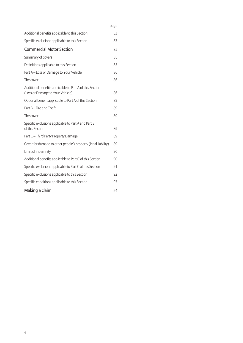|                                                                                              | page |  |
|----------------------------------------------------------------------------------------------|------|--|
| Additional benefits applicable to this Section                                               | 83   |  |
| Specific exclusions applicable to this Section                                               | 83   |  |
| <b>Commercial Motor Section</b>                                                              | 85   |  |
| Summary of covers                                                                            | 85   |  |
| Definitions applicable to this Section                                                       | 85   |  |
| Part A - Loss or Damage to Your Vehicle                                                      | 86   |  |
| The cover                                                                                    | 86   |  |
| Additional benefits applicable to Part A of this Section<br>(Loss or Damage to Your Vehicle) | 86   |  |
| Optional benefit applicable to Part A of this Section                                        | 89   |  |
| Part B - Fire and Theft                                                                      | 89   |  |
| The cover                                                                                    | 89   |  |
| Specific exclusions applicable to Part A and Part B<br>of this Section                       | 89   |  |
| Part C - Third Party Property Damage                                                         | 89   |  |
| Cover for damage to other people's property (legal liability)                                | 89   |  |
| Limit of indemnity                                                                           | 90   |  |
| Additional benefits applicable to Part C of this Section                                     | 90   |  |
| Specific exclusions applicable to Part C of this Section                                     | 91   |  |
| Specific exclusions applicable to this Section                                               | 92   |  |
| Specific conditions applicable to this Section                                               | 93   |  |
| Making a claim                                                                               | 94   |  |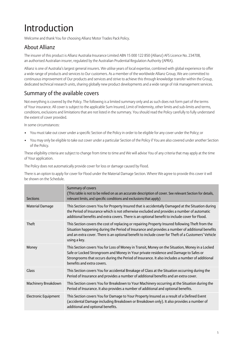## Introduction

Welcome and thank You for choosing Allianz Motor Trades Pack Policy.

## About Allianz

The insurer of this product is Allianz Australia Insurance Limited ABN 15 000 122 850 (Allianz) AFS Licence No. 234708, an authorised Australian insurer, regulated by the Australian Prudential Regulation Authority (APRA).

Allianz is one of Australia's largest general insurers. We utilise years of local expertise, combined with global experience to offer a wide range of products and services to Our customers. As a member of the worldwide Allianz Group, We are committed to continuous improvement of Our products and services and strive to achieve this through knowledge transfer within the Group, dedicated technical research units, sharing globally new product developments and a wide range of risk management services.

## Summary of the available covers

Not everything is covered by the Policy. The following is a limited summary only and as such does not form part of the terms of Your insurance. All cover is subject to the applicable Sum Insured, Limit of Indemnity, other limits and sub-limits and terms, conditions, exclusions and limitations that are not listed in the summary. You should read the Policy carefully to fully understand the extent of cover provided.

In some circumstances:

- You must take out cover under a specific Section of the Policy in order to be eligible for any cover under the Policy; or
- You may only be eligible to take out cover under a particular Section of the Policy if You are also covered under another Section of the Policy.

These eligibility criteria are subject to change from time to time and We will advise You of any criteria that may apply at the time of Your application.

The Policy does not automatically provide cover for loss or damage caused by Flood.

There is an option to apply for cover for Flood under the Material Damage Section. Where We agree to provide this cover it will be shown on the Schedule.

| <b>Sections</b>             | Summary of covers<br>(This table is not to be relied on as an accurate description of cover. See relevant Section for details,<br>relevant limits, and specific conditions and exclusions that apply)                                                                                                                      |
|-----------------------------|----------------------------------------------------------------------------------------------------------------------------------------------------------------------------------------------------------------------------------------------------------------------------------------------------------------------------|
| <b>Material Damage</b>      | This Section covers You for Property Insured that is accidentally Damaged at the Situation during<br>the Period of Insurance which is not otherwise excluded and provides a number of automatic<br>additional benefits and extra covers. There is an optional benefit to include cover for Flood.                          |
| Theft                       | This Section covers the cost of replacing or repairing Property Insured following Theft from the<br>Situation happening during the Period of Insurance and provides a number of additional benefits<br>and an extra cover. There is an optional benefit to include cover for Theft of a Customers' Vehicle<br>using a key. |
| Money                       | This Section covers You for Loss of Money in Transit, Money on the Situation, Money in a Locked<br>Safe or Locked Strongroom and Money in Your private residence and Damage to Safes or<br>Strongrooms that occurs during the Period of Insurance. It also includes a number of additional<br>benefits and extra covers.   |
| <b>Glass</b>                | This Section covers You for accidental Breakage of Glass at the Situation occurring during the<br>Period of Insurance and provides a number of additional benefits and an extra cover.                                                                                                                                     |
| Machinery Breakdown         | This Section covers You for Breakdown to Your Machinery occurring at the Situation during the<br>Period of Insurance. It also provides a number of additional and optional benefits.                                                                                                                                       |
| <b>Electronic Equipment</b> | This Section covers You for Damage to Your Property Insured as a result of a Defined Event<br>(accidental Damage including Breakdown or Breakdown only). It also provides a number of<br>additional and optional benefits.                                                                                                 |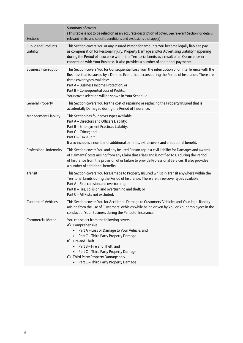| <b>Sections</b>                         | Summary of covers<br>(This table is not to be relied on as an accurate description of cover. See relevant Section for details,<br>relevant limits, and specific conditions and exclusions that apply)                                                                                                                                                                                |
|-----------------------------------------|--------------------------------------------------------------------------------------------------------------------------------------------------------------------------------------------------------------------------------------------------------------------------------------------------------------------------------------------------------------------------------------|
| <b>Public and Products</b><br>Liability | This Section covers You or any Insured Person for amounts You become legally liable to pay<br>as compensation for Personal Injury, Property Damage and/or Advertising Liability happening<br>during the Period of Insurance within the Territorial Limits as a result of an Occurrence in<br>connection with Your Business. It also provides a number of additional payments.        |
| <b>Business Interruption</b>            | This Section covers You for Consequential Loss from the interruption of or interference with the<br>Business that is caused by a Defined Event that occurs during the Period of Insurance. There are<br>three cover types available:<br>Part A - Business Income Protection; or<br>Part B - Consequential Loss of Profits; .<br>Your cover selection will be shown in Your Schedule. |
| <b>General Property</b>                 | This Section covers You for the cost of repairing or replacing the Property Insured that is<br>accidentally Damaged during the Period of Insurance.                                                                                                                                                                                                                                  |
| <b>Management Liability</b>             | This Section has four cover types available:<br>Part A - Directors and Officers Liability;<br>Part B - Employment Practices Liability;<br>Part C - Crime; and<br>Part D - Tax Audit.<br>It also includes a number of additional benefits, extra covers and an optional benefit.                                                                                                      |
| <b>Professional Indemnity</b>           | This Section covers You and any Insured Person against civil liability for Damages and awards<br>of claimants' costs arising from any Claim that arises and is notified to Us during the Period<br>of Insurance from the provision of or failure to provide Professional Services. It also provides<br>a number of additional benefits.                                              |
| Transit                                 | This Section covers You for Damage to Property Insured whilst in Transit anywhere within the<br>Territorial Limits during the Period of Insurance. There are three cover types available:<br>Part A - Fire, collision and overturning;<br>Part B - Fire, collision and overturning and theft; or<br>Part C - All Risks not excluded.                                                 |
| <b>Customers' Vehicles</b>              | This Section covers You for Accidental Damage to Customers' Vehicles and Your legal liability<br>arising from the use of Customers' Vehicles while being driven by You or Your employees in the<br>conduct of Your Business during the Period of Insurance.                                                                                                                          |
| <b>Commercial Motor</b>                 | You can select from the following covers:<br>A) Comprehensive<br>Part A - Loss or Damage to Your Vehicle; and<br>$\bullet$<br>Part C - Third Party Property Damage<br>$\bullet$<br>B) Fire and Theft<br>Part B - Fire and Theft; and<br>Part C - Third Party Property Damage<br>C) Third Party Property Damage only<br>Part C - Third Party Property Damage                          |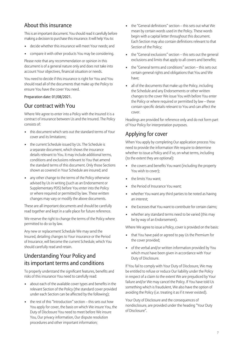## About this insurance

This is an important document. You should read it carefully before making a decision to purchase this insurance. It will help You to:

- decide whether this insurance will meet Your needs; and
- compare it with other products You may be considering.

Please note that any recommendation or opinion in this document is of a general nature only and does not take into account Your objectives, financial situation or needs.

You need to decide if this insurance is right for You and You should read all of the documents that make up the Policy to ensure You have the cover You need.

Preparation date: 01/08/2021.

### Our contract with You

Where We agree to enter into a Policy with the Insured it is a contract of insurance between Us and the Insured. The Policy consists of:

- this document which sets out the standard terms of Your cover and its limitations;
- the current Schedule issued by Us. The Schedule is a separate document, which shows the insurance details relevant to You. It may include additional terms, conditions and exclusions relevant to You that amend the standard terms of this document. Only those Sections shown as covered in Your Schedule are insured; and
- any other change to the terms of the Policy otherwise advised by Us in writing (such as an Endorsement or Supplementary PDS) before You enter into the Policy or where required or permitted by law. These written changes may vary or modify the above documents.

These are all important documents and should be carefully read together and kept in a safe place for future reference.

We reserve the right to change the terms of the Policy where permitted to do so by law.

Any new or replacement Schedule We may send the Insured, detailing changes to Your insurance or the Period of Insurance, will become the current Schedule, which You should carefully read and retain.

## Understanding Your Policy and its important terms and conditions

To properly understand the significant features, benefits and risks of this insurance You need to carefully read:

- about each of the available cover types and benefits in the relevant Section of the Policy (the standard cover provided under each Section can be affected by the following);
- the rest of this "Introduction" section this sets out how You apply for cover, the basis on which We insure You, the Duty of Disclosure You need to meet before We insure You, Our privacy information, Our dispute resolution procedures and other important information;
- the "General definitions" section this sets out what We mean by certain words used in the Policy. These words begin with a capital letter throughout this document. Each Section may also contain definitions relevant to that Section of the Policy;
- the "General exclusions" section this sets out the general exclusions and limits that apply to all covers and benefits;
- the "General terms and conditions" section this sets out certain general rights and obligations that You and We have;
- all of the documents that make up the Policy, including the Schedule and any Endorsements or other written changes to the cover We issue You with before You enter the Policy or where required or permitted by law – these contain specific details relevant to You and can affect the cover.

Headings are provided for reference only and do not form part of Your Policy for interpretation purposes.

## Applying for cover

When You apply by completing Our application process You need to provide the information We require to determine whether to issue a Policy and if so, on what terms, including (to the extent they are optional):

- the covers and benefits You want (including the property You wish to cover);
- the limits You want;
- the Period of Insurance You want;
- whether You want any third parties to be noted as having an interest;
- the Excesses that You want to contribute for certain claims:
- whether any standard terms need to be varied (this may be by way of an Endorsement).

Where We agree to issue a Policy, cover is provided on the basis:

- that You have paid or agreed to pay Us the Premium for the cover provided;
- of the verbal and/or written information provided by You which must have been given in accordance with Your Duty of Disclosure.

If You fail to comply with Your Duty of Disclosure, We may be entitled to refuse or reduce Our liability under the Policy in respect of a claim to the extent We are prejudiced by Your failure and/or We may cancel the Policy. If You have told Us something which is fraudulent, We also have the option of avoiding the Policy (i.e. treating it as if it never existed).

Your Duty of Disclosure and the consequences of nondisclosure, are provided under the heading "Your Duty of Disclosure".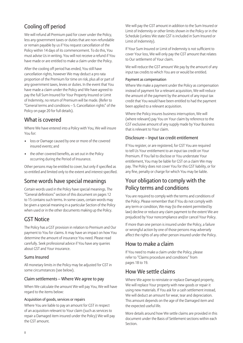## Cooling off period

We will refund all Premium paid for cover under the Policy, less any government taxes or duties that are non-refundable or remain payable by us if You request cancellation of the Policy within 14 days of its commencement. To do this, You must advise Us in writing. You will not receive a refund if You have made or are entitled to make a claim under the Policy.

After the cooling off period has ended, You still have cancellation rights, however We may deduct a pro rata proportion of the Premium for time on risk, plus all or part of any government taxes, levies or duties. In the event that You have made a claim under the Policy and We have agreed to pay the full Sum Insured for Your Property Insured or Limit of Indemnity, no return of Premium will be made. (Refer to "General terms and conditions – 5. Cancellation rights" of the Policy on page 20 for full details).

## What is covered

Where We have entered into a Policy with You, We will insure You for:

- loss or Damage caused by one or more of the covered insured events; and
- the other covered benefits, as set out in the Policy occurring during the Period of Insurance.

Other persons may be entitled to cover, but only if specified as so entitled and limited only to the extent and interest specified.

## Some words have special meanings

Certain words used in the Policy have special meanings. The "General definitions" section of this document on pages 12 to 15 contains such terms. In some cases, certain words may be given a special meaning in a particular Section of the Policy when used or in the other documents making up the Policy.

## GST Notice

The Policy has a GST provision in relation to Premium and Our payment to You for claims. It may have an impact on how You determine the amount of insurance You need. Please read carefully. Seek professional advice if You have any queries about GST and Your insurance.

#### Sums Insured

All monetary limits in the Policy may be adjusted for GST in some circumstances (see below).

#### Claim settlements – Where We agree to pay

When We calculate the amount We will pay You, We will have regard to the items below:

#### Acquisition of goods, services or repairs

Where You are liable to pay an amount for GST in respect of an acquisition relevant to Your claim (such as services to repair a Damaged item insured under the Policy) We will pay the GST amount.

We will pay the GST amount in addition to the Sum Insured or Limit of Indemnity or other limits shown in the Policy or in the Schedule (unless We state GST is included in Sum Insured or Limit of Indemnity).

If Your Sum Insured or Limit of Indemnity is not sufficient to cover Your loss, We will only pay the GST amount that relates to Our settlement of Your claim.

We will reduce the GST amount We pay by the amount of any input tax credits to which You are or would be entitled.

#### Payment as compensation

Where We make a payment under the Policy as compensation instead of payment for a relevant acquisition, We will reduce the amount of the payment by the amount of any input tax credit that You would have been entitled to had the payment been applied to a relevant acquisition.

Where the Policy insures business interruption, We will (where relevant) pay You on Your claim by reference to the GST exclusive amount of any supply made by Your Business that is relevant to Your claim.

#### Disclosure – Input tax credit entitlement

If You register, or are registered, for GST You are required to tell Us Your entitlement to an input tax credit on Your Premium. If You fail to disclose or You understate Your entitlement, You may be liable for GST on a claim We may pay. The Policy does not cover You for this GST liability, or for any fine, penalty or charge for which You may be liable.

## Your obligation to comply with the Policy terms and conditions

You are required to comply with the terms and conditions of the Policy. Please remember that if You do not comply with any term or condition, We may (to the extent permitted by law) decline or reduce any claim payment to the extent We are prejudiced by Your noncompliance and/or cancel Your Policy.

If more than one person is insured under the Policy, a failure or wrongful action by one of those persons may adversely affect the rights of any other person insured under the Policy.

## How to make a claim

If You need to make a claim under the Policy, please refer to "Claims procedure and conditions" from pages 18 to 19.

## How We settle claims

Where We agree to reinstate or replace Damaged property, We will replace Your property with new goods or repair it using new materials. If You ask for a cash settlement instead, We will deduct an amount for wear, tear and depreciation. This amount depends on the age of the Damaged item and the expected useful life.

More details around how We settle claims are provided in this document under the Basis of Settlement sections within each Section.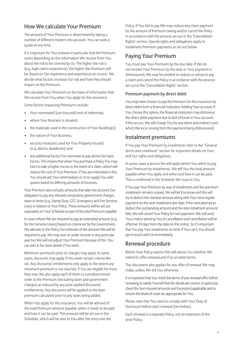## How We calculate Your Premium

The amount of Your Premium is determined by taking a number of different matters into account. You can seek a quote at any time.

It is important for You to know in particular that the Premium varies depending on the information We receive from You about the risk to be covered by Us. The higher the risk is (e.g. high claims experience), the higher the Premium will be. Based on Our experience and expertise as an insurer, We decide what factors increase Our risk and how they should impact on the Premium.

We calculate Your Premium on the basis of information that We receive from You when You apply for the insurance.

Some factors impacting Premiums include:

- Your nominated Sum Insured/Limit of Indemnity;
- where Your Business is situated:
- the materials used in the construction of Your Building(s);
- the nature of Your Business:
- security measures used for Your Property Insured (e.g. alarms, deadlocks); and
- any additional Excess You nominate to pay above Our basic Excess. This means that when You purchase a Policy You may elect to take a higher Excess in the event of a claim, which will reduce the cost of Your Premium. If You are interested in this, You should ask Your intermediary or Us to supply You with quotes based on differing amounts of Excesses.

Your Premium also includes amounts that take into account Our obligation to pay any relevant compulsory government charges, taxes or levies (e.g. Stamp Duty, GST, Emergency and Fire Services Levy) in relation to Your Policy. These amounts will be set out separately on Your Schedule as part of the total Premium payable.

In cases where We are required to pay an estimated amount (e.g. for Fire Services Levies) based on criteria set by the Government, We allocate to the Policy Our estimate of the amount We will be required to pay. We may over or under recover in any particular year but We will not adjust Your Premium because of this. You can ask Us for more details if You wish.

Minimum premiums prior to charges may apply. In some cases, discounts may apply if You meet certain criteria We set. Any discounts/ entitlements only apply to the extent any minimum premium is not reached. If You are eligible for more than one, We also apply each of them in a predetermined order to the Premium (excluding taxes and government charges) as reduced by any prior applied discounts/ entitlements. Any discounts will be applied to the base premium calculated prior to any taxes being added.

When You apply for this insurance, You will be advised of the total Premium amount payable, when it needs to be paid and how it can be paid. This amount will be set out in the Schedule, which will be sent to You after the entry into the

Policy. If You fail to pay We may reduce any claim payment by the amount of Premium owing and/or cancel the Policy in accordance with the process set out in the "Cancellation Rights" section. Special rights and obligations apply to instalment Premium payments as set out below.

### Paying Your Premium

You must pay Your Premium by the due date. If We do not receive Your Premium by this date or Your payment is dishonoured, We may be entitled to reduce or refuse to pay a claim and cancel the Policy in accordance with the process set out in the "Cancellation Rights" section.

#### Premium payment by direct debit

You may have chosen to pay the Premium for this insurance by direct debit from a financial institution holding Your account. If You choose this option, the financial institution may dishonour the direct debit payment due to lack of funds in Your account. If this occurs, We will charge You for any direct and indirect costs which We incur arising from the payment being dishonoured.

### Instalment premiums

If You pay Your Premium by instalments refer to the "General terms and conditions" section for important details on Your and Our rights and obligations.

In some cases a service fee will apply where You select to pay Your Premium by instalments. We tell You the total amount payable when You apply and when and how it can be paid. This is confirmed in the Schedule We issue to You.

If You pay Your Premium by way of instalments and the premium instalment remains unpaid, We will let You know and We will try to deduct the overdue amount along with Your next regular payment on the next instalment due date. If the next attempt to deduct the outstanding amount and the next instalment amount fails, We will cancel Your Policy for non-payment. We will send You a notice advising You of cancellation and cancellation will be effective 14 days from the date on this notice. So it's important that You pay Your instalments on time. If You can't, You should get in touch with Us immediately.

### Renewal procedure

Before Your Policy expires We will advise You whether We intend to offer renewal and if so on what terms.

This document also applies for any offer of renewal We may make, unless We tell You otherwise.

It is important that You check the terms of any renewal offer before renewing to satisfy Yourself that the details are correct. In particular, check the Sum Insured amounts and Excess(es) applicable and to ensure the levels of cover are appropriate for You.

Please note that You need to comply with Your Duty of Disclosure before each renewal (see below).

Each renewal is a separate Policy, not an extension of the prior Policy.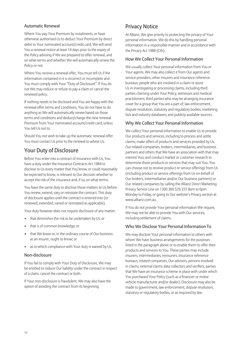#### Automatic Renewal

Where You pay Your Premium by instalments, or have otherwise authorised Us to deduct Your Premium by direct debit to Your nominated account/credit card, We will send You a renewal notice at least 14 days prior to the expiry of the Policy advising if We are prepared to offer renewal, and on what terms and whether We will automatically renew the Policy or not.

Where You receive a renewal offer, You must tell Us if the information contained in it is incorrect or incomplete and You must comply with Your "Duty of Disclosure". If You do not We may reduce or refuse to pay a claim or cancel the renewed policy.

If nothing needs to be disclosed and You are happy with the renewal offer terms and conditions, You do not have to do anything as We will automatically renew based on those terms and conditions and deduct/charge the new renewal Premium from Your nominated account/credit card, unless You tell Us not to.

Should You not wish to take up the automatic renewal offer You must contact Us prior to the renewal to advise Us.

## Your Duty of Disclosure

Before You enter into a contract of insurance with Us, You have a duty under the Insurance Contracts Act 1984 to disclose to Us every matter that You know, or could reasonably be expected to know, is relevant to Our decision whether to accept the risk of the insurance and, if so, on what terms.

You have the same duty to disclose those matters to Us before You renew, extend, vary or reinstate the contract. This duty of disclosure applies until the contract is entered into (or renewed, extended, varied or reinstated as applicable).

Your duty however does not require disclosure of any matter:

- that diminishes the risk to be undertaken by Us; or
- that is of common knowledge; or
- that We know or, in the ordinary course of Our business as an insurer, ought to know; or
- as to which compliance with Your duty is waived by Us.

#### Non-disclosure

If You fail to comply with Your Duty of Disclosure, We may be entitled to reduce Our liability under the contract in respect of a claim, cancel the contract or both.

If Your non-disclosure is fraudulent, We may also have the option of avoiding the contract from its beginning.

## Privacy Notice

At Allianz, We give priority to protecting the privacy of Your personal information. We do this by handling personal information in a responsible manner and in accordance with the Privacy Act 1988 (Cth).

#### How We Collect Your Personal Information

We usually collect Your personal information from You or Your agents. We may also collect it from Our agents and service providers; other insurers and insurance reference bureaus; people who are involved in a claim or assist Us in investigating or processing claims, including third parties claiming under Your Policy, witnesses and medical practitioners; third parties who may be arranging insurance cover for a group that You are a part of; law enforcement, dispute resolution, statutory and regulatory bodies; marketing lists and industry databases; and publicly available sources.

#### Why We Collect Your Personal Information

We collect Your personal information to enable Us to provide Our products and services, including to process and settle claims; make offers of products and services provided by Us, Our related companies, brokers, intermediaries, and business partners and others that We have an association with that may interest You; and conduct market or customer research to determine those products or services that may suit You. You can choose not to receive product or service offerings from Us (including product or service offerings from Us on behalf of Our brokers, intermediaries and/or Our business partners) or Our related companies by calling the Allianz Direct Marketing Privacy Service Line on 1300 360 529, EST 8am to 6pm Monday to Friday, or going to Our website's Privacy section at www.allianz.com.au.

If You do not provide Your personal information We require, We may not be able to provide You with Our services, including settlement of claims.

#### Who We Disclose Your Personal Information To

We may disclose Your personal information to others with whom We have business arrangements for the purposes listed in the paragraph above or to enable them to offer their products and services to You. These parties may include insurers, intermediaries, reinsurers, insurance reference bureaus, related companies, Our advisers, persons involved in claims, external claims data collectors and verifiers, parties that We have an insurance scheme in place with under which You purchased Your Policy (such as a financier or motor vehicle manufacturer and/or dealer). Disclosure may also be made to government, law enforcement, dispute resolution, statutory or regulatory bodies, or as required by law.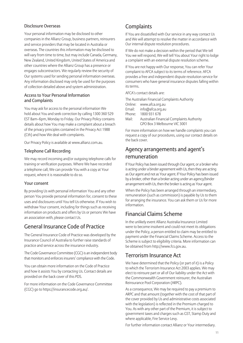#### Disclosure Overseas

Your personal information may be disclosed to other companies in the Allianz Group, business partners, reinsurers and service providers that may be located in Australia or overseas. The countries this information may be disclosed to will vary from time to time, but may include Canada, Germany, New Zealand, United Kingdom, United States of America and other countries where the Allianz Group has a presence or engages subcontractors. We regularly review the security of Our systems used for sending personal information overseas. Any information disclosed may only be used for the purposes of collection detailed above and system administration.

#### Access to Your Personal Information and Complaints

You may ask for access to the personal information We hold about You and seek correction by calling 1300 360 529 EST 8am–6pm, Monday to Friday. Our Privacy Policy contains details about how You may make a complaint about a breach of the privacy principles contained in the Privacy Act 1988 (Cth) and how We deal with complaints.

Our Privacy Policy is available at www.allianz.com.au.

#### Telephone Call Recording

We may record incoming and/or outgoing telephone calls for training or verification purposes. Where We have recorded a telephone call, We can provide You with a copy at Your request, where it is reasonable to do so.

#### Your consent

By providing Us with personal information You and any other person You provide personal information for, consent to these uses and disclosures until You tell Us otherwise. If You wish to withdraw Your consent, including for things such as receiving information on products and offers by Us or persons We have an association with, please contact Us.

## General Insurance Code of Practice

The General Insurance Code of Practice was developed by the Insurance Council of Australia to further raise standards of practice and service across the insurance industry.

The Code Governance Committee (CGC) is an independent body that monitors and enforces insurers' compliance with the Code.

You can obtain more information on the Code of Practice and how it assists You by contacting Us. Contact details are provided on the back cover of this PDS.

For more information on the Code Governance Committee (CGC) go to https://insurancecode.org.au/.

## **Complaints**

If You are dissatisfied with Our service in any way contact Us and We will attempt to resolve the matter in accordance with Our internal dispute resolution procedures.

If We do not make a decision within the period that We tell You we will respond, We will tell You about Your right to lodge a complaint with an external dispute resolution scheme.

If You are not happy with Our response, You can refer Your complaint to AFCA subject to its terms of reference. AFCA provides a free and independent dispute resolution service for consumers who have general insurance disputes falling within its terms.

AFCA's contact details are:

The Australian Financial Complaints Authority

|        | Online: www.afca.org.au                   |
|--------|-------------------------------------------|
| Email: | info@afca.org.au                          |
|        | Phone: 1800 931 678                       |
| Mail:  | Australian Financial Complaints Authority |
|        | GPO Box 3 Melbourne VIC 3001              |

For more information on how we handle complaints you can request a copy of our procedures, using our contact details on the back cover.

## Agency arrangements and agent's remuneration

If Your Policy has been issued through Our agent, or a broker who is acting under a binder agreement with Us, then they are acting as Our agent and not as Your agent. If Your Policy has been issued by a broker, other than a broker acting under an agency/binder arrangement with Us, then the broker is acting as Your agent.

When the Policy has been arranged through an intermediary, remuneration (such as commission) is payable by Us to them for arranging the insurance. You can ask them or Us for more information.

## Financial Claims Scheme

In the unlikely event Allianz Australia Insurance Limited were to become insolvent and could not meet its obligations under the Policy, a person entitled to claim may be entitled to payment under the Financial Claims Scheme. Access to the Scheme is subject to eligibility criteria. More information can be obtained from http://www.fcs.gov.au.

## Terrorism Insurance Act

We have determined that the Policy (or part of it) is a Policy to which the Terrorism Insurance Act 2003 applies. We may elect to reinsure part or all of Our liability under the Act with the Commonwealth Government reinsurer, the Australian Reinsurance Pool Corporation (ARPC).

As a consequence, We may be required to pay a premium to ARPC and that amount (together with the cost of that part of the cover provided by Us and administrative costs associated with the legislation) is reflected in the Premium charged to You. As with any other part of the Premium, it is subject to government taxes and charges such as GST, Stamp Duty and where applicable, Fire Service Levy.

For further information contact Allianz or Your intermediary.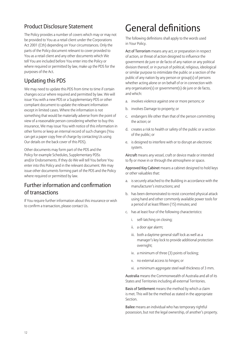## Product Disclosure Statement

The Policy provides a number of covers which may or may not be provided to You as a retail client under the Corporations Act 2001 (Cth) depending on Your circumstances. Only the parts of the Policy document relevant to cover provided to You as a retail client and any other documents which We tell You are included before You enter into the Policy or where required or permitted by law, make up the PDS for the purposes of the Act.

## Updating this PDS

We may need to update this PDS from time to time if certain changes occur where required and permitted by law. We will issue You with a new PDS or a Supplementary PDS or other compliant document to update the relevant information except in limited cases. Where the information is not something that would be materially adverse from the point of view of a reasonable person considering whether to buy this insurance, We may issue You with notice of this information in other forms or keep an internal record of such changes (You can get a paper copy free of charge by contacting Us using Our details on the back cover of this PDS).

Other documents may form part of the PDS and the Policy for example Schedules, Supplementary PDSs and/or Endorsements. If they do We will tell You before You enter into this Policy and in the relevant document. We may issue other documents forming part of the PDS and the Policy where required or permitted by law.

## Further information and confirmation of transactions

If You require further information about this insurance or wish to confirm a transaction, please contact Us.

## General definitions

The following definitions shall apply to the words used in Your Policy.

Act of Terrorism means any act, or preparation in respect of action, or threat of action designed to influence the government de jure or de facto of any nation or any political division thereof, or in pursuit of political, religious, ideological or similar purpose to intimidate the public or a section of the public of any nation by any person or group(s) of persons whether acting alone or on behalf of or in connection with any organisation(s) or government(s) de jure or de facto, and which:

- a. involves violence against one or more persons; or
- b. involves Damage to property; or
- c. endangers life other than that of the person committing the action; or
- d. creates a risk to health or safety of the public or a section of the public; or
- e. is designed to interfere with or to disrupt an electronic system.

Aircraft means any vessel, craft or device made or intended to fly or move in or through the atmosphere or space.

Approved Key Cabinet means a cabinet designed to hold keys or other valuables that:

- a. is securely attached to the Building in accordance with the manufacturer's instructions; and
- b. has been demonstrated to resist concerted physical attack using hand and other commonly available power tools for a period of at least fifteen (15) minutes; and
- c. has at least four of the following characteristics:
	- i. self-latching on closing;
	- ii. a door ajar alarm;
	- iii. both a daytime general staff lock as well as a manager's key lock to provide additional protection overnight;
	- iv. a minimum of three (3) points of locking;
	- v. no external access to hinges; or
	- vi. a minimum aggregate steel wall thickness of 3 mm.

Australia means the Commonwealth of Australia and all of its States and Territories including all external Territories.

Basis of Settlement means the method by which a claim is met. This will be the method as stated in the appropriate Section.

Bailee means an individual who has temporary rightful possession, but not the legal ownership, of another's property.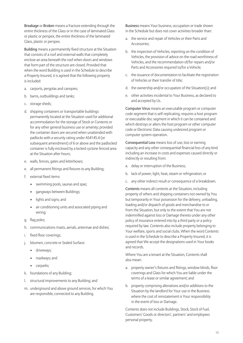Breakage or Broken means a fracture extending through the entire thickness of the Glass or in the case of laminated Glass or plastic or perspex, the entire thickness of the laminated Glass, plastic or perspex.

Building means a permanently fixed structure at the Situation that consists of a roof and external walls that completely enclose an area beneath the roof when doors and windows that form part of the structure are closed. Provided that when the word Building is used in the Schedule to describe a Property Insured, it is agreed that the following property is included:

- a. carports, pergolas and canopies;
- b. barns, outbuildings and tanks;
- c. storage sheds;
- d. shipping containers or transportable buildings permanently located at the Situation used for additional accommodation for the storage of Stock or Contents or for any other general business use or amenity; provided the container doors are secured when unattended with padlocks with a security rating under AS4145.4 (or subsequent amendment) of 6 or above and the padlocked container is fully enclosed by a locked cyclone fenced area at the Situation after hours;
- e. walls, fences, gates and letterboxes;
- e. all permanent fittings and fixtures to any Building;
- f. external fixed items:
	- swimming pools, saunas and spas;
	- gangways between Buildings;
	- lights and signs; and
	- air conditioning units and associated piping and wiring;
- g. flag poles;
- h. communications masts, aerials, antennae and dishes;
- i. fixed floor coverings:
- j. bitumen, concrete or Sealed Surface:
	- driveways;
	- roadways; and
	- carparks;
- k. foundations of any Building;
- l. structural improvements to any Building; and
- m. underground and above ground services, for which You are responsible, connected to any Building.

Business means Your business, occupation or trade shown in the Schedule but does not cover activities broader than:

- a. the service and repair of Vehicles or their Parts and Accessories;
- b. the inspection of Vehicles, reporting on the condition of Vehicles, the provision of advice on the road worthiness of Vehicles, and the recommendation of/for repairs and/or Parts and Accessories required to/for a Vehicle;
- c. the issuance of documentation to facilitate the registration of Vehicles or their transfer of title;
- d. the ownership and/or occupation of the Situation(s); and
- e. other activities incidental to Your Business, as declared to and accepted by Us.

Computer Virus means an executable program or computer code segment that is self-replicating, requires a host program or executable disc segment in which it can be contained and which destroys or alters the host program or other computer code or Electronic Data causing undesired program or computer system operation.

Consequential Loss means loss of use, loss or earning capacity and any other consequential financial loss of any kind including an increase in costs and expenses caused directly or indirectly or resulting from:

- a. delay or interruption of the Business;
- b. lack of power, light, heat, steam or refrigeration; or
- c. any other indirect result or consequence of a breakdown.

Contents means all contents at the Situation, including property of others and shipping containers not owned by You but temporarily in Your possession for the delivery, unloading, loading and/or dispatch of goods and merchandise to or from the Situation, but only to the extent that You are not indemnified against loss or Damage thereto under any other policy of insurance entered into by a third party or a policy required by law. Contents also include property belonging to Your welfare, sports and social clubs. When the word Contents is used in the Schedule to describe a Property Insured, it is agreed that We accept the designations used in Your books and records.

Where You are a tenant at the Situation, Contents shall also mean:

- a. property owner's fixtures and fittings, window blinds, floor coverings and Glass for which You are liable under the terms of a lease or similar agreement; and
- b. property comprising alterations and/or additions to the Situation by the landlord for Your use in the Business where the cost of reinstatement is Your responsibility in the event of loss or Damage.

Contents does not include Buildings, Stock, Stock of Fuel, Customers' Goods or directors', partners' and employees personal property.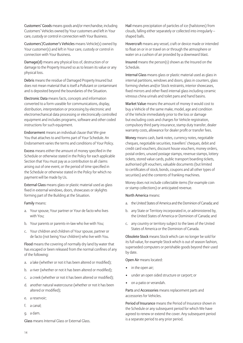Customers' Goods means goods and/or merchandise, including Customers' Vehicles owned by Your customers and left in Your care, custody or control in connection with Your Business.

Customers'/Customer's Vehicles means Vehicle(s) owned by Your customer(s) and left in Your care, custody or control in connection with Your Business.

Damage(d) means any physical loss of, destruction of or damage to the Property Insured so as to lessen its value or any physical loss.

Debris means the residue of Damaged Property Insured but does not mean material that is itself a Pollutant or contaminant and is deposited beyond the boundaries of the Situation.

Electronic Data means facts, concepts and information converted to a form useable for communications, display, distribution, interpretation or processing by electronic and electromechanical data processing or electronically controlled equipment and includes programs, software and other coded instructions for such equipment.

Endorsement means an individual clause that We give You that attaches to and forms part of Your Schedule. An Endorsement varies the terms and conditions of Your Policy.

Excess means either the amount of money specified in the Schedule or otherwise stated in the Policy for each applicable Section that You must pay as a contribution to all claims arising out of one event, or the period of time specified in the Schedule or otherwise stated in the Policy for which no payment will be made by Us.

External Glass means glass or plastic material used as glass fixed in external windows, doors, showcases or skylights forming part of the Building at the Situation.

#### Family means:

- a. Your spouse, Your partner or Your de facto who lives with You;
- b. Your parents or parents-in-law who live with You;
- c. Your children and children of Your spouse, partner or de facto (not being Your children) who live with You.

Flood means the covering of normally dry land by water that has escaped or been released from the normal confines of any of the following:

- a. a lake (whether or not it has been altered or modified);
- b. a river (whether or not it has been altered or modified);
- c. a creek (whether or not it has been altered or modified);
- d. another natural watercourse (whether or not it has been altered or modified):
- e. a reservoir;
- f. a canal;
- g. a dam.

Glass means Internal Glass or External Glass.

Hail means precipitation of particles of ice (hailstones) from clouds, falling either separately or collected into irregularly – shaped balls.

Hovercraft means any vessel, craft or device made or intended to float on or in or travel on or through the atmosphere or water on a cushion of air provided by a downward blast.

Insured means the person(s) shown as the Insured on the Schedule.

Internal Glass means glass or plastic material used as glass in internal partitions, windows and doors, glass in counters, glass forming shelves and/or Stock restraints, interior showcases, fixed mirrors and other fixed internal glass including ceramic vitreous china urinals and toilet pans and hand basins.

Market Value means the amount of money it would cost to buy a Vehicle of the same make, model, age and condition of the Vehicle immediately prior to the loss or damage but excluding costs and charges for Vehicle registration, compulsory third party insurance, stamp duty transfer, dealer warranty costs, allowance for dealer profit or transfer fees.

Money means cash, bank notes, currency notes, negotiable cheques, negotiable securities, travellers' cheques, debit and credit card vouchers, discount house vouchers, money orders, postal orders, unused postage stamps, revenue stamps, lottery tickets, stored value cards, public transport boarding tickets, authorised gift vouchers, valuable documents (but limited to certificates of stock, bonds, coupons and all other types of securities) and the contents of franking machines.

Money does not include collectable items (for example coin or stamp collections) or anticipated revenue.

North America means:

- a. the United States of America and the Dominion of Canada; and
- b. any State or Territory incorporated in, or administered by, the United States of America or Dominion of Canada; and
- c. any country or territory subject to the laws of the United States of America or the Dominion of Canada.

Obsolete Stock means Stock which can no longer be sold for its full value, for example Stock which is out of season fashion, superseded computers or perishable goods beyond their used by date.

Open Air means located:

- in the open air;
- under an open sided structure or carport; or
- on a patio or verandah.

Parts and Accessories means replacement parts and accessories for Vehicles.

Period of Insurance means the Period of Insurance shown in the Schedule or any subsequent period for which We have agreed to renew or extend the cover. Any subsequent period is a separate period to any prior period.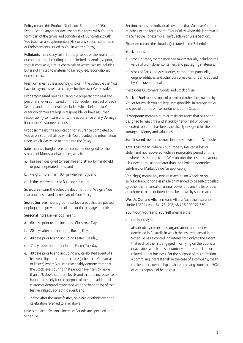Policy means this Product Disclosure Statement (PDS), the Schedule and any other documents We agree with You that form part of the terms and conditions of Our contract with You (such as a Supplementary PDS or any special conditions or Endorsements issued to You in written form).

Pollutants means any solid, liquid, gaseous or thermal irritant or contaminant, including but not limited to smoke, vapour, soot, fumes, acid, alkalis, chemicals or waste. Waste includes but is not limited to material to be recycled, reconditioned or reclaimed.

Premium means the amount(s) shown in the Schedule that You have to pay inclusive of all charges for the cover We provide.

Property Insured means all tangible property both real and personal shown as insured on the Schedule in respect of each Section and not otherwise excluded which belongs to You, or for which You are legally responsible, or have assumed responsibility to insure prior to the occurrence of any Damage. It includes Customers' Goods.

Proposal means the application for insurance completed by You or on Your behalf by which You provided the information upon which We relied to enter into the Policy.

Safe means a burglar resistant container designed for the storage of Money and valuables, which:

- a. has been designed to resist fire and attack by hand-held or power operated tools; and
- b. weighs more than 100 kgs when empty; and
- c. is firmly affixed to the Building structure.

Schedule means the schedule document that We give You that attaches to and forms part of Your Policy.

Sealed Surface means ground surface areas that are packed or plugged to prevent percolation or the passage of fluids.

#### Seasonal Increase Periods means:

- a. 60 days prior to and including Christmas Day;
- b. 20 days after and including Boxing Day;
- c. 40 days prior to and including Easter Tuesday;
- d. 7 days after but not including Easter Tuesday;
- e. 40 days prior to and including any celebrated event of a festive, religious or ethnic nature (other than Christmas or Easter) where You can reasonably demonstrate that the Stock levels during that period have risen by more than 20% above standard levels and that the increase has happened solely for the purpose of meeting additional customer demand associated with the happening of that festive, religious or ethnic event; and
- f. 7 days after the same festive, religious or ethnic event or celebration referred to in e. above

unless replaced Seasonal Increase Periods are specified in the Schedule.

Section means the individual coverage that We give You that attaches to and forms part of Your Policy when this is shown in the Schedule, for example Theft Section or Glass Section.

Situation means the situation(s) stated in the Schedule.

#### Stock means:

- a. stock in trade, merchandise or raw materials, including the value of work done, containers and packaging materials;
- b. stock of Parts and Accessories, component parts, oils, engine additives and other consumables for Vehicles used by You, raw materials.

It excludes Customers' Goods and Stock of Fuel.

Stock of Fuel means stock of petrol and other fuel, owned by You or for which You are legally responsible, in storage tanks and petrol pumps or like containers, at the Situation.

Strongroom means a burglar-resistant room that has been designed to resist fire and attack by hand-held or power operated tools and has been specifically designed for the storage of Money and valuables.

Sum Insured means the Sum Insured shown in the Schedule.

Total Loss means where Your Property Insured is lost or stolen and not recovered within a reasonable period of time, or where it is Damaged and We consider the cost of repairing it is uneconomical or greater than the Limit of Indemnity, sub-limit, or Market Value (as applicable).

Vehicle(s) means any type of machine on wheels or on self-laid tracks or on skis made or intended to be self-propelled by other than manual or animal power and any trailer or other attachment made or intended to be drawn by such machine.

We, Us, Our and Allianz means Allianz Australia Insurance Limited AFS Licence No. 234708, ABN 15 000 122 850.

You, Your, Yours and Yourself means either:

- a. the Insured; or
- b. all subsidiary companies, organisations and entities domiciled in Australia in which the Insured named in the Schedule has a controlling interest but only to the extent that each of them is engaged in carrying on the Business or activities which are substantially of the same kind or related to that Business. For the purpose of this definition, a controlling interest shall, in the case of a company, mean the beneficial ownership of shares carrying more than 50% of votes capable of being cast.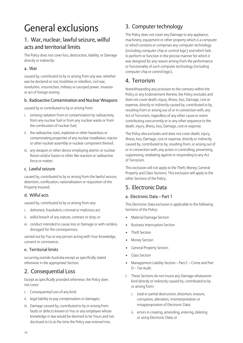## General exclusions

## 1. War, nuclear, lawful seizure, wilful acts and territorial limits

The Policy does not cover loss, destruction, liability, or Damage directly or indirectly:

#### a. War

caused by, contributed to by or arising from any war, whether war be declared or not, hostilities or rebellion, civil war, revolution, insurrection, military or usurped power, invasion or act of foreign enemy;

#### b. Radioactive Contamination and Nuclear Weapons

caused by or contributed to by or arising from:

- i. ionising radiation from or contamination by radioactivity from any nuclear fuel or from any nuclear waste or from the combustion of nuclear fuel;
- ii. the radioactive, toxic, explosive or other hazardous or contaminating properties of any nuclear installation, reactor or other nuclear assembly or nuclear component thereof;
- iii. any weapon or other device employing atomic or nuclear fission and/or fusion or other like reaction or radioactive force or matter.

#### c. Lawful seizure

caused by, contributed to by or arising from the lawful seizure, detention, confiscation, nationalisation or requisition of the Property Insured;

#### d. Wilful acts

caused by, contributed to by or arising from any:

- i. dishonest, fraudulent, criminal or malicious act;
- ii. wilful breach of any statute, contract or duty; or
- iii. conduct intended to cause loss or Damage or with reckless disregard for the consequences;

carried out by You or any person acting with Your knowledge, consent or connivance,

#### e. Territorial limits

occurring outside Australia except as specifically stated otherwise in the appropriate Section.

## 2. Consequential Loss

Except as specifically provided otherwise, the Policy does not cover:

- i. Consequential Loss of any kind;
- ii. legal liability to pay compensation or damages;
- iii. Damage caused by, contributed to by or arising from faults or defects known to You or any employee whose knowledge in law would be deemed to be Yours and not disclosed to Us at the time the Policy was entered into.

## 3. Computer technology

The Policy does not cover any Damage to any appliance, machinery, equipment or other property which is a computer or which contains or comprises any computer technology (including computer chip or control logic) and which fails to perform or function in the precise manner for which it was designed for any reason arising from the performance or functionality of such computer technology (including computer chip or control logic).

## 4. Terrorism

Notwithstanding any provision to the contrary within the Policy or any Endorsement thereto, the Policy excludes and does not cover death, injury, illness, loss, Damage, cost or expense, directly or indirectly caused by, contributed to by, resulting from or arising out of or in connection with, any Act of Terrorism, regardless of any other cause or event contributing concurrently or in any other sequence to the death, injury, illness, loss, Damage, cost or expense.

The Policy also excludes and does not cover death, injury, illness, loss, Damage, cost or expense, directly or indirectly caused by, contributed to by, resulting from, or arising out of or in connection with, any action in controlling, preventing, suppressing, retaliating against or responding to any Act of Terrorism.

This exclusion will not apply to the Theft, Money, General Property and Glass Sections. This exclusion will apply to the other Sections of the Policy.

## 5. Electronic Data

#### a. Electronic Data – Part 1

This Electronic Data exclusion is applicable to the following Sections of the Policy:

- Material Damage Section
- **Business Interruption Section**
- **Theft Section**
- **Money Section**
- General Property Section
- Glass Section
- Management Liability Section Part C Crime and Part D – Tax Audit
- I. These Sections do not insure any Damage whatsoever kind directly or indirectly caused by, contributed to by or arising from:
	- i. total or partial destruction, distortion, erasure, corruption, alteration, misinterpretation or misappropriation of Electronic Data;
	- ii. errors in creating, amending, entering, deleting or using Electronic Data; or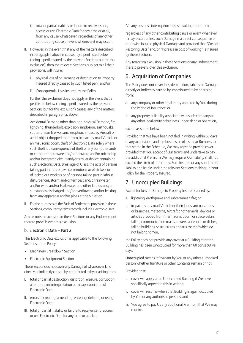- iii. total or partial inability or failure to receive, send, access or use Electronic Data for any time or at all, from any cause whatsoever, regardless of any other contributing cause or event whenever it may occur.
- II. However, in the event that any of the matters described in paragraph I. above is caused by a peril listed below (being a peril insured by the relevant Sections but for this exclusion), then the relevant Sections, subject to all their provisions, will insure:
	- i. physical loss of or Damage or destruction to Property Insured directly caused by such listed peril; and/or
	- ii. Consequential Loss insured by the Policy.

 Further this exclusion does not apply in the event that a peril listed below (being a peril insured by the relevant Sections but for this exclusion) causes any of the matters described in paragraph a. above.

Accidental Damage other than non-physical Damage, fire, lightning, thunderbolt, explosion, implosion, earthquake, subterranean fire, volcanic eruption, impact by Aircraft or aerial object dropped therefrom, impact by road Vehicle or animal, sonic boom, theft of Electronic Data solely where such theft is a consequence of theft of any computer and/ or computer hardware and/or firmware and/or microchip and/or integrated circuit and/or similar device containing such Electronic Data, Breakage of Glass, the acts of persons taking part in riots or civil commotions or of strikers or of locked out workers or of persons taking part in labour disturbances, storm and/or tempest and/or rainwater and/or wind and/or Hail, water and other liquids and/or substances discharged and/or overflowing and/or leaking from any apparatus and/or pipes at the Situation.

III. For the purposes of the Basis of Settlement provision in these Sections, computer systems records include Electronic Data.

Any terrorism exclusion in these Sections or any Endorsement thereto prevails over this exclusion.

#### b. Electronic Data – Part 2

This Electronic Data exclusion is applicable to the following Sections of the Policy:

- Machinery Breakdown Section
- Electronic Equipment Section

These Sections do not cover any Damage of whatsoever kind directly or indirectly caused by, contributed to by or arising from:

- I. total or partial destruction, distortion, erasure, corruption, alteration, misinterpretation or misappropriation of Electronic Data;
- II. errors in creating, amending, entering, deleting or using Electronic Data;
- III. total or partial inability or failure to receive, send, access or use Electronic Data for any time or at all; or

IV. any business interruption losses resulting therefrom,

regardless of any other contributing cause or event whenever it may occur, unless such Damage is a direct consequence of otherwise insured physical Damage and provided that "Cost of Restoring Data" and/or "Increase in cost of working" is insured by these Sections.

Any terrorism exclusion in these Sections or any Endorsement thereto prevails over this exclusion.

## 6. Acquisition of Companies

The Policy does not cover loss, destruction, liability or Damage directly or indirectly caused by, contributed to by or arising from:

- a. any company or other legal entity acquired by You during the Period of Insurance; or
- b. any property or liability associated with such company or any other legal entity or business undertaking or operation,

#### except as stated below.

Provided that We have been notified in writing within 60 days of any acquisition, and the business is of a similar Business to that stated in the Schedule, We may agree to provide cover provided that You accept of Our terms and undertake to pay the additional Premium We may require. Our liability shall not exceed the Limit of Indemnity, Sum Insured or any sub-limit of liability applicable under the relevant Sections making up Your Policy for the Property Insured.

## 7. Unoccupied Buildings

Except for loss or Damage to Property Insured caused by:

- a. lightning, earthquake and subterranean fire; or
- b. impact by any road Vehicle or their loads, animals, trees or branches, meteorite, Aircraft or other aerial devices or articles dropped from them, sonic boom or space debris, falling communication masts, towers, antennae or dishes, falling buildings or structures or parts thereof which do not belong to You,

the Policy does not provide any cover at a Building after the Building has been Unoccupied for more than 60 consecutive days.

Unoccupied means left vacant by You or any other authorised person whether furniture or other Contents remain or not.

#### Provided that:

- i. cover will apply at an Unoccupied Building if We have specifically agreed to this in writing;
- ii. cover will resume when that Building is again occupied by You or any authorised persons; and
- iii. You agree to pay Us any additional Premium that We may require.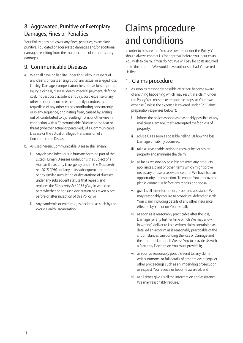## 8. Aggravated, Punitive or Exemplary Damages, Fines or Penalties

Your Policy does not cover any fines, penalties, exemplary, punitive, liquidated or aggravated damages and/or additional damages resulting from the multiplication of compensatory damages.

## 9. Communicable Diseases

- a. We shall have no liability under this Policy in respect of any claims or costs arising out of any actual or alleged loss, liability, Damage, compensation, loss of use, loss of profit, injury, sickness, disease, death, medical payment, defence cost, inquest cost, accident enquiry, cost, expense or any other amount incurred either directly or indirectly and regardless of any other cause contributing concurrently or in any sequence, originating from, caused by, arising out of, contributed to by, resulting from, or otherwise in connection with a Communicable Disease or the fear or threat (whether actual or perceived) of a Communicable Disease or the actual or alleged transmission of a Communicable Disease.
- b. As used herein, Communicable Disease shall mean:
	- i. Any disease infectious in humans forming part of the Listed Human Diseases under, or is the subject of a Human Biosecurity Emergency under, the *Biosecurity Act 2015 (Cth)* and any of its subsequent amendments or any similar such listing or declarations of diseases under any subsequent statute that repeals and replaces the *Biosecurity Act 2015 (Cth)* in whole or part, whether or not such declaration has taken place before or after inception of this Policy; or
	- ii. Any pandemic or epidemic, as declared as such by the World Health Organisation.

## Claims procedure and conditions

In order to be sure that You are covered under this Policy You should always contact Us for approval before You incur costs You wish to claim. If You do not, We will pay for costs incurred up to the amount We would have authorised had You asked Us first.

## 1. Claims procedure

- a. As soon as reasonably possible after You become aware of anything happening which may result in a claim under the Policy You must take reasonable steps, at Your own expense (unless the expense is covered under "2. Claims preparation expenses below"):
	- i. inform the police as soon as reasonably possible of any malicious Damage, theft, attempted theft or loss of property;
	- ii. advise Us as soon as possible, telling Us how the loss, Damage or liability occurred;
	- iii. take all reasonable action to recover lost or stolen property and minimise the claim;
	- iv. as far as reasonably possible preserve any products, appliances, plant or other items which might prove necessary or useful as evidence until We have had an opportunity for inspection. To ensure You are covered please contact Us before any repairs or disposal;
	- v. give Us all the information, proof and assistance We may reasonably require to prosecute, defend or settle Your claim including details of any other insurance effected by You or on Your behalf;
	- vi. as soon as is reasonably practicable after the loss, Damage (or any further time which We may allow in writing) deliver to Us a written claim containing as detailed an account as is reasonably practicable of the circumstances surrounding the loss or Damage and the amount claimed. If We ask You to provide Us with a Statutory Declaration You must provide it;
	- vii. as soon as reasonably possible send Us any claim, writ, summons, or full details of other relevant legal or other proceedings such as an impending prosecution or inquest You receive or become aware of; and
	- viii. at all times give Us all the information and assistance We may reasonably require.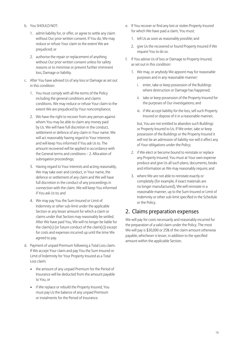#### b. You SHOULD NOT:

- 1. admit liability for, or offer, or agree to settle any claim without Our prior written consent. If You do, We may reduce or refuse Your claim to the extent We are prejudiced; or
- 2. authorise the repair or replacement of anything without Our prior written consent unless for safety reasons or to minimise or prevent further imminent loss, Damage or liability.
- c. After You have advised Us of any loss or Damage as set out in this condition:
	- 1. You must comply with all the terms of the Policy including the general conditions and claims conditions. We may reduce or refuse Your claim to the extent We are prejudiced by Your noncompliance;
	- 2. We have the right to recover from any person against whom You may be able to claim any money paid by Us. We will have full discretion in the conduct, settlement or defence of any claim in Your name. We will act reasonably having regard to Your interests and will keep You informed if You ask Us to. The amount recovered will be applied in accordance with the General terms and conditions – 2. Allocation of subrogation proceedings;
	- 3. Having regard to Your interests and acting reasonably, We may take over and conduct, in Your name, the defence or settlement of any claim and We will have full discretion in the conduct of any proceedings in connection with the claim. We will keep You informed if You ask Us to; and
	- 4. We may pay You the Sum Insured or Limit of Indemnity or other sub-limit under the applicable Section or any lesser amount for which a claim or claims under that Section may reasonably be settled. After We have paid You, We will no longer be liable for the claim(s) (or future conduct of the claim(s)) except for costs and expenses incurred up until the time We agreed to pay.
- d. Payment of unpaid Premium following a Total Loss claim. If We accept Your claim and pay You the Sum Insured or Limit of Indemnity for Your Property Insured as a Total Loss claim:
	- the amount of any unpaid Premium for the Period of Insurance will be deducted from the amount payable to You, or
	- if We replace or rebuild the Property Insured, You must pay Us the balance of any unpaid Premium or instalments for the Period of Insurance.
- e. If You recover or find any lost or stolen Property Insured for which We have paid a claim, You must:
	- 1. tell Us as soon as reasonably possible; and
	- 2. give Us the recovered or found Property Insured if We request You to do so.
- f. If You advise Us of loss or Damage to Property Insured, as set out in this condition:
	- 1. We may, or anybody We appoint may for reasonable purposes and in any reasonable manner:
		- i. enter, take or keep possession of the Buildings where destruction or Damage has happened;
		- ii. take or keep possession of the Property Insured for the purposes of Our investigations; and
		- iii. if We accept liability for the loss, sell such Property Insured or dispose of it in a reasonable manner,

 but, You are not entitled to abandon such Buildings or Property Insured to Us. If We enter, take or keep possession of the Buildings or the Property Insured it will not be an admission of liability nor will it affect any of Your obligations under the Policy;

- 2. if We elect or become bound to reinstate or replace any Property Insured, You must at Your own expense produce and give Us all such plans, documents, books and information as We may reasonably require; and
- 3. where We are not able to reinstate exactly or completely (for example, if exact materials are no longer manufactured), We will reinstate in a reasonable manner, up to the Sum Insured or Limit of Indemnity or other sub-limit specified in the Schedule or the Policy.

### 2. Claims preparation expenses

We will pay for costs necessarily and reasonably incurred for the preparation of a valid claim under the Policy. The most We will pay is \$30,000 or 25% of the claim amount otherwise payable, whichever is lesser, in addition to the specified amount within the applicable Section.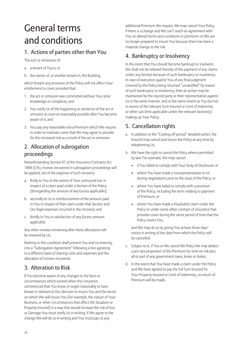## General terms and conditions

## 1. Actions of parties other than You

The acts or omissions of:

- a. a tenant of Yours; or
- b. the owner of, or another tenant in, the Building,

which breach any provision of the Policy will not affect Your entitlement to cover provided that:

- 1. the act or omission was committed without Your prior knowledge or complicity; and
- 2. You notify Us of the happening or existence of the act or omission as soon as reasonably possible after You become aware of it; and
- 3. You pay any reasonable extra Premium which We require in order to maintain cover that We may agree to provide for the increased risk as a result of the act or omission.

## 2. Allocation of subrogation proceedings

Notwithstanding Section 67 of the Insurance Contracts Act 1984 (Cth), monies recovered in subrogation proceedings will be applied, net of the expense of such recovery:

- a. firstly to You to the extent of Your uninsured loss in respect of a claim paid under a Section of the Policy, (disregarding the amount of any Excess applicable);
- b. secondly to Us in reimbursement of the amount paid to You in respect of that claim under that Section and Our legal expenses incurred in the recovery; and
- c. thirdly to You in satisfaction of any Excess amount applicable.

Any other monies remaining after these allocations will be retained by Us.

Nothing in this condition shall prevent You and Us entering into a "Subrogation Agreement" following a loss agreeing to a different basis of sharing costs and expenses and the allocation of monies recovered.

## 3. Alteration to Risk

If You become aware of any changes to the facts or circumstances which existed when this insurance commenced that You know or ought reasonably to have known is relevant to Our decision to insure You and the terms on which We will insure You (for example, the nature of Your Business, or other circumstances that affect the Situation or Property Insured) in a way that would increase the risk of loss or Damage You must notify Us in writing. If We agree to the change We will do so in writing and You must pay Us any

additional Premium We require. We may cancel Your Policy if there is a change and We can't reach an agreement with You on altered terms and conditions or premium; or We are no longer prepared to insure You because there has been a material change to the risk.

## 4. Bankruptcy or Insolvency

In the event that You should become bankrupt or insolvent, We shall not be relieved thereby of the payment of any claims under any Section because of such bankruptcy or insolvency. In case of execution against You of any final judgment covered by the Policy being returned "unsatisfied" by reason of such bankruptcy or insolvency, then an action may be maintained by the injured party or their representative against Us in the same manner, and to the same extent as You but not in excess of the relevant Sum Insured or Limit of Indemnity or other sub-limit applicable under the relevant Section(s) making up Your Policy.

## 5. Cancellation rights

- a. In addition to the "Cooling off period" detailed earlier, the Insured may cancel and return the Policy at any time by telephoning Us;
- b. We have the right to cancel the Policy where permitted by law. For example, We may cancel:
	- if You failed to comply with Your Duty of Disclosure; or
	- where You have made a misrepresentation to Us during negotiations prior to the issue of the Policy; or
	- where You have failed to comply with a provision of the Policy, including the term relating to payment of Premium; or
	- where You have made a fraudulent claim under the Policy or under some other contract of insurance that provides cover during the same period of time that the Policy covers You,

 and We may do so by giving You at least three days' notice in writing of the date from which the Policy will be cancelled.

- c. Subject to d., if You or We cancel the Policy We may deduct a pro rata proportion of the Premium for time on risk plus all or part of any government taxes, levies or duties.
- d. In the event that You have made a claim under the Policy and We have agreed to pay the full Sum Insured for Your Property Insured or Limit of Indemnity, no return of Premium will be made.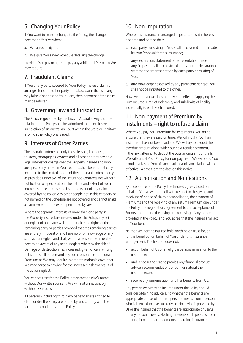## 6. Changing Your Policy

If You want to make a change to the Policy, the change becomes effective when:

- a. We agree to it; and
- b. We give You a new Schedule detailing the change,

provided You pay or agree to pay any additional Premium We may require.

## 7. Fraudulent Claims

If You or any party covered by Your Policy makes a claim or arranges for some other party to make a claim that is in any way false, dishonest or fraudulent, then payment of the claim may be refused.

## 8. Governing Law and Jurisdiction

The Policy is governed by the laws of Australia. Any dispute relating to the Policy shall be submitted to the exclusive jurisdiction of an Australian Court within the State or Territory in which the Policy was issued.

## 9. Interests of Other Parties

The insurable interest of only those lessors, financiers, trustees, mortgagees, owners and all other parties having a legal interest or charge over the Property Insured and who are specifically noted in Your records, shall be automatically included to the limited extent of their insurable interest only as provided under s49 of the Insurance Contracts Act without notification or specification. The nature and extent of such interest is to be disclosed to Us in the event of any claim covered by the Policy. Any other people not in this category or not named on the Schedule are not covered and cannot make a claim except to the extent permitted by law.

Where the separate interests of more than one party in the Property Insured are insured under the Policy, any act or neglect of one party will not prejudice the rights of the remaining party or parties provided that the remaining parties are entirely innocent of and have no prior knowledge of any such act or neglect and shall, within a reasonable time after becoming aware of any act or neglect whereby the risk of Damage or destruction has increased, give notice in writing to Us and shall on demand pay such reasonable additional Premium as We may require in order to maintain cover that We may agree to provide for the increased risk as a result of the act or neglect.

You cannot transfer the Policy into someone else's name without Our written consent. We will not unreasonably withhold Our consent.

All persons (including third party beneficiaries) entitled to claim under the Policy are bound by and comply with the terms and conditions of the Policy.

## 10. Non-imputation

Where this insurance is arranged in joint names, it is hereby declared and agreed that:

- a. each party consisting of You shall be covered as if it made its own Proposal for this insurance;
- b. any declaration, statement or representation made in any Proposal shall be construed as a separate declaration, statement or representation by each party consisting of You;
- c. any knowledge possessed by any party consisting of You shall not be imputed to the other.

However, the above does not have the effect of applying the Sum Insured, Limit of Indemnity and sub-limits of liability individually to each such insured.

## 11. Non-payment of Premium by instalments – right to refuse a claim

Where You pay Your Premium by instalments, You must ensure that they are paid on time. We will notify You if an instalment has not been paid and We will try to deduct the overdue amount along with Your next regular payment. If the next attempt to deduct the outstanding amount fails, We will cancel Your Policy for non-payment. We will send You a notice advising You of cancellation, and cancellation will be effective 14 days from the date on this notice.

## 12. Authorisation and Notifications

By acceptance of the Policy, the Insured agrees to act on behalf of You as well as itself with respect to the giving and receiving of notice of claim or cancellation, the payment of Premiums and the receiving of any return Premium due under the Policy, the negotiation, agreement to and acceptance of Endorsements, and the giving and receiving of any notice provided in the Policy, and You agree that the Insured shall act on Your behalf.

Neither We nor the Insured hold anything on trust for, or for the benefit or on behalf of You under this insurance arrangement. The Insured does not:

- act on behalf of Us or an eligible persons in relation to the insurance;
- and is not authorised to provide any financial product advice, recommendations or opinions about the insurance; and
- receive any remuneration or other benefits from Us.

Any person who may be insured under the Policy should consider obtaining advice as to whether the benefits are appropriate or useful for their personal needs from a person who is licensed to give such advice. No advice is provided by Us or the Insured that the benefits are appropriate or useful for any person's needs. Nothing prevents such persons from entering into other arrangements regarding insurance.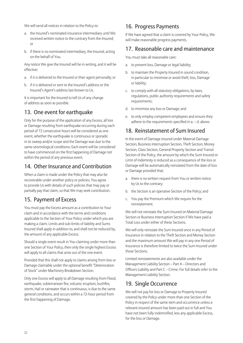We will send all notices in relation to the Policy to:

- a. the Insured's nominated insurance intermediary until We received written notice to the contrary from the Insured; or
- b. if there is no nominated intermediary, the Insured, acting on the behalf of You.

Any notice We give the Insured will be in writing, and it will be effective:

- a. if it is delivered to the Insured or their agent personally; or
- b. if it is delivered or sent to the Insured's address or the Insured's Agent's address last known to Us.

It is important for the Insured to tell Us of any change of address as soon as possible.

## 13. One event for earthquake

Only for the purpose of the application of any Excess, all loss or Damage resulting from earthquake occurring during each period of 72 consecutive hours will be considered as one event, whether the earthquake is continuous or sporadic in its sweep and/or scope and the Damage was due to the same seismological conditions. Each event will be considered to have commenced on the first happening of Damage not within the period of any previous event.

## 14. Other Insurance and Contribution

When a claim is made under the Policy that may also be recoverable under another policy or policies, You agree to provide Us with details of such policies that may pay or partially pay that claim, so that We may seek contribution.

## 15. Payment of Excess

You must pay the Excess amount as a contribution to Your claim and in accordance with the terms and conditions applicable to the Section of Your Policy under which you are making a claim. Limits and sub-limits of liability and Sums Insured shall apply in addition to, and shall not be reduced by, the amount of any applicable Excess.

Should a single event result in You claiming under more than one Section of Your Policy, then only the single highest Excess will apply to all claims that arise out of the one event.

Provided that this shall not apply to claims arising from loss or Damage claimable under the optional benefit "Deterioration of Stock" under Machinery Breakdown Section.

Only one Excess will apply to all Damage resulting from Flood, earthquake, subterranean fire, volcanic eruption, bushfire, storm, Hail or rainwater that is continuous, is due to the same general conditions, and occurs within a 72-hour period from the first happening of Damage.

## 16. Progress Payments

If We have agreed that a claim is covered by Your Policy, We will make reasonable progress payments.

### 17. Reasonable care and maintenance

You must take all reasonable care:

- a. to prevent loss, Damage or legal liability;
- b. to maintain the Property Insured in sound condition, in particular to minimise or avoid theft, loss, Damage or liability;
- c. to comply with all statutory obligations, by-laws, regulations, public authority requirements and safety requirements;
- d. to minimise any loss or Damage; and
- e. to only employ competent employees and ensure they adhere to the requirements specified in  $a. - d.$  above.

## 18. Reinstatement of Sum Insured

In the event of Damage insured under Material Damage Section, Business Interruption Section, Theft Section, Money Section, Glass Section, General Property Section and Transit Section of the Policy, the amount by which the Sum Insured or Limit of Indemnity is reduced as a consequence of the loss or Damage will be automatically reinstated from the date of loss or Damage provided that:

- a. there is no written request from You or written notice by Us to the contrary;
- b. the Section is an operative Section of the Policy; and
- c. You pay the Premium which We require for the reinstatement.

We will not reinstate the Sum Insured on Material Damage Section or Business Interruption Section if We have paid a Total Loss under either of these Sections.

We will only reinstate the Sum Insured once in any Period of Insurance in relation to the Theft Section and Money Section and the maximum amount We will pay in any one Period of Insurance is therefore limited to twice the Sum Insured under those Sections.

Limited reinstatements are also available under the Management Liability Section – Part A – Directors and Officers Liability and Part  $C$  – Crime. For full details refer to the Management Liability Section.

## 19. Single Occurrence

We will not pay for loss or Damage to Property Insured covered by the Policy under more than one Section of the Policy in respect of the same item and occurrence unless a relevant insured amount has been paid out in full and You have not been fully indemnified, less any applicable Excess, for the loss or Damage.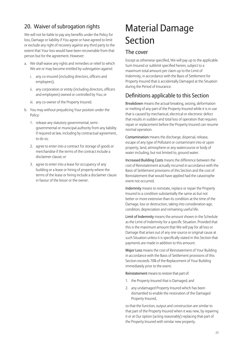## 20. Waiver of subrogation rights

We will not be liable to pay any benefits under the Policy for loss, Damage or liability if You agree or have agreed to limit or exclude any right of recovery against any third party to the extent that Your loss would have been recoverable from that person but for the agreement. However:

- a. We shall waive any rights and remedies or relief to which We are or may become entitled by subrogation against:
	- i. any co-insured (including directors, officers and employees);
	- ii. any corporation or entity (including directors, officers and employees) owned or controlled by You; or
	- iii. any co-owner of the Property Insured.
- b. You may without prejudicing Your position under the Policy:
	- 1. release any statutory governmental, semigovernmental or municipal authority from any liability if required at law, including by contractual agreement, to do so;
	- 2. agree to enter into a contract for storage of goods or merchandise if the terms of the contract include a disclaimer clause; or
	- 3. agree to enter into a lease for occupancy of any building or a lease or hiring of property where the terms of the lease or hiring include a disclaimer clause in favour of the lessor or the owner.

## Material Damage Section

### The cover

Except as otherwise specified, We will pay up to the applicable Sum Insured or sublimit specified herein, subject to a maximum total amount per claim up to the Limit of Indemnity, in accordance with the Basis of Settlement for Property Insured that is accidentally Damaged at the Situation during the Period of Insurance.

## Definitions applicable to this Section

Breakdown means the actual breaking, seizing, deformation or melting of any part of the Property Insured while it is in use that is caused by mechanical, electrical or electronic defect that results in sudden and total loss of operation that requires repair or replacement before the Property Insured can resume normal operation.

Contamination means the discharge, dispersal, release, escape of any type of Pollutant or contaminant into or upon property, land, atmosphere or any watercourse or body of water including, but not limited to, ground water.

Increased Building Costs means the difference between the cost of Reinstatement actually incurred in accordance with the Basis of Settlement provisions of this Section and the cost of Reinstatement that would have applied had the catastrophe event not occurred.

Indemnity means to reinstate, replace or repair the Property Insured to a condition substantially the same as but not better or more extensive than its condition at the time of the Damage, loss or destruction, taking into consideration age, condition, depreciation and remaining useful life.

Limit of Indemnity means the amount shown in the Schedule as the Limit of Indemnity for a specific Situation. Provided that this is the maximum amount that We will pay for all loss or Damage that arises out of any one source or original cause at such Situation unless it is specifically stated in this Section that payments are made in addition to this amount.

Major Loss means the cost of Reinstatement of Your Building in accordance with the Basis of Settlement provisions of this Section exceeds 70% of the Replacement of Your Building immediately prior to the event.

Reinstatement means to restore that part of:

- 1. the Property Insured that is Damaged; and
- 2. any undamaged Property Insured which has been dismantled to enable the restoration of the Damaged Property Insured,

so that the function, output and construction are similar to that part of the Property Insured when it was new, by repairing it or at Our option (acting reasonably) replacing that part of the Property Insured with similar new property.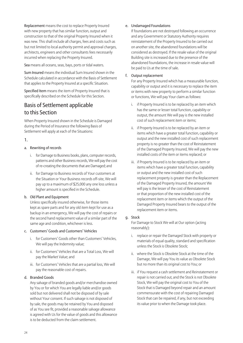Replacement means the cost to replace Property Insured with new property that has similar function, output and construction to that of the original Property Insured when it was new. This shall include all charges, fees and costs such as but not limited to local authority permit and approval charges, architects, engineers and other consultants fees necessarily incurred when replacing the Property Insured.

Sea means all oceans, seas, bays, ports or tidal waters.

Sum Insured means the individual Sum Insured shown in the Schedule calculated in accordance with the Basis of Settlement that applies to the Property Insured at a specific Situation.

Specified Item means the item of Property Insured that is specifically described on the Schedule for this Section.

## Basis of Settlement applicable to this Section

When Property Insured shown in the Schedule is Damaged during the Period of Insurance the following Basis of Settlement will apply at each of the Situations:

#### 1.

#### a. Rewriting of records

- i. for Damage to Business books, plans, computer records, patterns and other Business records, We will pay the cost of re-creating the documents that are Damaged; and
- ii. for Damage to Business records of Your customers at the Situation or Your Business records off-site, We will pay up to a maximum of \$25,000 any one loss unless a higher amount is specified in the Schedule.

#### b. Old Plant and Equipment

Unless specifically insured otherwise, for those items kept as spare parts and for any old item kept for use as a backup in an emergency, We will pay the cost of repairs or the second hand replacement value of a similar part of the same age and condition, whichever is less.

#### c. Customers' Goods and Customers' Vehicles

- i. for Customers' Goods other than Customers' Vehicles, We will pay the Indemnity value:
- ii. for Customers' Vehicles that are a Total Loss, We will pay the Market Value; and
- iii. for Customers' Vehicles that are a partial loss, We will pay the reasonable cost of repairs.

#### d. Branded Goods

Any salvage of branded goods and/or merchandise owned by You or for which You are legally liable and/or goods sold but not delivered shall not be disposed of by sale without Your consent. If such salvage is not disposed of by sale, the goods may be retained by You and disposed of as You see fit, provided a reasonable salvage allowance is agreed with Us for the value of goods and this allowance is to be deducted from the claim settlement.

#### e. Undamaged Foundations

If foundations are not destroyed following an occurrence and any Government or Statutory Authority requires reinstatement of the Property Insured to be carried out on another site, the abandoned foundations will be considered as destroyed. If the resale value of the original Building site is increased due to the presence of the abandoned foundations, the increase in resale value will be paid to Us at the time of sale.

#### f. Output replacement

For any Property Insured which has a measurable function, capability or output and it is necessary to replace the item or items with new property to perform a similar function or functions, We will pay Your claim as follows:

- i. if Property Insured is to be replaced by an item which has the same or lesser total function, capability or output, the amount We will pay is the new installed cost of such replacement item or items;
- ii. if Property Insured is to be replaced by an item or items which have a greater total function, capability or output and the new installed cost of such replacement property is no greater than the cost of Reinstatement of the Damaged Property Insured, We will pay the new installed costs of the item or items replaced; or
- iii. if Property Insured is to be replaced by an item or items which have a greater total function, capability or output and the new installed cost of such replacement property is greater than the Replacement of the Damaged Property Insured, the amount We will pay is the lesser of the cost of Reinstatement or that proportion of the new installed cost of the replacement item or items which the output of the Damaged Property Insured bears to the output of the replacement item or items.

#### g. Stock

For Damage to Stock We will at Our option (acting reasonably):

- i. replace or repair the Damaged Stock with property or materials of equal quality, standard and specification unless the Stock is Obsolete Stock;
- ii. where the Stock is Obsolete Stock at the time of the Damage, We will pay You its value as Obsolete Stock but no more than its original cost to You; or
- iii. if You request a cash settlement and Reinstatement or repair is not carried out, and the Stock is not Obsolete Stock, We will pay the original cost to You of the Stock that is Damaged beyond repair and an amount commensurate with the cost of repairing Damaged Stock that can be repaired, if any, but not exceeding its value prior to when the Damage took place.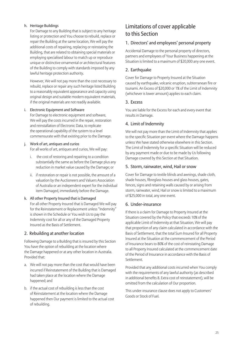#### h. Heritage Buildings

For Damage to any Building that is subject to any heritage listing or protection and You choose to rebuild, replace or repair the Building at the same location, We will pay the additional costs of repairing, replacing or reinstating the Building, that are related to obtaining special materials or employing specialised labour to match up or reproduce unique or distinctive ornamental or architectural features of the Building to comply with standards imposed by any lawful heritage protection authority.

 However, We will not pay more than the cost necessary to rebuild, replace or repair any such heritage listed Building to a reasonably equivalent appearance and capacity using original design and suitable modern equivalent materials, if the original materials are not readily available.

#### i. Electronic Equipment and Software

For Damage to electronic equipment and software, We will pay the costs incurred in the repair, restoration and reinstallation of Electronic Data, to replicate the operational capability of the system to a level commensurate with that existing prior to the Damage.

#### j. Work of art, antiques and curios

For all works of art, antiques and curios, We will pay:

- i. the cost of restoring and repairing to a condition substantially the same as before the Damage plus any reduction in market value caused by the Damage; or
- ii. if restoration or repair is not possible, the amount of a valuation by the Auctioneers and Valuers Association of Australia or an independent expert for the individual item Damaged, immediately before the Damage.

#### k. All other Property Insured that is Damaged

For all other Property Insured that is Damaged We will pay for the Reinstatement or Replacement unless "Indemnity" is shown in the Schedule or You wish Us to pay the Indemnity cost for all or any of the Damaged Property Insured as the Basis of Settlement.

#### 2. Rebuilding at another location

Following Damage to a Building that is insured by this Section You have the option of rebuilding at the location where the Damage happened or at any other location in Australia. Provided that:

- a. We will not pay more than the cost that would have been incurred if Reinstatement of the Building that is Damaged had taken place at the location where the Damage happened; and
- b. if the actual cost of rebuilding is less than the cost of Reinstatement at the location where the Damage happened then Our payment is limited to the actual cost of rebuilding.

## Limitations of cover applicable to this Section

#### 1. Directors' and employees' personal property

Accidental Damage to the personal property of directors, partners and employees of Your Business happening at the Situation is limited to a maximum of \$20,000 any one event.

#### 2. Earthquake

Cover for Damage to Property Insured at the Situation caused by earthquake, volcanic eruption, subterranean fire or tsunami. An Excess of \$20,000 or 1% of the Limit of Indemnity (whichever is lower amount) applies to each claim.

#### 3. Excess

You are liable for the Excess for each and every event that results in Damage.

#### 4. Limit of Indemnity

We will not pay more than the Limit of Indemnity that applies to the specific Situation per event where the Damage happens unless We have stated otherwise elsewhere in this Section. The Limit of Indemnity for a specific Situation will be reduced by any payment made or due to be made by Us following Damage covered by this Section at that Situation.

#### 5. Storm, rainwater, wind, Hail or snow

Cover for Damage to textile blinds and awnings, shade cloth, shade houses, fibreglass houses and glass houses, gates, fences, signs and retaining walls caused by or arising from storm, rainwater, wind, Hail or snow is limited to a maximum of \$25,000 in total, any one event.

#### 6. Under-insurance

If there is a claim for Damage to Property Insured at the Situation covered by the Policy that exceeds 10% of the applicable Limit of Indemnity at that Situation, We will pay that proportion of any claim calculated in accordance with the Basis of Settlement, that the total Sum Insured for all Property Insured at the Situation at the commencement of the Period of Insurance bears to 80% of the cost of reinstating Damage to all Property Insured calculated at the commencement date of the Period of Insurance in accordance with the Basis of Settlement.

Provided that any additional costs incurred when You comply with the requirements of any lawful authority (as described in additional benefits 8. Extra cost of reinstatement), will be omitted from the calculation of Our proportion.

This under-insurance clause does not apply to Customers' Goods or Stock of Fuel.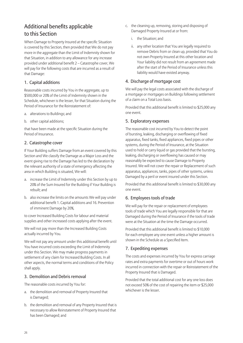## Additional benefits applicable to this Section

When Damage to Property Insured at the specific Situation is covered by this Section, then provided that We do not pay more in the aggregate than the Limit of Indemnity shown for that Situation, in addition to any allowance for any increase provided under additional benefit 2 – Catastrophe cover, We will pay for the following costs that are incurred as a result of that Damage:

#### 1. Capital additions

Reasonable costs incurred by You in the aggregate, up to \$500,000 or 20% of the Limit of Indemnity shown in the Schedule, whichever is the lesser, for that Situation during the Period of Insurance for the Reinstatement of:

- a. alterations to Buildings; and
- b. other capital additions;

that have been made at the specific Situation during the Period of Insurance.

#### 2. Catastrophe cover

If Your Building suffers Damage from an event covered by this Section and We classify the Damage as a Major Loss and the event giving rise to the Damage has led to the declaration by the relevant authority of a state of emergency affecting the area in which Building is situated, We will:

- a. increase the Limit of Indemnity under this Section by up to 20% of the Sum Insured for the Building if Your Building is rebuilt; and
- b. also increase the limits on the amounts We will pay under additional benefit 1. Capital additions and 16. Prevention of imminent Damage by 20%,

to cover Increased Building Costs for labour and material supplies and other increased costs applying after the event.

We will not pay more than the Increased Building Costs actually incurred by You.

We will not pay any amount under this additional benefit until You have incurred costs exceeding the Limit of Indemnity under this Section. We may make progress payments in settlement of any claim for Increased Building Costs. In all other aspects, the normal terms and conditions of the Policy shall apply.

#### 3. Demolition and Debris removal

The reasonable costs incurred by You for:

- a. the demolition and removal of Property Insured that is Damaged;
- b. the demolition and removal of any Property Insured that is necessary to allow Reinstatement of Property Insured that has been Damaged; and
- c. the cleaning up, removing, storing and disposing of Damaged Property Insured at or from:
	- i. the Situation; and
	- ii. any other location that You are legally required to remove Debris from or clean up, provided that You do not own Property Insured at this other location and Your liability did not result from an agreement made after the start of the Period of Insurance unless this liability would have existed anyway.

#### 4. Discharge of mortgage cost

We will pay the legal costs associated with the discharge of a mortgage or mortgages on Buildings following settlement of a claim on a Total Loss basis.

Provided that this additional benefit is limited to \$25,000 any one event.

#### 5. Exploratory expenses

The reasonable cost incurred by You to detect the point of bursting, leaking, discharging or overflowing of fixed apparatus, fixed tanks, fixed appliances, fixed pipes or other systems, during the Period of Insurance, at the Situation used to hold or carry liquid or gas provided that the bursting, leaking, discharging or overflowing has caused or may reasonably be expected to cause Damage to Property Insured. We will not cover the repair or Replacement of such apparatus, appliances, tanks, pipes of other systems, unless Damaged by a peril or event insured under this Section.

Provided that this additional benefit is limited to \$30,000 any one event.

#### 6. Employees tools of trade

We will pay for the repair or replacement of employees tools of trade which You are legally responsible for that are Damaged during the Period of Insurance if the tools of trade were at the Situation at the time the Damage occurred.

Provided that this additional benefit is limited to \$10,000 for each employee any one event unless a higher amount is shown in the Schedule as a Specified Item.

#### 7. Expediting expenses

The costs and expenses incurred by You for express carriage rates and extra payments for overtime or out of hours work incurred in connection with the repair or Reinstatement of the Property Insured that is Damaged.

Provided that the total additional cost for any one loss does not exceed 50% of the cost of repairing the item or \$25,000 whichever is the lesser.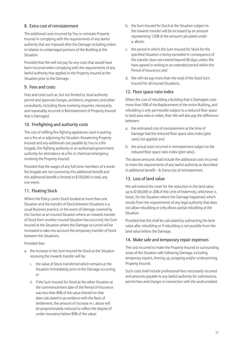#### 8. Extra cost of reinstatement

The additional costs incurred by You to reinstate Property Insured in complying with the requirements of any lawful authority that are imposed after the Damage including orders in relation to undamaged portions of the Building at the Situation.

Provided that We will not pay for any costs that would have been incurred when complying with the requirements of any lawful authority that applied to the Property Insured at the Situation prior to the Damage.

#### 9. Fees and costs

Fees and costs such as, but not limited to, local authority permit and approval charges, architects, engineers and other consultants, including those involving inquiries, necessarily and reasonably incurred in Reinstatement of Property Insured that is Damaged.

#### 10. Firefighting and authority costs

The cost of refilling fire-fighting appliances used in putting out a fire at or adjoining the Situation threatening Property Insured and any additional cost payable by You to a fire brigade, fire-fighting authority or an authorised government authority for attendance at a fire or chemical emergency involving the Property Insured.

Provided that the wages of any full-time members of a works fire brigade are not covered by this additional benefit and this additional benefit is limited to \$100,000 in total, any one event.

#### 11. Floating Stock

Where the Policy covers Stock located at more than one Situation and the transfer of Stock between Situations is a usual Business practice, in the event of Damage covered by this Section at an insured Situation where an inwards transfer of Stock from another insured Situation has occurred, the Sum Insured at the Situation where the Damage occurred will be increased to take into account the temporary transfer of Stock between the Situations.

#### Provided that:

- a. the increase in the Sum Insured for Stock at the Situation receiving the inwards transfer will be:
	- i. the value of Stock transferred which remains at the Situation immediately prior to the Damage occurring; or
	- ii. if the Sum Insured for Stock at the other Situation at the commencement date of the Period of Insurance was less than 80% of the value thereof on that date calculated in accordance with the Basis of Settlement, the amount of increase in i. above will be proportionately reduced to reflect the degree of under-insurance below 80% of the value;
- b. the Sum Insured for Stock at the Situation subject to the inwards transfer will be increased by an amount representing 120% of the amount calculated under a. above;
- c. the period in which the Sum Insured for Stock for the specified Situation is being exceeded in consequence of the transfer does not extend beyond 90 days unless We have agreed in writing to an extended period within the Period of Insurance; and
- d. We will not pay more than the total of the Stock Sum Insured for all insured Situations.

#### 12. Floor space ratio index

When the cost of rebuilding a Building that is Damaged costs more than 50% of the Replacement of the entire Building, and rebuilding is only permissible subject to a reduced floor space to land area ratio or index, then We will also pay the difference between:

- a. the estimated cost of reinstatement at the time of Damage had the reduced floor space ratio index (plot ratio) not applied; and
- b. the actual costs incurred in reinstatement subject to the reduced floor space ratio index (plot ratio).

The above amounts shall include the additional costs incurred to meet the requirements of any lawful authority as described in additional benefit  $-8$ . Extra cost of reinstatement.

#### 13. Loss of land value

We will extend the cover for the reduction in the land value up to \$100,000 or 20% of the Limit of Indemnity, whichever is lesser, for the Situation where the Damage happened, which results from the requirements of any legal authority that does not allow rebuilding or only allows partial rebuilding at the Situation.

Provided that this shall be calculated by subtracting the land value after rebuilding or if rebuilding is not possible from the land value before the Damage.

#### 14. Make safe and temporary repair expenses

The cost incurred to make the Property Insured or surrounding areas of the Situation safe following Damage, including temporary repairs, shoring up, propping and/or underpinning Property Insured.

Such costs shall include professional fees necessarily incurred and amounts payable to any lawful authority for submissions, permit fees and charges in connection with the work entailed.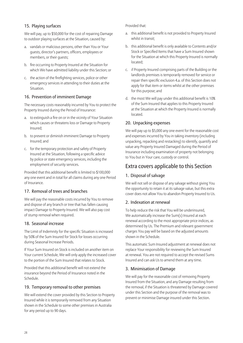#### 15. Playing surfaces

We will pay, up to \$50,000 for the cost of repairing Damage to outdoor playing surfaces at the Situation, caused by:

- a. vandals or malicious persons, other than You or Your guests, director's partners, officers, employees or members, or their guests;
- b. fire occurring to Property Insured at the Situation for which We have admitted liability under this Section; or
- c. the action of the firefighting services, police or other emergency services in attending to their duties at the Situation.

#### 16. Prevention of imminent Damage

The necessary costs reasonably incurred by You to protect the Property Insured during the Period of Insurance:

- a. to extinguish a fire on or in the vicinity of Your Situation which causes or threatens loss or Damage to Property Insured;
- b. to prevent or diminish imminent Damage to Property Insured; and
- c. for the temporary protection and safety of Property Insured at the Situation, following a specific advice by police or state emergency services, including the employment of security services.

Provided that this additional benefit is limited to \$100,000 any one event and in total for all claims during any one Period of Insurance.

#### 17. Removal of trees and branches

We will pay the reasonable costs incurred by You to remove and dispose of any branch or tree that has fallen causing impact Damage to Property Insured. We will also pay cost of stump removal when required.

#### 18. Seasonal increase

The Limit of Indemnity for the specific Situation is increased by 50% of the Sum Insured for Stock for losses occurring during Seasonal Increase Periods.

If Your Sum Insured on Stock is included on another item on Your current Schedule, We will only apply the increased cover to the portion of the Sum Insured that relates to Stock.

Provided that this additional benefit will not extend the insurance beyond the Period of Insurance noted in the Schedule.

#### 19. Temporary removal to other premises

We will extend the cover provided by this Section to Property Insured while it is temporarily removed from any Situation shown in the Schedule to some other premises in Australia for any period up to 90 days.

Provided that:

- a. this additional benefit is not provided to Property Insured whilst in transit;
- b. this additional benefit is only available to Contents and/or Stock or Specified Items that have a Sum Insured shown for the Situation at which this Property Insured is normally located;
- c. if Property Insured comprising parts of the Building or the landlords premises is temporarily removed for service or repair then specific exclusion 4.a. of this Section does not apply for that item or items whilst at the other premises for this purpose; and
- d. the most We will pay under this additional benefit is 10% of the Sum Insured that applies to this Property Insured at the Situation at which the Property Insured is normally located.

#### 20. Unpacking expenses

We will pay up to \$5,000 any one event for the reasonable cost and expenses incurred by You in taking inventory (including unpacking, repacking and restacking) to identify, quantify and value any Property Insured Damaged during the Period of Insurance including examination of property not belonging to You but in Your care, custody or control.

## Extra covers applicable to this Section

#### 1. Disposal of salvage

We will not sell or dispose of any salvage without giving You the opportunity to retain it at its salvage value, but this extra cover does not allow You to abandon Property Insured to Us.

#### 2. Indexation at renewal

To help reduce the risk that You will be underinsured, We automatically increase the Sum(s) Insured at each renewal according to the most appropriate price indices, as determined by Us. The Premium and relevant government charges You pay will be based on the adjusted amounts shown in the Schedule.

This automatic Sum Insured adjustment at renewal does not replace Your responsibility for reviewing the Sum Insured at renewal. You are not required to accept the revised Sums Insured and can ask Us to amend them at any time.

#### 3. Minimisation of Damage

We will pay for the reasonable cost of removing Property Insured from the Situation, and any Damage resulting from the removal, if the Situation is threatened by Damage covered under this Section and the purpose of the removal was to prevent or minimise Damage insured under this Section.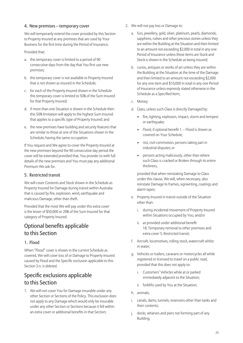#### 4. New premises – temporary cover

We will temporarily extend the cover provided by this Section to Property Insured at any premises that are used by Your Business for the first time during the Period of Insurance.

Provided that:

- a. this temporary cover is limited to a period of 90 consecutive days from the day that You first use new premises;
- b. this temporary cover is not available to Property Insured that is not shown as insured in the Schedule;
- c. for each of the Property Insured shown in the Schedule this temporary cover is limited to 50% of the Sum Insured for that Property Insured;
- d. if more than one Situation is shown in the Schedule then this 50% limitation will apply to the highest Sum Insured that applies to a specific type of Property Insured; and
- e. the new premises have building and security features that are similar to those at one of the Situations shown in the Schedule, having the same occupation.

If You request and We agree to cover the Property Insured at the new premises beyond the 90 consecutive day period the cover will be extended provided that, You provide Us with full details of the new premises and You must pay any additional Premium We ask for.

#### 5. Restricted transit

We will cover Contents and Stock shown in the Schedule as Property Insured for Damage during transit within Australia that is caused by fire, explosion, wind, earthquake and malicious Damage, other than theft.

Provided that the most We will pay under this extra cover is the lesser of \$50,000 or 20% of the Sum Insured for that category of Property Insured.

## Optional benefits applicable to this Section

#### 1. Flood

When "Flood" cover is shown in the current Schedule as covered, We will cover loss of or Damage to Property Insured caused by Flood and the Specific exclusion applicable to this Section 3.n. is deleted.

## Specific exclusions applicable to this Section

1. We will not cover You for Damage insurable under any other Section or Sections of the Policy. This exclusion does not apply to any Damage which would only be insurable under any other Section or Sections because it fell within an extra cover or additional benefits in that Section:

- 2. We will not pay loss or Damage to:
	- a. furs, jewellery, gold, silver, platinum, pearls, diamonds, sapphires, rubies and other precious stones unless they are within the Building at the Situation and then limited to an amount not exceeding \$2,000 in total in any one Period of Insurance unless these items are Stock and Stock is shown in the Schedule as being insured;
	- b. curios, antiques or works of art unless they are within the Building at the Situation at the time of the Damage and then limited to an amount not exceeding \$2,000 for any one item and \$10,000 in total in any one Period of Insurance unless expressly stated otherwise in the Schedule as a Specified Item;
	- c. Money;
	- d. Glass, unless such Glass is directly Damaged by:
		- fire, lighting, explosion, impact, storm and tempest or earthquake;
		- $\bullet$  Flood, if optional benefit 1. Flood is shown as covered on Your Schedule;
		- riot, civil commotion, persons taking part in industrial disputes; or
		- persons acting maliciously, other than where such Glass is cracked or Broken through its entire thickness,

 provided that when reinstating Damage to Glass under this clause, We will, when necessary, also reinstate Damage to frames, signwriting, coatings and alarm tapes;

- e. Property Insured in transit outside of the Situation other than:
	- i. during incidental movement of Property Insured within Situations occupied by You; and/or
	- ii. as provided under additional benefit 18. Temporary removal to other premises and extra cover 5. Restricted transit;
- f. Aircraft, locomotives, rolling stock, watercraft whilst in water;
- g. Vehicles or trailers, caravans or motorcycles all while registered or licensed to travel on a public road, provided that this does not apply to:
	- i. Customers' Vehicles while at or parked immediately adjacent to the Situation;
	- ii. forklifts used by You at the Situation;
- h. animals;
- i. canals, dams, tunnels, reservoirs other than tanks and their contents;
- j. docks, wharves and piers not forming part of any Building;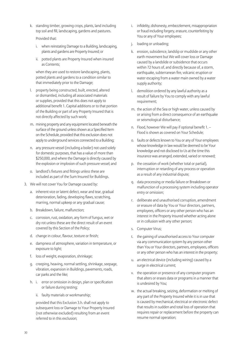k. standing timber, growing crops, plants, land including top soil and fill, landscaping, gardens and pastures.

Provided that:

- i. when reinstating Damage to a Building, landscaping, plants and gardens are Property Insured; or
- ii. potted plants are Property Insured when insured as Contents;

when they are used to restore landscaping, plants, potted plants and gardens to a condition similar to that immediately prior to the Damage;

- l. property being constructed, built, erected, altered or dismantled, including all associated materials or supplies, provided that this does not apply to additional benefit 1. Capital additions or to that portion of the Building or part of any Property Insured that is not directly affected by such work;
- m. mining property and any equipment located beneath the surface of the ground unless shown as a Specified Item on the Schedule, provided that this exclusion does not apply to underground services connected to a Building;
- n. any pressure vessel (including a boiler) not used solely for domestic purposes, that has a value of more than \$250,000, and where the Damage is directly caused by the explosion or implosion of such pressure vessel; and
- o. landlord's fixtures and fittings unless these are included as part of the Sum Insured for Buildings.
- 3. We will not cover You for Damage caused by:
	- a. inherent vice or latent defect, wear and tear, gradual deterioration, fading, developing flaws, scratching, marring, normal upkeep or any gradual cause;
	- b. Breakdown, failure, malfunction;
	- c. corrosion, rust, oxidation, any form of fungus, wet or dry rot unless these are the direct result of an event covered by this Section of the Policy;
	- d. change in colour, flavour, texture or finish;
	- e. dampness of atmosphere, variation in temperature, or exposure to light;
	- f. loss of weight, evaporation, shrinkage;
	- g. creeping, heaving, normal settling, shrinkage, seepage, vibration, expansion in Buildings, pavements, roads, car parks and the like;
	- h. i. error or omission in design, plan or specification or failure during testing;
		- ii. faulty materials or workmanship;

 provided that this Exclusion 3.h. shall not apply to subsequent loss or Damage to Your Property Insured (not otherwise excluded) resulting from an event referred to in this exclusion;

- i. infidelity, dishonesty, embezzlement, misappropriation or fraud including forgery, erasure, counterfeiting by You or any of Your employees;
- j. loading or unloading;
- k. erosion, subsidence, landslip or mudslide or any other earth movement but We will cover loss or Damage caused by a landslide or subsidence that occurs within 72 hours of, and directly because of, a storm, earthquake, subterranean fire, volcanic eruption or water escaping from a water main owned by a water supply authority;
- l. demolition ordered by any lawful authority as a result of failure by You to comply with any lawful requirement;
- m. the action of the Sea or high water, unless caused by or arising from a direct consequence of an earthquake or seismological disturbance;
- n. Flood, however We will pay if optional benefit  $1, -$ Flood is shown as covered on Your Schedule;
- o. faults or defects known to You or any of Your employees whose knowledge in law would be deemed to be Your knowledge and not disclosed to Us at the time this insurance was arranged, extended, varied or renewed;
- p. the cessation of work (whether total or partial), interruption or retarding of any process or operation as a result of any industrial dispute;
- q. data processing or media failure or Breakdown or malfunction of a processing system including operator entry or omission;
- r. deliberate and unauthorised corruption, amendment or erasure of data by You or Your directors, partners, employees, officers or any other person who has an interest in the Property Insured whether acting alone or in collusion with any other person;
- s. Computer Virus;
- t. the gaining of unauthorised access to Your computer via any communication system by any person other than You or Your directors, partners, employees, officers or any other person who has an interest in the property;
- u. an electrical device (including wiring) caused by a surge in electrical current;
- v. the operation or presence of any computer program that alters or erases data or programs in a manner that is undesired by You;
- w. the actual breaking, seizing, deformation or melting of any part of the Property Insured while it is in use that is caused by mechanical, electrical or electronic defect that results in sudden and total loss of operation that requires repair or replacement before the property can resume normal operation;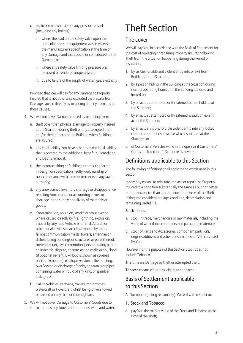- x. explosion or implosion of any pressure vessels (including any boilers):
	- i. where the load on the safety valve upon the particular pressure equipment was in excess of the manufacturer's specification at the time of any Damage and this caused or contributed to the Damage; or
	- ii. where any safety valve limiting pressure was removed or rendered inoperative; or
	- iii. due to failure of the supply of water, gas, electricity or fuel.

 Provided that We will pay for any Damage to Property Insured that is not otherwise excluded that results from Damage caused directly by or arising directly from any of these causes.

- 4. We will not cover Damage caused by or arising from:
	- a. theft other than physical Damage to Property Insured at the Situation during theft or any attempted theft and/or theft of parts of the Building when Buildings are insured;
	- b. any legal liability You have other than the legal liability that is covered by the additional benefit 3. Demolition and Debris removal;
	- c. the incorrect siting of Buildings as a result of error in design or specification, faulty workmanship or non-compliance with the requirements of any lawful authority;
	- d. any unexplained inventory shortage or disappearance resulting from clerical or accounting errors, or shortage in the supply or delivery of materials or goods;
	- e. Contamination, pollution, smoke or smut except where caused directly by fire, lightning, explosion, impact by any road Vehicle or animal, Aircraft or other aerial devices or articles dropped by them, falling communication masts, towers, antennae or dishes, falling buildings or structures or parts thereof, meteorite, riot, civil commotion, persons taking part in an industrial dispute, persons acting maliciously, Flood (if optional benefit  $1. -$  Flood is shown as covered on Your Schedule), earthquake, storm, the bursting, overflowing or discharge of tanks, apparatus or pipes containing water or liquid of any kind, or sprinkler leakage; or
	- f. Hail to Vehicles, caravans, trailers, motorcycles, watercraft or Hovercraft whilst being driven, towed or carried on any road or thoroughfare.
- 5. We will not cover Damage to Customers' Goods due to storm, tempest, cyclones and tornadoes, wind and water.

## Theft Section

## The cover

We will pay You in accordance with the Basis of Settlement for the cost of replacing or repairing Property Insured following Theft from the Situation happening during the Period of Insurance:

- 1. by visible, forcible and violent entry into or exit from Buildings at the Situation;
- 2. by a person hiding in the Building at the Situation during normal operating hours until the Building is closed and locked up;
- 3. by an actual, attempted or threatened armed hold up at the Situation;
- 4. by an actual, attempted or threatened assault or violent act at the Situation;
- 5. by an actual visible, forcible violent entry into any locked cabinet, counter or showcase which is located at the Situation; or
- 6. of Customers' Vehicles while in the open air if Customers' Goods are listed in the Schedule as covered.

## Definitions applicable to this Section

The following definitions shall apply to the words used in this Section.

Indemnity means to reinstate, replace or repair the Property Insured to a condition substantially the same as but not better or more extensive than its condition at the time of the Theft taking into consideration age, condition, depreciation and remaining useful life.

Stock means:

- a. stock in trade, merchandise or raw materials, including the value of work done, containers and packaging materials;
- b. stock of Parts and Accessories, component parts, oils, engine additives and other consumables for Vehicles used by You.

However, for the purpose of this Section Stock does not include Tobacco.

Theft means Damage by theft or attempted theft.

Tobacco means cigarettes, cigars and tobacco.

## Basis of Settlement applicable to this Section

At Our option (acting reasonably), We will with respect to:

- 1. Stock and Tobacco:
- a. pay You the market value of the Stock and Tobacco at the time of the Theft;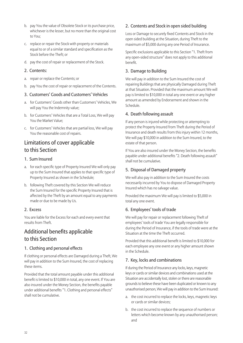- b. pay You the value of Obsolete Stock or its purchase price, whichever is the lesser, but no more than the original cost to You;
- c. replace or repair the Stock with property or materials equal to or of a similar standard and specification as the Stock before the Theft; or
- d. pay the cost of repair or replacement of the Stock.

#### 2. Contents:

- a. repair or replace the Contents; or
- b. pay You the cost of repair or replacement of the Contents.

#### 3. Customers' Goods and Customers' Vehicles

- a. for Customers' Goods other than Customers' Vehicles, We will pay You the Indemnity value;
- b. for Customers' Vehicles that are a Total Loss, We will pay You the Market Value;
- c. for Customers' Vehicles that are partial loss, We will pay You the reasonable cost of repairs.

## Limitations of cover applicable to this Section

#### 1. Sum Insured

- a. for each specific type of Property Insured We will only pay up to the Sum Insured that applies to that specific type of Property Insured as shown in the Schedule;
- b. following Theft covered by this Section We will reduce the Sum Insured for the specific Property Insured that is affected by the Theft by an amount equal to any payments made or due to be made by Us.

#### 2. Excess

You are liable for the Excess for each and every event that results from Theft.

## Additional benefits applicable to this Section

#### 1. Clothing and personal effects

If clothing or personal effects are Damaged during a Theft, We will pay in addition to the Sum Insured, the cost of replacing these items.

Provided that the total amount payable under this additional benefit is limited to \$10,000 in total, any one event. If You are also insured under the Money Section, the benefits payable under additional benefits "1. Clothing and personal effects" shall not be cumulative.

#### 2. Contents and Stock in open sided building

Loss or Damage to securely fixed Contents and Stock in the open sided building at the Situation, during Theft to the maximum of \$5,000 during any one Period of Insurance.

Specific exclusions applicable to this Section "1. Theft from any open-sided structure" does not apply to this additional **benefit** 

#### 3. Damage to Building

We will pay in addition to the Sum Insured the cost of repairing Buildings that are physically Damaged during Theft at that Situation. Provided that the maximum amount We will pay is limited to \$10,000 in total any one event or any higher amount as amended by Endorsement and shown in the Schedule.

#### 4. Death following assault

If any person is injured while protecting or attempting to protect the Property Insured from Theft during the Period of Insurance and death results from this injury within 12 months, We will pay \$10,000 in addition to the Sum Insured, to the estate of that person.

If You are also insured under the Money Section, the benefits payable under additional benefits "2. Death following assault" shall not be cumulative.

#### 5. Disposal of Damaged property

We will also pay in addition to the Sum Insured the costs necessarily incurred by You to dispose of Damaged Property Insured which has no salvage value.

Provided the maximum We will pay is limited to \$5,000 in total any one event.

#### 6. Employees' tools of trade

We will pay for repair or replacement following Theft of employees' tools of trade You are legally responsible for during the Period of Insurance, if the tools of trade were at the Situation at the time the Theft occurred.

Provided that this additional benefit is limited to \$10,000 for each employee any one event or any higher amount shown in the Schedule.

#### 7. Key, locks and combinations

If during the Period of Insurance any locks, keys, magnetic keys or cards or similar devices and combinations used at the Situation are accidentally lost, stolen or there are reasonable grounds to believe these have been duplicated or known to any unauthorised person, We will pay in addition to the Sum Insured:

- a. the cost incurred to replace the locks, keys, magnetic keys or cards or similar devices;
- b. the cost incurred to replace the sequence of numbers or letters which become known by any unauthorised person; and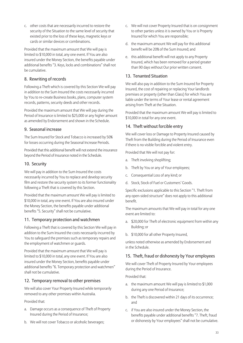c. other costs that are necessarily incurred to restore the security of the Situation to the same level of security that existed prior to the loss of these keys, magnetic keys or cards or similar devices or combinations.

Provided that the maximum amount that We will pay is limited to \$10,000 in total, any one event. If You are also insured under the Money Section, the benefits payable under additional benefits "3. Keys, locks and combinations" shall not be cumulative.

#### 8. Rewriting of records

Following a Theft which is covered by this Section We will pay in addition to the Sum Insured the costs necessarily incurred by You to re-create Business books, plans, computer system records, patterns, security deeds and other records.

Provided the maximum amount that We will pay during the Period of Insurance is limited to \$25,000 or any higher amount as amended by Endorsement and shown in the Schedule.

#### 9. Seasonal increase

The Sum Insured for Stock and Tobacco is increased by 50% for losses occurring during the Seasonal Increase Periods.

Provided that this additional benefit will not extend the insurance beyond the Period of Insurance noted in the Schedule.

#### 10. Security

We will pay in addition to the Sum Insured the costs necessarily incurred by You to replace and develop security film and restore the security system to its former functionality following a Theft that is covered by this Section.

Provided that the maximum amount We will pay is limited to \$10,000 in total, any one event. If You are also insured under the Money Section, the benefits payable under additional benefits "5. Security" shall not be cumulative.

#### 11. Temporary protection and watchmen

Following a Theft that is covered by this Section We will pay in addition to the Sum Insured the costs necessarily incurred by You to safeguard the premises such as temporary repairs and the employment of watchmen or guards.

Provided that the maximum amount that We will pay is limited to \$10,000 in total, any one event. If You are also insured under the Money Section, benefits payable under additional benefits "6. Temporary protection and watchmen" shall not be cumulative.

#### 12. Temporary removal to other premises

We will also cover Your Property Insured while temporarily removed to any other premises within Australia.

Provided that:

- a. Damage occurs as a consequence of Theft of Property Insured during the Period of Insurance;
- b. We will not cover Tobacco or alcoholic beverages;
- c. We will not cover Property Insured that is on consignment to other parties unless it is owned by You or is Property Insured for which You are responsible;
- d. the maximum amount We will pay for this additional benefit will be 20% of the Sum Insured: and
- e. this additional benefit will not apply to any Property Insured, which has been removed for a period greater than 90 days without Our prior written consent.

#### 13. Tenanted Situation

We will also pay in addition to the Sum Insured for Property Insured, the cost of repairing or replacing Your landlords premises or property (other than Glass) for which You are liable under the terms of Your lease or rental agreement arising from Theft at the Situation.

Provided that the maximum amount We will pay is limited to \$10,000 in total for any one event.

#### 14. Theft without forcible entry

We will cover loss or Damage to Property Insured caused by Theft from the Building during the Period of Insurance even if there is no visible forcible and violent entry.

Provided that We will not pay for:

- a. Theft involving shoplifting;
- b. Theft by You or any of Your employees;
- c. Consequential Loss of any kind; or
- d. Stock, Stock of Fuel or Customers' Goods.

Specific exclusions applicable to this Section "1. Theft from any open-sided structure" does not apply to this additional benefit.

The maximum amounts that We will pay in total for any one event are limited to:

- a. \$20,000 for Theft of electronic equipment from within any Building; or
- b. \$10,000 for all other Property Insured,

unless noted otherwise as amended by Endorsement and in the Schedule.

#### 15. Theft, fraud or dishonesty by Your employees

We will cover Theft of Property Insured by Your employees during the Period of Insurance.

Provided that:

- a. the maximum amount We will pay is limited to \$1,000 during any one Period of Insurance;
- b. the Theft is discovered within 21 days of its occurrence; and
- c. if You are also insured under the Money Section, the benefits payable under additional benefits "7. Theft, fraud or dishonesty by Your employees" shall not be cumulative.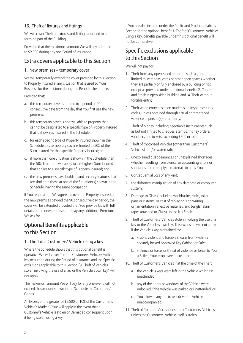#### 16. Theft of fixtures and fittings

We will cover Theft of fixtures and fittings attached to or forming part of the Building.

Provided that the maximum amount We will pay is limited to \$2,000 during any one Period of Insurance.

## Extra covers applicable to this Section

#### 1. New premises – temporary cover

We will temporarily extend the cover provided by this Section to Property Insured at any situation that is used by Your Business for the first time during the Period of Insurance.

Provided that:

- a. this temporary cover is limited to a period of 90 consecutive days from the day that You first use the new premises;
- b. this temporary cover is not available to property that cannot be designated to a specific type of Property Insured that is shown as insured in the Schedule;
- c. for each specific type of Property Insured shown in the Schedule this temporary cover is limited to 50% of the Sum Insured for that specific Property Insured; or
- d. if more than one Situation is shown in the Schedule then this 50% limitation will apply to the highest Sum Insured that applies to a specific type of Property Insured; and
- e. the new premises have building and security features that are similar to those at one of the Situation(s) shown in the Schedule, having the same occupation.

If You request and We agree to cover the Property Insured at the new premises beyond the 90 consecutive day period, the cover will be extended provided that You provide Us with full details of the new premises and pay any additional Premium We ask for.

## Optional Benefits applicable to this Section

#### 1. Theft of a Customers' Vehicle using a key

Where the Schedule shows that this optional benefit is operative We will cover Theft of Customers' Vehicles with a key occurring during the Period of Insurance and the Specific exclusions applicable to this Section "9. Theft of Vehicles stolen involving the use of a key or the Vehicle's own key" will not apply.

The maximum amount We will pay for any one event will not exceed the amount shown in the Schedule for Customers' Goods.

An Excess of the greater of \$2,500 or 10% of the Customer's Vehicle's Market Value will apply in the event that a Customer's Vehicle is stolen or Damaged consequent upon it being stolen using a key.

If You are also insured under the Public and Products Liability Section for the optional benefit 1. Theft of Customers' Vehicles using a key, benefits payable under this optional benefit will not be cumulative.

## Specific exclusions applicable to this Section

We will not pay for:

- 1. Theft from any open-sided structure such as, but not limited to, verandas, yards or other open spaces whether they are partially or fully enclosed by a building or not, except as provided under additional benefits 2. Contents and Stock in open sided building and14. Theft without forcible entry;
- 2. Theft when entry has been made using keys or security codes, unless obtained through actual or threatened violence to person(s) or property;
- 3. Theft of Money including negotiable instruments such as but not limited to cheques, stamps, money orders, vouchers and tickets exceeding \$500 in total;
- 4. Theft of motorised Vehicles (other than Customers' Vehicles) and/or watercraft;
- 5. unexplained disappearances or unexplained shortages whether resulting from clerical or accounting errors or shortages in the supply of materials to or by You;
- 6. Consequential Loss of any kind;
- 7. the dishonest manipulation of any database or computer system;
- 8. Damage to Glass (including washbasins, sinks, toilet pans or cisterns, or cost of replacing sign writing, ornamentation, reflective materials and burglar alarm tapes attached to Glass) unless it is Stock;
- 9. Theft of Customers' Vehicles stolen involving the use of a key or the Vehicle's own key. This exclusion will not apply if the Vehicle's key is obtained by:
	- a. visible, violent and forcible means from within a securely locked Approved Key Cabinet or Safe;
	- b. violence or force, or threat of violence or force, to You, a Bailee, Your employee or customer;
- 10. Theft of Customers' Vehicles if at the time of the Theft:
	- a. the Vehicle's keys were left in the Vehicle whilst it is unattended;
	- b. any of the doors or windows of the Vehicle were unlocked if the Vehicle was parked or unattended; or
	- c. You allowed anyone to test drive the Vehicle unaccompanied.
- 11. Theft of Parts and Accessories from Customers' Vehicles unless the Customers' Vehicle itself is stolen.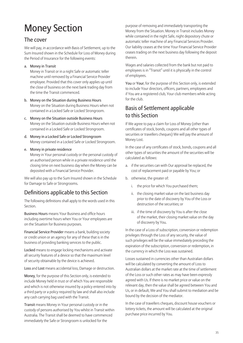# Money Section

### The cover

We will pay, in accordance with Basis of Settlement, up to the Sum Insured shown in the Schedule for Loss of Money during the Period of Insurance for the following events:

a. Money in Transit

Money in Transit or in a night Safe or automatic teller machine until removed by a Financial Service Provider employee. Provided that this cover only applies up until the close of business on the next bank trading day from the time the Transit commenced.

- b. Money on the Situation during Business Hours Money on the Situation during Business Hours when not contained in a Locked Safe or Locked Strongroom.
- c. Money on the Situation outside Business Hours Money on the Situation outside Business Hours when not contained in a Locked Safe or Locked Strongroom.
- d. Money in a Locked Safe or Locked Strongroom Money contained in a Locked Safe or Locked Strongroom.
- e. Money in private residence

Money in Your personal custody or the personal custody of an authorised person while in a private residence until the closing time on next business day when the Money can be deposited with a Financial Service Provider.

We will also pay up to the Sum Insured shown in the Schedule for Damage to Safe or Strongrooms.

# Definitions applicable to this Section

The following definitions shall apply to the words used in this Section.

Business Hours means Your Business and office hours including overtime hours when You or Your employees are on the Situation for Business purposes.

Financial Service Provider means a bank, building society or credit union or an agency for any of these that is in the business of providing banking services to the public.

Locked means to engage locking mechanisms and activate all security features of a device so that the maximum level of security obtainable by the device is achieved.

Loss and Lost means accidental loss, Damage or destruction.

Money, for the purpose of this Section only, is extended to include Money held in trust or of which You are responsible and which is not otherwise insured by a policy entered into by a third party or a policy required by law and shall also include any cash carrying bag used with the Transit.

Transit means Money in Your personal custody or in the custody of persons authorised by You whilst in Transit within Australia. The Transit shall be deemed to have commenced immediately the Safe or Strongroom is unlocked for the

purpose of removing and immediately transporting the Money from the Situation. Money in Transit includes Money while contained in the night Safe, night depository chute or automatic teller machine of any Financial Services Provider. Our liability ceases at the time Your Financial Service Provider ceases trading on the next business day following the deposit therein.

Wages and salaries collected from the bank but not paid to employees is in "Transit" until it is physically in the control of employees.

You or Your, for the purpose of this Section only, is extended to include Your directors, officers, partners, employees and if You are a registered club, Your club members while acting for the club.

### Basis of Settlement applicable to this Section

If We agree to pay a claim for Loss of Money (other than certificates of stock, bonds, coupons and all other types of securities or travellers cheques) We will pay the amount of Money Lost.

In the case of any certificates of stock, bonds, coupons and all other types of securities the amount of the securities will be calculated as follows:

- a. if the securities can with Our approval be replaced, the cost of replacement paid or payable by You; or
- b. otherwise, the greater of:
	- i. the price for which You purchased them;
	- ii. the closing market value on the last business day prior to the date of discovery by You of the Loss or destruction of the securities; or
	- iii. if the time of discovery by You is after the close of the market, their closing market value on the day of discovery by You.

In the case of a Loss of subscription, conversion or redemption privileges through the Loss of any security, the value of such privileges will be the value immediately preceding the expiration of the subscription, conversion or redemption, in the currency in which the Loss was sustained.

Losses sustained in currencies other than Australian dollars will be calculated by converting the amount of Loss to Australian dollars at the market rate at the time of settlement of the Loss or such other rates as may have been expressly agreed with Us. If there is no market price or value on the relevant day, then the value shall be agreed between You and Us, or in default, We and You shall submit to mediation and be bound by the decision of the mediator.

In the case of travellers cheques, discount house vouchers or lottery tickets, the amount will be calculated at the original purchase price incurred by You.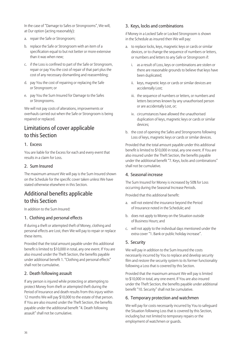In the case of "Damage to Safes or Strongrooms", We will, at Our option (acting reasonably):

- a. repair the Safe or Strongroom;
- b. replace the Safe or Strongroom with an item of a specification equal to but not better or more extensive than it was when new;
- c. if the Loss is confined to part of the Safe or Strongroom, repair or pay You the cost of repair of that part plus the cost of any necessary dismantling and reassembling;
- d. pay You the cost of repairing or replacing the Safe or Strongroom; or
- e. pay You the Sum Insured for Damage to the Safes or Strongrooms.

We will not pay costs of alterations, improvements or overhauls carried out when the Safe or Strongroom is being repaired or replaced.

### Limitations of cover applicable to this Section

### 1. Excess

You are liable for the Excess for each and every event that results in a claim for Loss.

### 2. Sum Insured

The maximum amount We will pay is the Sum Insured shown on the Schedule for the specific cover taken unless We have stated otherwise elsewhere in this Section.

## Additional benefits applicable to this Section

In addition to the Sum Insured:

### 1. Clothing and personal effects

If during a theft or attempted theft of Money, clothing and personal effects are Lost, then We will pay to repair or replace these items.

Provided that the total amount payable under this additional benefit is limited to \$10,000 in total, any one event. If You are also insured under the Theft Section, the benefits payable under additional benefit 1. "Clothing and personal effects" shall not be cumulative.

### 2. Death following assault

If any person is injured while protecting or attempting to protect Money from theft or attempted theft during the Period of Insurance and death results from this injury within 12 months We will pay \$10,000 to the estate of that person. If You are also insured under the Theft Section, the benefits payable under the additional benefit "4. Death following assault" shall not be cumulative.

### 3. Keys, locks and combinations

if Money in a Locked Safe or Locked Strongroom is shown in the Schedule as insured then We will pay:

- a. to replace locks, keys, magnetic keys or cards or similar devices, or to change the sequence of numbers or letters, or numbers and letters to any Safe or Strongroom if:
	- i. as a result of Loss, keys or combinations are stolen or there are reasonable grounds to believe that keys have been duplicated;
	- ii. keys, magnetic keys or cards or similar devices are accidentally Lost;
	- iii. the sequence of numbers or letters, or numbers and letters becomes known by any unauthorised person or are accidentally Lost, or;
	- iv. circumstances have allowed the unauthorised duplication of keys, magnetic keys or cards or similar devices;
- b. the cost of opening the Safes and Strongrooms following Loss of keys, magnetic keys or cards or similar devices.

Provided that the total amount payable under this additional benefit is limited to \$10,000 in total, any one event. If You are also insured under the Theft Section, the benefits payable under the additional benefit "7. Keys, locks and combinations" shall not be cumulative.

### 4. Seasonal increase

The Sum Insured for Money is increased by 50% for Loss occurring during the Seasonal Increase Periods.

Provided that this additional benefit:

- a. will not extend the insurance beyond the Period of Insurance noted in the Schedule; and
- b. does not apply to Money on the Situation outside of Business Hours; and
- c. will not apply to the individual days mentioned under the extra cover "1. Bank or public holiday increase".

### 5. Security

We will pay in addition to the Sum Insured the costs necessarily incurred by You to replace and develop security film and restore the security system to its former functionality following a Loss that is covered by this Section.

Provided that the maximum amount We will pay is limited to \$10,000 in total, any one event. If You are also insured under the Theft Section, the benefits payable under additional benefit "10. Security" shall not be cumulative.

### 6. Temporary protection and watchmen

We will pay for costs necessarily incurred by You to safeguard the Situation following Loss that is covered by this Section, including but not limited to temporary repairs or the employment of watchmen or guards.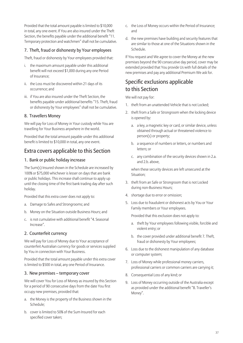Provided that the total amount payable is limited to \$10,000 in total, any one event. If You are also insured under the Theft Section, the benefits payable under the additional benefit "11. Temporary protection and watchmen" shall not be cumulative.

### 7. Theft, fraud or dishonesty by Your employees

Theft, fraud or dishonesty by Your employees provided that:

- i. the maximum amount payable under this additional benefit will not exceed \$1,000 during any one Period of Insurance;
- ii. the Loss must be discovered within 21 days of its occurrence; and
- iii. if You are also insured under the Theft Section, the benefits payable under additional benefits "15. Theft, fraud or dishonesty by Your employees" shall not be cumulative.

### 8. Travellers Money

We will pay for Loss of Money in Your custody while You are travelling for Your Business anywhere in the world.

Provided that the total amount payable under this additional benefit is limited to \$10,000 in total, any one event.

### Extra covers applicable to this Section

### 1. Bank or public holiday increase

The Sum(s) Insured shown in the Schedule are increased by 100% or \$75,000 whichever is lesser on days that are bank or public holidays. This increase shall continue to apply up until the closing time of the first bank trading day after such holiday.

Provided that this extra cover does not apply to:

- a. Damage to Safes and Strongrooms; and
- b. Money on the Situation outside Business Hours; and
- c. is not cumulative with additional benefit "4. Seasonal Increase".

### 2. Counterfeit currency

We will pay for Loss of Money due to Your acceptance of counterfeit Australian currency for goods or services supplied by You in connection with Your Business.

Provided that the total amount payable under this extra cover is limited to \$500 in total, any one Period of Insurance.

#### 3. New premises – temporary cover

We will cover You for Loss of Money as insured by this Section for a period of 90 consecutive days from the date You first occupy new premises, provided that:

- a. the Money is the property of the Business shown in the Schedule;
- b. cover is limited to 50% of the Sum Insured for each specified cover taken;
- c. the Loss of Money occurs within the Period of Insurance; and
- d. the new premises have building and security features that are similar to those at one of the Situations shown in the Schedule.

If You request and We agree to cover the Money at the new premises beyond the 90 consecutive day period, cover may be extended provided that You provide Us with full details of the new premises and pay any additional Premium We ask for.

### Specific exclusions applicable to this Section

We will not pay for:

- 1. theft from an unattended Vehicle that is not Locked;
- 2. theft from a Safe or Strongroom when the locking device is opened by:
	- a. a key, a magnetic key or card, or similar device, unless obtained through actual or threatened violence to person(s) or property;
	- b. a sequence of numbers or letters, or numbers and letters; or
	- c. any combination of the security devices shown in 2.a. and 2.b. above,

 when these security devices are left unsecured at the Situation;

- 3. theft from an Safe or Strongroom that is not Locked during non-Business Hours;
- 4. shortage due to error or omission;
- 5. Loss due to fraudulent or dishonest acts by You or Your Family members or Your employees.

Provided that this exclusion does not apply to:

- a. theft by Your employees following visible, forcible and violent entry; or
- b. the cover provided under additional benefit 7. Theft, fraud or dishonesty by Your employees;
- 6. Loss due to the dishonest manipulation of any database or computer system;
- 7. Loss of Money while professional money carriers, professional carriers or common carriers are carrying it;
- 8. Consequential Loss of any kind; or
- 9. Loss of Money occurring outside of the Australia except as provided under the additional benefit "8. Traveller's Money".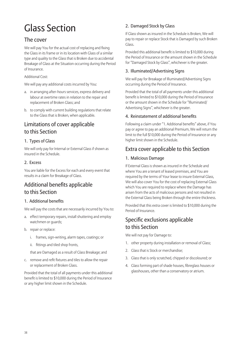# Glass Section

### The cover

We will pay You for the actual cost of replacing and fixing the Glass in its frame or in its location with Glass of a similar type and quality to the Glass that is Broken due to accidental Breakage of Glass at the Situation occurring during the Period of Insurance.

### Additional Cost:

We will pay any additional costs incurred by You:

- a. in arranging after-hours services, express delivery and labour at overtime rates in relation to the repair and replacement of Broken Glass; and
- b. to comply with current building regulations that relate to the Glass that is Broken, when applicable.

## Limitations of cover applicable to this Section

### 1. Types of Glass

We will only pay for Internal or External Glass if shown as insured in the Schedule.

### 2. Excess

You are liable for the Excess for each and every event that results in a claim for Breakage of Glass.

# Additional benefits applicable to this Section

### 1. Additional benefits

We will pay the costs that are necessarily incurred by You to:

- a. effect temporary repairs, install shuttering and employ watchmen or guards;
- b. repair or replace:
	- i. frames, sign-writing, alarm tapes, coatings; or
	- ii. fittings and tiled shop fronts,

that are Damaged as a result of Glass Breakage; and

c. remove and refit fixtures and tiles to allow the repair or replacement of Broken Glass.

Provided that the total of all payments under this additional benefit is limited to \$10,000 during the Period of Insurance or any higher limit shown in the Schedule.

### 2. Damaged Stock by Glass

If Glass shown as insured in the Schedule is Broken, We will pay to repair or replace Stock that is Damaged by such Broken Glass.

Provided this additional benefit is limited to \$10,000 during the Period of Insurance or the amount shown in the Schedule for "Damaged Stock by Glass", whichever is the greater.

### 3. Illuminated/Advertising Signs

We will pay for Breakage of Illuminated/Advertising Signs occurring during the Period of Insurance.

Provided that the total of all payments under this additional benefit is limited to \$10,000 during the Period of Insurance or the amount shown in the Schedule for "Illuminated/ Advertising Signs", whichever is the greater.

### 4. Reinstatement of additional benefits

Following a claim under "1. Additional benefits" above, if You pay or agree to pay an additional Premium, We will return the limit to the full \$10,000 during the Period of Insurance or any higher limit shown in the Schedule.

### Extra cover applicable to this Section

### 1. Malicious Damage

If External Glass is shown as insured in the Schedule and where You are a tenant of leased premises, and You are required by the terms of Your lease to insure External Glass, We will also cover You for the cost of replacing External Glass which You are required to replace where the Damage has arisen from the acts of malicious persons and not resulted in the External Glass being Broken through the entire thickness.

Provided that this extra cover is limited to \$10,000 during the Period of Insurance.

## Specific exclusions applicable to this Section

We will not pay for Damage to:

- 1. other property during installation or removal of Glass;
- 2. Glass that is Stock or merchandise;
- 3. Glass that is only scratched, chipped or discoloured; or
- 4. Glass forming part of shade houses, fibreglass houses or glasshouses, other than a conservatory or atrium.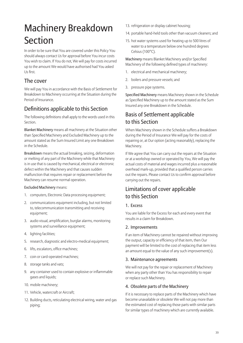# Machinery Breakdown Section

 In order to be sure that You are covered under this Policy You should always contact Us for approval before You incur costs You wish to claim. If You do not, We will pay for costs incurred up to the amount We would have authorised had You asked Us first.

## The cover

We will pay You in accordance with the Basis of Settlement for Breakdown to Machinery occurring at the Situation during the Period of Insurance.

# Definitions applicable to this Section

The following definitions shall apply to the words used in this Section.

Blanket Machinery means all machinery at the Situation other than Specified Machinery and Excluded Machinery up to the amount stated as the Sum Insured Limit any one Breakdown in the Schedule.

Breakdown means the actual breaking, seizing, deformation or melting of any part of the Machinery while that Machinery is in use that is caused by mechanical, electrical or electronic defect within the Machinery and that causes sudden malfunction that requires repair or replacement before the Machinery can resume normal operation.

### Excluded Machinery means:

- 1. computers, Electronic Data processing equipment;
- 2. communications equipment including, but not limited to, telecommunication transmitting and receiving equipment;
- 3. audio visual, amplification, burglar alarms, monitoring systems and surveillance equipment;
- 4. lighting facilities;
- 5. research, diagnostic and electro-medical equipment;
- 6. lifts, escalators, office machines;
- 7. coin or card-operated machines;
- 8. storage tanks and vats;
- 9. any container used to contain explosive or inflammable gases and liquids;
- 10. mobile machinery;
- 11. Vehicle, watercraft or Aircraft;
- 12. Building ducts, reticulating electrical wiring, water and gas piping;
- 13. refrigeration or display cabinet housing;
- 14. portable hand-held tools other than vacuum cleaners; and
- 15. hot water systems used for heating up to 500 litres of water to a temperature below one hundred degrees Celsius (100°C).

Machinery means Blanket Machinery and/or Specified Machinery of the following defined types of machinery:

- 1. electrical and mechanical machinery;
- 2. boilers and pressure vessels; and
- 3. pressure pipe systems.

Specified Machinery means Machinery shown in the Schedule as Specified Machinery up to the amount stated as the Sum Insured any one Breakdown in the Schedule.

### Basis of Settlement applicable to this Section

When Machinery shown in the Schedule suffers a Breakdown during the Period of Insurance We will pay for the costs of repairing or, at Our option (acting reasonably), replacing the Machinery.

If We agree that You can carry out the repairs at the Situation or at a workshop owned or operated by You, We will pay the actual costs of material and wages incurred plus a reasonable overhead mark-up, provided that a qualified person carries out the repairs. Please contact Us to confirm approval before carrying out the repairs.

# Limitations of cover applicable to this Section

### 1. Excess

You are liable for the Excess for each and every event that results in a claim for Breakdown.

### 2. Improvements

If an item of Machinery cannot be repaired without improving the output, capacity or efficiency of that item, then Our payment will be limited to the cost of replacing that item less an amount equal to the value of any such improvement(s).

### 3. Maintenance agreements

We will not pay for the repair or replacement of Machinery when any party other than You has responsibility to repair or replace such Machinery.

### 4. Obsolete parts of the Machinery

If it is necessary to replace parts of the Machinery which have become unavailable or obsolete We will not pay more than the estimated cost of replacing those parts with similar parts for similar types of machinery which are currently available.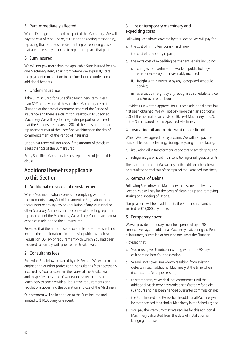### 5. Part immediately affected

Where Damage is confined to a part of the Machinery, We will pay the cost of repairing or, at Our option (acting reasonably), replacing that part plus the dismantling or rebuilding costs that are necessarily incurred to repair or replace that part.

### 6. Sum Insured

We will not pay more than the applicable Sum Insured for any one Machinery item, apart from where We expressly state the payment is in addition to the Sum Insured under some additional benefits.

### 7. Under-insurance

If the Sum Insured for a Specified Machinery item is less than 80% of the value of the specified Machinery item at the Situation at the time of commencement of the Period of Insurance and there is a claim for Breakdown to Specified Machinery We will pay for no greater proportion of the claim that the Sum Insured bears to 80% of the reinstatement or replacement cost of the Specified Machinery on the day of commencement of the Period of Insurance.

Under-insurance will not apply if the amount of the claim is less than 5% of the Sum Insured.

Every Specified Machinery item is separately subject to this clause.

# Additional benefits applicable to this Section

### 1. Additional extra cost of reinstatement

Where You incur extra expense, in complying with the requirements of any Act of Parliament or Regulation made thereunder or any By-law or Regulation of any Municipal or other Statutory Authority, in the course of effecting repair or replacement of the Machinery, We will pay You for such extra expense in addition to the Sum Insured.

Provided that the amount so recoverable hereunder shall not include the additional cost in complying with any such Act, Regulation, By-law or requirement with which You had been required to comply with prior to the Breakdown.

### 2. Consultants fees

Following Breakdown covered by this Section We will also pay engineering or other professional consultant's fees necessarily incurred by You to ascertain the cause of the Breakdown and to specify the scope of works necessary to reinstate the Machinery to comply with all legislative requirements and regulations governing the operation and use of the Machinery.

Our payment will be in addition to the Sum Insured and limited to \$10,000 any one event.

### 3. Hire of temporary machinery and expediting costs

Following Breakdown covered by this Section We will pay for:

- a. the cost of hiring temporary machinery;
- b. the cost of temporary repairs;
- c. the extra cost of expediting permanent repairs including:
	- i. charges for overtime and work on public holidays where necessary and reasonably incurred;
	- ii. freight within Australia by any recognised schedule service;
	- iii. overseas airfreight by any recognised schedule service and/or overseas labour.

Provided Our written approval for all these additional costs has first been obtained. We will not pay more than an additional 50% of the normal repair costs for Blanket Machinery or 25% of the Sum Insured for the Specified Machinery.

### 4. Insulating oil and refrigerant gas or liquid

When We have agreed to pay a claim, We will also pay the reasonable cost of cleaning, storing, recycling and replacing:

- a. insulating oil in transformers, capacitors or switch gear; and
- b. refrigerant gas or liquid in air-conditioning or refrigeration units.

The maximum amount We will pay for this additional benefit will be 50% of the normal cost of the repair of the Damaged Machinery.

### 5. Removal of Debris

Following Breakdown to Machinery that is covered by this Section, We will pay for the costs of cleaning up and removing, storing or disposing of Debris.

Our payment will be in addition to the Sum Insured and is limited to \$25,000 any one event.

### 6. Temporary cover

We will provide temporary cover for a period of up to 90 consecutive days for additional Machinery that, during the Period of Insurance, is installed or brought into use at the Situation.

#### Provided that:

- a. You must give Us notice in writing within the 90 days of it coming into Your possession;
- b. We will not cover Breakdown resulting from existing defects in such additional Machinery at the time when it comes into Your possession;
- c. this temporary cover shall not commence until the additional Machinery has worked satisfactorily for eight (8) hours and has been handed over after commissioning;
- d. the Sum Insured and Excess for the additional Machinery will be that specified for a similar Machinery in the Schedule; and
- e. You pay the Premium that We require for this additional Machinery calculated from the date of installation or bringing into use.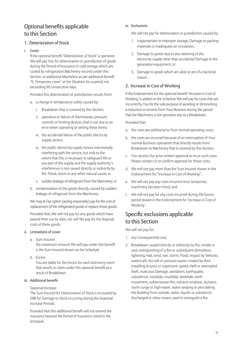# Optional benefits applicable to this Section

### 1. Deterioration of Stock

i. Cover

If the optional benefit 'Deterioration of Stock' is operative We will pay You for deterioration or putrefaction of goods during the Period of Insurance in cold storage which are cooled by refrigeration Machinery insured under this Section, or additional Machinery as per additional benefit "6. Temporary cover" at the Situation for a period not exceeding 90 consecutive days.

Provided this deterioration or putrefaction results from:

- a. a change in temperature solely caused by:
	- i. Breakdown that is covered by this Section;
	- ii. operation or failure of thermostats, pressure controls or limiting devices, that is not due to an error when operating or setting these items;
	- iii. the accidental failure of the public electricity supply service;
	- iv. the public electricity supply service intentionally interfering with the service, but only to the extent that this is necessary to safeguard life or any part of the supply and the supply authority's interference is not caused directly or indirectly by fire, Flood, storm or any other natural cause; or
	- v. sudden leakage of refrigerant from the Machinery; or
- b. contamination of the goods directly caused by sudden leakage of refrigerant from the Machinery.

 We may at Our option (acting reasonably) pay for the cost of replacement of the refrigerated goods or replace those goods.

 Provided that, We will not pay for any goods which have passed their use by date, nor will We pay for the disposal costs of these goods.

### ii. Limitations of cover

a. Sum Insured

the maximum amount We will pay under this benefit is the Sum Insured shown on the Schedule

b. Excess

You are liable for the Excess for each and every event that results in claim under this optional benefit as a result of Breakdown.

#### iii. Additional benefit

#### Seasonal Increase

The Sum Insured for Deterioration of Stock is increased by 50% for Damage to Stock occurring during the Seasonal Increase Periods.

Provided that this additional benefit will not extend the insurance beyond the Period of Insurance noted in the Schedule.

#### iv. Exclusions

We will not pay for deterioration or putrefaction caused by:

- 1. inappropriate or improper storage, Damage to packing materials or inadequate air circulation;
- 2. Damage to goods due to any rationing of the electricity supply other than accidental Damage to the generation equipment; or
- 3. Damage to goods which are alive or are of a bacterial nature.

### 2. Increase in Cost of Working

If the Endorsement for the optional benefit 'Increase in Cost of Working' is added on the Schedule We will pay for costs that are incurred by You for the sole purpose of avoiding or diminishing a reduction in income from Your Business during the period that the Machinery is not operative due to a Breakdown.

#### Provided that:

- a. the costs are additional to Your normal operating costs;
- b. the costs are incurred because of an interruption of Your normal Business operations that directly results from Breakdown to Machinery that is covered by this Section;
- c. You receive Our prior written approval to incur such costs. Please contact Us to confirm approval for these costs;
- d. We will not pay more than the Sum Insured shown in the Endorsement for "Increase in Cost of Working";
- e. We will not pay any costs incurred once temporary machinery has been hired; and
- f. We will not pay for any costs incurred during the Excess period shown in the Endorsement for 'Increase in Cost of Working'.

### Specific exclusions applicable to this Section

We will not pay for:

- 1. any Consequential Loss;
- 2. Breakdown caused directly or indirectly by fire, smoke or soot, extinguishing of a fire or subsequent demolition, lightning, Hail, wind, rain, storm, Flood, impact by Vehicles, watercraft, Aircraft or pressure waves created by their travelling at sonic or supersonic speed, theft or attempted theft, malicious Damage, vandalism, earthquake, subsidence, rockslide, mudslide, landslide, earth movement, subterranean fire, volcanic eruption, tsunami, storm surge or high-water, water seeping or percolating the Building from outside, water, liquids or substances discharged or other means used to extinguish a fire.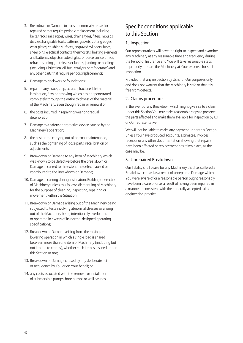- 3. Breakdown or Damage to parts not normally reused or repaired or that require periodic replacement including belts, tracks, rails, ropes, wires, chains, tyres, filters, moulds, dies, exchangeable tools, patterns, gaskets, cutting edges, wear plates, crushing surfaces, engraved cylinders, fuses, sheer pins, electrical contacts, thermostats, heating elements and batteries, objects made of glass or porcelain, ceramics, refractory linings, felt sieves or fabrics, jointings or packings (including lubrication, oil, fuel, catalysts or refrigerants) and any other parts that require periodic replacements;
- 4. Damage to brickwork or foundations;
- 5. repair of any crack, chip, scratch, fracture, blister, lamination, flaw or grooving which has not penetrated completely through the entire thickness of the material of the Machinery, even though repair or renewal of
- 6. the costs incurred in repairing wear or gradual deterioration;
- 7. Damage to a safety or protective device caused by the Machinery's operation;
- 8. the cost of the carrying out of normal maintenance, such as the tightening of loose parts, recalibration or adjustments;
- 9. Breakdown or Damage to any item of Machinery which was known to be defective before the breakdown or Damage occurred to the extent the defect caused or contributed to the Breakdown or Damage;
- 10. Damage occurring during installation, Building or erection of Machinery unless this follows dismantling of Machinery for the purpose of cleaning, inspecting, repairing or movement within the Situation;
- 11. Breakdown or Damage arising out of the Machinery being subjected to tests involving abnormal stresses or arising out of the Machinery being intentionally overloaded or operated in excess of its normal designed operating specifications;
- 12. Breakdown or Damage arising from the raising or lowering operation in which a single load is shared between more than one item of Machinery (including but not limited to cranes), whether such item is insured under this Section or not;
- 13. Breakdown or Damage caused by any deliberate act or negligence by You or on Your behalf; or
- 14. any costs associated with the removal or installation of submersible pumps, bore pumps or well casings.

### Specific conditions applicable to this Section

#### 1. Inspection

Our representatives will have the right to inspect and examine any Machinery at any reasonable time and frequency during the Period of Insurance and You will take reasonable steps to properly prepare the Machinery at Your expense for such inspection.

Provided that any inspection by Us is for Our purposes only and does not warrant that the Machinery is safe or that it is free from defects.

#### 2. Claims procedure

In the event of any Breakdown which might give rise to a claim under this Section You must take reasonable steps to preserve the parts affected and make them available for inspection by Us or Our representative.

We will not be liable to make any payment under this Section unless You have produced accounts, estimates, invoices, receipts or any other documentation showing that repairs have been effected or replacement has taken place, as the case may be.

#### 3. Unrepaired Breakdown

Our liability shall cease for any Machinery that has suffered a Breakdown caused as a result of unrepaired Damage which You were aware of or a reasonable person ought reasonably have been aware of or as a result of having been repaired in a manner inconsistent with the generally accepted rules of engineering practice.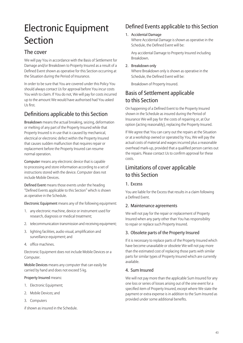# Electronic Equipment Section

### The cover

We will pay You in accordance with the Basis of Settlement for Damage and/or Breakdown to Property Insured as a result of a Defined Event shown as operative for this Section occurring at the Situation during the Period of Insurance.

In order to be sure that You are covered under this Policy You should always contact Us for approval before You incur costs You wish to claim. If You do not, We will pay for costs incurred up to the amount We would have authorised had You asked Us first.

# Definitions applicable to this Section

Breakdown means the actual breaking, seizing, deformation or melting of any part of the Property Insured while that Property Insured is in use that is caused by mechanical, electrical or electronic defect within the Property Insured that causes sudden malfunction that requires repair or replacement before the Property Insured can resume normal operation.

Computer means any electronic device that is capable to processing and store information according to a set of instructions stored with the device. Computer does not include Mobile Devices.

Defined Event means those events under the heading "Defined Events applicable to this Section" which is shown as operative in the Schedule.

Electronic Equipment means any of the following equipment:

- 1. any electronic machine, device or instrument used for research, diagnosis or medical treatment;
- 2. telecommunication transmission and receiving equipment;
- 3. lighting facilities, audio visual, amplification and surveillance equipment; and
- 4. office machines.

Electronic Equipment does not include Mobile Devices or a Computer.

Mobile Devices means any computer that can easily be carried by hand and does not exceed 5 kg.

### Property Insured means:

- 1. Electronic Equipment;
- 2. Mobile Devices; and
- 3. Computers

if shown as insured in the Schedule.

# Defined Events applicable to this Section

### 1. Accidental Damage

Where Accidental Damage is shown as operative in the Schedule, the Defined Event will be:

 Any accidental Damage to Property Insured including Breakdown.

### 2. Breakdown only

Where Breakdown only is shown as operative in the Schedule, the Defined Event will be:

Breakdown of Property Insured.

### Basis of Settlement applicable to this Section

On happening of a Defined Event to the Property Insured shown in the Schedule as insured during the Period of Insurance We will pay for the costs of repairing or, at Our option (acting reasonably), replacing the Property Insured.

If We agree that You can carry out the repairs at the Situation or at a workshop owned or operated by You, We will pay the actual costs of material and wages incurred plus a reasonable overhead mark-up, provided that a qualified person carries out the repairs. Please contact Us to confirm approval for these costs.

# Limitations of cover applicable to this Section

### 1. Excess

You are liable for the Excess that results in a claim following a Defined Event.

### 2. Maintenance agreements

We will not pay for the repair or replacement of Property Insured when any party other than You has responsibility to repair or replace such Property Insured.

### 3. Obsolete parts of the Property Insured

If it is necessary to replace parts of the Property Insured which have become unavailable or obsolete We will not pay more than the estimated cost of replacing those parts with similar parts for similar types of Property Insured which are currently available.

### 4. Sum Insured

We will not pay more than the applicable Sum Insured for any one loss or series of losses arising out of the one event for a specified item of Property Insured, except where We state the payment or extra expense is in addition to the Sum Insured as provided under some additional benefits.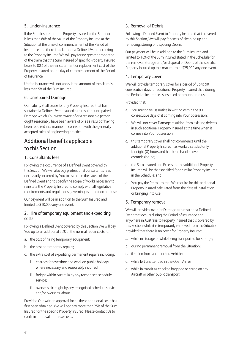### 5. Under-insurance

If the Sum Insured for the Property Insured at the Situation is less than 80% of the value of the Property Insured at the Situation at the time of commencement of the Period of Insurance and there is a claim for a Defined Event occurring to the Property Insured We will pay for no greater proportion of the claim that the Sum Insured of specific Property Insured bears to 80% of the reinstatement or replacement cost of the Property Insured on the day of commencement of the Period of Insurance.

Under-insurance will not apply if the amount of the claim is less than 5% of the Sum Insured.

### 6. Unrepaired Damage

Our liability shall cease for any Property Insured that has sustained a Defined Event caused as a result of unrepaired Damage which You were aware of or a reasonable person ought reasonably have been aware of or as a result of having been repaired in a manner in consistent with the generally accepted rules of engineering practice

# Additional benefits applicable to this Section

### 1. Consultants fees

Following the occurrence of a Defined Event covered by this Section We will also pay professional consultant's fees necessarily incurred by You to ascertain the cause of the Defined Event and to specify the scope of works necessary to reinstate the Property Insured to comply with all legislative requirements and regulations governing its operation and use.

Our payment will be in addition to the Sum Insured and limited to \$10,000 any one event.

### 2. Hire of temporary equipment and expediting costs

Following a Defined Event covered by this Section We will pay You up to an additional 50% of the normal repair costs for:

- a. the cost of hiring temporary equipment;
- b. the cost of temporary repairs;
- c. the extra cost of expediting permanent repairs including:
	- i. charges for overtime and work on public holidays where necessary and reasonably incurred;
	- ii. freight within Australia by any recognised schedule service;
	- iii. overseas airfreight by any recognised schedule service and/or overseas labour.

Provided Our written approval for all these additional costs has first been obtained. We will not pay more than 25% of the Sum Insured for the specific Property Insured. Please contact Us to confirm approval for these costs.

### 3. Removal of Debris

Following a Defined Event to Property Insured that is covered by this Section, We will pay for costs of cleaning up and removing, storing or disposing Debris.

Our payment will be in addition to the Sum Insured and limited to 10% of the Sum Insured stated in the Schedule for the removal, storage and/or disposal of Debris of the specific Property Insured up to a maximum of \$25,000 any one event.

#### 4. Temporary cover

We will provide temporary cover for a period of up to 90 consecutive days for additional Property Insured that, during the Period of Insurance, is installed or brought into use.

Provided that:

- a. You must give Us notice in writing within the 90 consecutive days of it coming into Your possession;
- b. We will not cover Damage resulting from existing defects in such additional Property Insured at the time when it comes into Your possession;
- c. this temporary cover shall not commence until the additional Property Insured has worked satisfactorily for eight (8) hours and has been handed over after commissioning;
- d. the Sum Insured and Excess for the additional Property Insured will be that specified for a similar Property Insured in the Schedule; and
- e. You pay the Premium that We require for this additional Property Insured calculated from the date of installation or bringing into use.

### 5. Temporary removal

We will provide cover for Damage as a result of a Defined Event that occurs during the Period of Insurance and anywhere in Australia to Property Insured that is covered by this Section while it is temporarily removed from the Situation, provided that there is no cover for Property Insured:

- a. while in storage or while being transported for storage;
- b. during permanent removal from the Situation;
- c. if stolen from an unlocked Vehicle;
- d. while left unattended in the Open Air; or
- e. while in transit as checked baggage or cargo on any Aircraft or other public transport.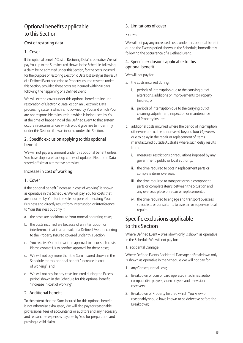# Optional benefits applicable to this Section

### Cost of restoring data

### 1. Cover

If the optional benefit "Cost of Restoring Data" is operative We will pay You up to the Sum Insured shown in the Schedule, following a claim being admitted under this Section, for the costs incurred for the purpose of restoring Electronic Data lost solely as the result of a Defined Event occurring to Property Insured covered under this Section, provided those costs are incurred within 90 days following the happening of a Defined Event.

We will extend cover under this optional benefit to include restoration of Electronic Data lost on an Electronic Data processing system which is not owned by You and which You are not responsible to insure but which is being used by You at the time of happening of the Defined Event to that system occurs in circumstances which would give rise to indemnity under this Section if it was insured under this Section.

### 2. Specific exclusion applying to this optional **benefit**

We will not pay any amount under this optional benefit unless You have duplicate back up copies of updated Electronic Data stored off site at alternative premises.

### Increase in cost of working

### 1. Cover

If the optional benefit "Increase in cost of working" is shown as operative in the Schedule, We will pay You for costs that are incurred by You for the sole purpose of operating Your Business and directly result from interruption or interference to Your Business but only if:

- a. the costs are additional to Your normal operating costs;
- b. the costs incurred are because of an interruption or interference that is as a result of a Defined Event occurring to the Property Insured covered under this Section;
- c. You receive Our prior written approval to incur such costs. Please contact Us to confirm approval for these costs:
- d. We will not pay more than the Sum Insured shown in the Schedule for this optional benefit "Increase in cost of working"; and
- e. We will not pay for any costs incurred during the Excess period shown in the Schedule for this optional benefit "Increase in cost of working".

### 2. Additional benefit

To the extent that the Sum Insured for this optional benefit is not otherwise exhausted, We will also pay for reasonable professional fees of accountants or auditors and any necessary and reasonable expenses payable by You for preparation and proving a valid claim.

### 3. Limitations of cover

### Excess

We will not pay any increased costs under this optional benefit during the Excess period shown in the Schedule, immediately following the occurrence of a Defined Event.

### 4. Specific exclusions applicable to this optional benefit

We will not pay for:

- a. the costs incurred during:
	- i. periods of interruption due to the carrying out of alterations, additions or improvements to Property Insured; or
	- ii. periods of interruption due to the carrying out of cleaning, adjustment, inspection or maintenance of Property Insured.
- b. additional costs incurred where the period of interruption otherwise applicable is increased beyond four (4) weeks due to delay in the repair or replacement of items manufactured outside Australia where such delay results from:
	- i. measures, restrictions or regulations imposed by any government, public or local authority;
	- ii. the time required to obtain replacement parts or complete items overseas;
	- iii. the time required to transport or ship component parts or complete items between the Situation and any overseas place of repair or replacement; or
	- iv. the time required to engage and transport overseas specialists or consultants to assist in or supervise local repairs.

# Specific exclusions applicable to this Section

Where Defined Event – Breakdown only is shown as operative in the Schedule We will not pay for:

1. accidental Damage;

Where Defined Events Accidental Damage or Breakdown only is shown as operative in the Schedule We will not pay for:

- 1. any Consequential Loss;
- 2. Breakdown of coin or card operated machines, audio compact disc players, video players and television receivers;
- 3. Breakdown of Property Insured which You knew or reasonably should have known to be defective before the Breakdown;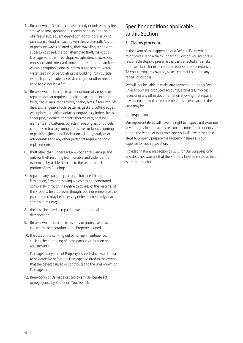- 4. Breakdown or Damage caused directly or indirectly by fire, smoke or soot, spontaneous combustion, extinguishing of a fire or subsequent demolition, lightning, Hail, wind, rain, storm, Flood, impact by Vehicles, watercraft, Aircraft or pressure waves created by their travelling at sonic or supersonic speed, theft or attempted theft, malicious Damage, vandalism, earthquake, subsidence, rockslide, mudslide, landslide, earth movement, subterranean fire, volcanic eruption, tsunami, storm surge or high-water, water seeping or percolating the Building from outside, water, liquids or substances discharged or other means used to extinguish a fire:
- 5. Breakdown or Damage to parts not normally reused or repaired or that require periodic replacement including belts, tracks, rails, ropes, wires, chains, tyres, filters, moulds, dies, exchangeable tools, patterns, gaskets, cutting edges, wear plates, crushing surfaces, engraved cylinders, fuses, sheer pins, electrical contacts, thermostats, heating elements and batteries, objects made of glass or porcelain, ceramics, refractory linings, felt sieves or fabrics, jointings or packings (including lubrication, oil, fuel, catalysts or refrigerants) and any other parts that require periodic replacements;
- 6. theft other than under Part A Accidental Damage and only for theft resulting from forcible and violent entry evidenced by visible Damage to the securely locked portion of any Building;
- 7. repair of any crack, chip, scratch, fracture, blister, lamination, flaw or grooving which has not penetrated completely through the entire thickness of the material of the Property Insured, even though repair or renewal of the part affected may be necessary either immediately or at some future time;
- 8. the costs incurred in repairing wear or gradual deterioration;
- 9. Breakdown or Damage to a safety or protective device caused by the operation of the Property Insured;
- 10. the cost of the carrying out of normal maintenance, such as the tightening of loose parts, recalibration or adiustments:
- 11. Damage to any item of Property Insured which was known to be defective before the Damage occurred to the extent that the defect caused or contributed to the Breakdown or Damage; or
- 12. Breakdown or Damage caused by any deliberate act or negligence by You or on Your behalf.

# Specific conditions applicable to this Section

### 1. Claims procedure

In the event of the happening of a Defined Event which might give rise to a claim under this Section You must take reasonable steps to preserve the parts affected and make them available for inspection by Us or Our representative. To ensure You are covered, please contact Us before any repairs or disposal.

We will not be liable to make any payment under this Section unless You have produced accounts, estimates, invoices, receipts or any other documentation showing that repairs have been effected or replacement has taken place, as the case may be.

### 2. Inspection

Our representatives will have the right to inspect and examine any Property Insured at any reasonable time and frequency during the Period of Insurance and You will take reasonable steps to properly prepare the Property Insured at Your expense for such inspection.

Provided that any inspection by Us is for Our purposes only and does not warrant that the Property Insured is safe or that it is free from defects.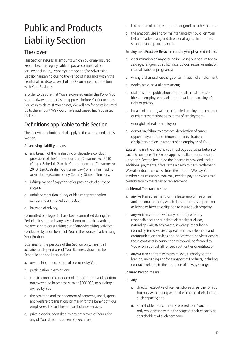# Public and Products Liability Section

### The cover

This Section insures all amounts which You or any Insured Person become legally liable to pay as compensation for Personal Injury, Property Damage and/or Advertising Liability happening during the Period of Insurance within the Territorial Limits as a result of an Occurrence in connection with Your Business.

In order to be sure that You are covered under this Policy You should always contact Us for approval before You incur costs You wish to claim. If You do not, We will pay for costs incurred up to the amount We would have authorised had You asked Us first.

# Definitions applicable to this Section

The following definitions shall apply to the words used in this Section.

### Advertising Liability means:

- a. any breach of the misleading or deceptive conduct provisions of the Competition and Consumer Act 2010 (Cth) or Schedule 2 to the Competition and Consumer Act 2010 (the Australian Consumer Law) or any Fair Trading or similar legislation of any Country, State or Territory;
- b. infringement of copyright of or passing off of a title or slogan;
- c. unfair competition, piracy or idea misappropriation contrary to an implied contract; or
- d. invasion of privacy;

committed or alleged to have been committed during the Period of Insurance in any advertisement, publicity article, broadcast or telecast arising out of any advertising activities conducted by or on behalf of You, in the course of advertising Your Products.

Business for the purpose of this Section only, means all activities and operations of Your Business shown in the Schedule and shall also include:

- a. ownership or occupation of premises by You;
- b. participation in exhibitions;
- c. construction, erection, demolition, alteration and addition, not exceeding in cost the sum of \$500,000, to buildings owned by You;
- d. the provision and management of canteens, social, sports and welfare organisations primarily for the benefit of Your employees, first aid, fire and ambulance services;
- e. private work undertaken by any employee of Yours, for any of Your directors or senior executives;
- f. hire or loan of plant, equipment or goods to other parties;
- g. the erection, use and/or maintenance by You or on Your behalf of advertising and directional signs, their frames, supports and appurtenances.

Employment Practices Breach means any employment-related:

- a. discrimination on any ground including but not limited to sex, age, religion, disability, race, colour, sexual orientation, marital status or pregnancy;
- b. wrongful dismissal, discharge or termination of employment;
- c. workplace or sexual harassment;
- d. oral or written publication of material that slanders or libels an employee or violates or invades an employee's right of privacy;
- e. breach of any oral, written or implied employment contract or misrepresentations as to terms of employment;
- f. wrongful refusal to employ; or
- g. demotion, failure to promote, deprivation of career opportunity, refusal of tenure, unfair evaluation or disciplinary action, in respect of an employee of You.

Excess means the amount You must pay as a contribution to each Occurrence. The Excess applies to all amounts payable under this Section including the indemnity provided under additional payments. If We settle a claim by cash settlement We will deduct the excess from the amount We pay You. In other circumstances, You may need to pay the excess as a contribution to the repair or replacement.

#### Incidental Contract means:

- a. any written agreement for the lease and/or hire of real and personal property which does not impose upon You as lessee or hirer an obligation to insure such property;
- b. any written contract with any authority or entity responsible for the supply of electricity, fuel, gas, natural gas, air, steam, water, sewerage reticulation control systems, waste disposal facilities, telephone and communication services or other essential services, except those contracts in connection with work performed by You or on Your behalf for such authorities or entities; or
- c. any written contract with any railway authority for the loading, unloading and/or transport of Products, including contracts relating to the operation of railway sidings.

### Insured Person means:

- a. any:
	- i. director, executive officer, employee or partner of You, but only while acting within the scope of their duties in such capacity; and
	- ii. shareholder of a company referred to in You, but only while acting within the scope of their capacity as shareholders of such company;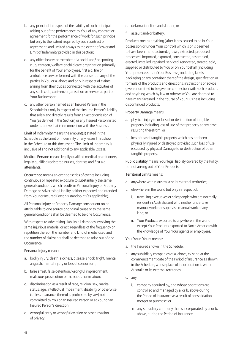- b. any principal in respect of the liability of such principal arising out of the performance by You, of any contract or agreement for the performance of work for such principal but only to the extent required by such contract or agreement, and limited always to the extent of cover and Limit of Indemnity provided in this Section;
- c. any office bearer or member of a social and/ or sporting club, canteen, welfare or child care organisation primarily for the benefit of Your employees, first aid, fire or ambulance service formed with the consent of any of the parties in You or a. above and only in respect of claims arising from their duties connected with the activities of any such club, canteen, organisation or service as part of Your Business; or
- d. any other person named as an Insured Person in the Schedule but only in respect of that Insured Person's liability that solely and directly results from an act or omission of You (as defined in this Section) or any Insured Person listed under a. above that is in connection with the Business.

Limit of Indemnity means the amount(s) stated in the Schedule as the Limit of Indemnity or any lesser limit shown in the Schedule or this document. The Limit of Indemnity is inclusive of and not additional to any applicable Excess.

Medical Persons means legally qualified medical practitioners, legally qualified registered nurses, dentists and first aid attendants.

Occurrence means an event or series of events including continuous or repeated exposure to substantially the same general conditions which results in Personal Injury or Property Damage or Advertising Liability neither expected nor intended from Your or Insured Person's standpoint (as applicable).

All Personal Injury or Property Damage consequent on or attributable to one source or original cause or to the same general conditions shall be deemed to be one Occurrence.

With respect to Advertising Liability all damages involving the same injurious material or act, regardless of the frequency or repetition thereof, the number and kind of media used and the number of claimants shall be deemed to arise out of one Occurrence.

#### Personal Injury means:

- a. bodily injury, death, sickness, disease, shock, fright, mental anguish, mental injury or loss of consortium;
- b. false arrest, false detention, wrongful imprisonment, malicious prosecution or malicious humiliation;
- c. discrimination as a result of race, religion, sex, marital status, age, intellectual impairment, disability or otherwise (unless insurance thereof is prohibited by law) not committed by You or an Insured Person or at Your or an Insured Person's direction;
- d. wrongful entry or wrongful eviction or other invasion of privacy;
- e. defamation, libel and slander; or
- f. assault and/or battery.

Products means anything (after it has ceased to be in Your possession or under Your control) which is or is deemed to have been manufactured, grown, extracted, produced, processed, imported, exported, constructed, assembled, erected, installed, repaired, serviced, renovated, treated, sold, supplied or distributed by You or on Your behalf (including Your predecessors in Your Business) including labels, packaging or any container thereof the design, specification or formula of the products and directions, instructions or advice given or omitted to be given in connection with such products and anything which by law or otherwise You are deemed to have manufactured in the course of Your Business including discontinued products.

#### Property Damage means:

- a. physical injury to or loss of or destruction of tangible property including loss of use of that property at any time resulting therefrom; or
- b. loss of use of tangible property which has not been physically injured or destroyed provided such loss of use is caused by physical Damage to or destruction of other tangible property.

Public Liability means Your legal liability covered by the Policy, but not arising out of Your Products.

#### Territorial Limits means:

- a. anywhere within Australia or its external territories;
- b. elsewhere in the world but only in respect of:
	- i. travelling executives or salespeople who are normally resident in Australia and who neither undertake manual work nor supervise manual work of any kind; or
	- ii. Your Products exported to anywhere in the world except Your Products exported to North America with the knowledge of You, Your agents or employees.

#### You, Your, Yours means:

- a. the Insured shown in the Schedule;
- b. any subsidiary companies of a. above, existing at the commencement date of the Period of Insurance as shown in the Schedule, whose place of incorporation is within Australia or its external territories;
- c. any:
	- i. company acquired by, and whose operations are controlled and managed by a. or b. above during the Period of Insurance as a result of consolidation, merger or purchase; or
	- ii. any subsidiary company that is incorporated by a. or b. above, during the Period of Insurance.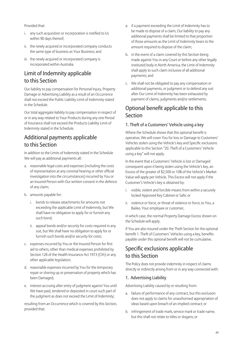Provided that:

- i. any such acquisition or incorporation is notified to Us within 90 days thereof;
- ii. the newly acquired or incorporated company conducts the same type of business as Your Business; and
- iii. the newly acquired or incorporated company is incorporated within Australia.

# Limit of Indemnity applicable to this Section

Our liability to pay compensation for Personal Injury, Property Damage or Advertising Liability as a result of an Occurrence shall not exceed the Public Liability Limit of Indemnity stated in the Schedule.

Our total aggregate liability to pay compensation in respect of or in any way related to Your Products during any one Period of Insurance shall not exceed the Products Liability Limit of Indemnity stated in the Schedule.

# Additional payments applicable to this Section

In addition to the Limits of Indemnity stated in the Schedule We will pay as additional payments all:

- a. reasonable legal costs and expenses (including the costs of representation at any coronial hearing or other official investigation into the circumstances) incurred by You or an Insured Person with Our written consent in the defence of any claim;
- b. amounts payable for:
	- i. bonds to release attachments for amounts not exceeding the applicable Limit of Indemnity, but We shall have no obligation to apply for or furnish any such bond;
	- ii. appeal bonds and/or security for costs required in any suit, but We shall have no obligation to apply for or furnish such bonds and/or security for costs;
- c. expenses incurred by You or the Insured Person for first aid to others, other than medical expenses prohibited by Section 126 of the Health Insurance Act 1973 (Cth) or any other applicable legislation;
- d. reasonable expenses incurred by You for the temporary repair or shoring up or preservation of property which has been Damaged;
- e. interest accruing after entry of judgment against You until We have paid, tendered or deposited in court such part of the judgment as does not exceed the Limit of Indemnity;

resulting from an Occurrence which is covered by this Section, provided that:

- a. if a payment exceeding the Limit of Indemnity has to be made to dispose of a claim, Our liability to pay any additional payments shall be limited to that proportion of those amounts as the Limit of Indemnity bears to the amount required to dispose of the claim;
- b. in the event of a claim covered by this Section being made against You in any Court or before any other legally instituted body in North America, the Limit of Indemnity shall apply to such claim inclusive of all additional payments; and
- c. We shall not be obligated to pay any compensation or additional payments, or judgment or to defend any suit after Our Limit of Indemnity has been exhausted by payment of claims, judgments and/or settlements.

### Optional benefit applicable to this Section

### 1. Theft of a Customers' Vehicle using a key

Where the Schedule shows that this optional benefit is operative, We will cover You for loss or Damage to Customers' Vehicles stolen using the Vehicle's key and Specific exclusions applicable to this Section "20. Theft of a Customers' Vehicle using a key" will not apply.

In the event that a Customers' Vehicle is lost or Damaged consequent upon it being stolen using the Vehicle's key, an Excess of the greater of \$2,500 or 10% of the Vehicle's Market Value will apply per Vehicle. This Excess will not apply if the Customer's Vehicle's key is obtained by:

- i. visible, violent and forcible means from within a securely locked Approved Key Cabinet or Safe; or
- ii. violence or force, or threat of violence or force, to You, a Bailee, Your employee or customer,

in which case, the normal Property Damage Excess shown on the Schedule will apply.

If You are also insured under the Theft Section for the optional benefit 1. Theft of Customers' Vehicles using a key, benefits payable under this optional benefit will not be cumulative.

## Specific exclusions applicable to this Section

The Policy does not provide indemnity in respect of claims directly or indirectly arising from or in any way connected with:

### 1. Advertising Liability

Advertising Liability caused by or resulting from:

- a. failure of performance of any contract, but this exclusion does not apply to claims for unauthorised appropriation of ideas based upon breach of an implied contract; or
- b. infringement of trade mark, service mark or trade name, but this shall not relate to titles or slogans; or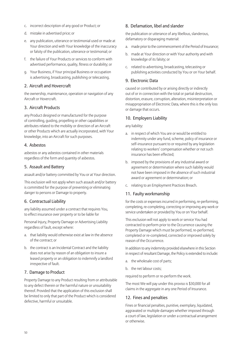- c. incorrect description of any good or Product; or
- d. mistake in advertised price; or
- e. any publication, utterance or testimonial used or made at Your direction and with Your knowledge of the inaccuracy or falsity of the publication, utterance or testimonial; or
- f. the failure of Your Products or services to conform with advertised performance, quality, fitness or durability; or
- g. Your Business, if Your principal Business or occupation is advertising, broadcasting, publishing or telecasting.

### 2. Aircraft and Hovercraft

the ownership, maintenance, operation or navigation of any Aircraft or Hovercraft.

#### 3. Aircraft Products

any Product designed or manufactured for the purpose of controlling, guiding, propelling or other capabilities or attributes related to the mobility or direction of an Aircraft or other Products which are actually incorporated, with Your knowledge, into an Aircraft for such purposes.

#### 4. Asbestos

asbestos or any asbestos contained in other materials regardless of the form and quantity of asbestos.

### 5. Assault and Battery

assault and/or battery committed by You or at Your direction.

This exclusion will not apply when such assault and/or battery is committed for the purpose of preventing or eliminating danger to persons or Damage to property.

### 6. Contractual Liability

any liability assumed under a contract that requires You, to effect insurance over property or to be liable for

Personal Injury, Property Damage or Advertising Liability regardless of fault, except where:

- a. that liability would otherwise exist at law in the absence of the contract; or
- b. the contract is an Incidental Contract and the liability does not arise by reason of an obligation to insure a leased property or an obligation to indemnify a landlord irrespective of fault.

### 7. Damage to Product

Property Damage to any Product resulting from or attributable to any defect therein or the harmful nature or unsuitability thereof. Provided that the application of this exclusion shall be limited to only that part of the Product which is considered defective, harmful or unsuitable.

### 8. Defamation, libel and slander

the publication or utterance of any libellous, slanderous, defamatory or disparaging material:

- a. made prior to the commencement of the Period of Insurance;
- b. made at Your direction or with Your authority and with knowledge of its falsity; or
- c. related to advertising, broadcasting, telecasting or publishing activities conducted by You or on Your behalf.

#### 9. Electronic Data

caused or contributed by or arising directly or indirectly out of or in connection with the total or partial destruction, distortion, erasure, corruption, alteration, misinterpretation or misappropriation of Electronic Data, where this is the only loss or damage that occurs.

#### 10. Employers Liability

any liability:

- a. in respect of which You are or would be entitled to indemnity under any fund, scheme, policy of insurance or self-insurance pursuant to or required by any legislation relating to workers' compensation whether or not such insurance has been effected;
- b. imposed by the provisions of any industrial award or agreement or determination where such liability would not have been imposed in the absence of such industrial award or agreement or determination; or
- c. relating to an Employment Practices Breach.

### 11. Faulty workmanship

for the costs or expenses incurred in performing, re-performing, completing, re-completing, correcting or improving any work or service undertaken or provided by You or on Your behalf.

This exclusion will not apply to work or service You had contracted to perform prior to the Occurrence causing the Property Damage which must be performed, re-performed, completed or re-completed, corrected or improved solely by reason of the Occurrence.

In addition to any indemnity provided elsewhere in this Section in respect of resultant Damage, the Policy is extended to include:

- a. the wholesale cost of parts;
- b. the net labour costs;

required to perform or re-perform the work.

The most We will pay under this proviso is \$30,000 for all claims in the aggregate in any one Period of Insurance.

### 12. Fines and penalties

Fines or financial penalties, punitive, exemplary, liquidated, aggravated or multiple damages whether imposed through a court of law, legislation or under a contractual arrangement or otherwise.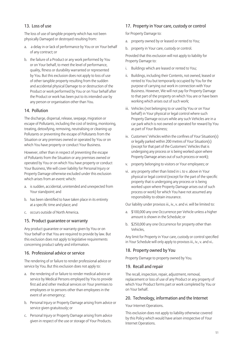### 13. Loss of use

The loss of use of tangible property which has not been physically Damaged or destroyed resulting from:

- a. a delay in or lack of performance by You or on Your behalf of any contract; or
- b. the failure of a Product or any work performed by You or on Your behalf, to meet the level of performance, quality, fitness or durability warranted or represented by You. But this exclusion does not apply to loss of use of other tangible property resulting from the sudden and accidental physical Damage to or destruction of the Product or work performed by You or on Your behalf after the Product or work has been put to its intended use by any person or organisation other than You.

### 14. Pollution

The discharge, dispersal, release, seepage, migration or escape of Pollutants, including the cost of testing, monitoring, treating, detoxifying, removing, neutralising or cleaning up Pollutants or preventing the escape of Pollutants from the Situation or any premises owned or operated by You or on which You have property or conduct Your Business.

However, other than in respect of preventing the escape of Pollutants from the Situation or any premises owned or operated by You or on which You have property or conduct Your Business, We will cover liability for Personal Injury or Property Damage otherwise excluded under this exclusion which arises from an event: which:

- a. is sudden, accidental, unintended and unexpected from Your standpoint; and
- b. has been identified to have taken place in its entirety at a specific time and place; and
- c. occurs outside of North America.

### 15. Product guarantee or warranty

Any product guarantee or warranty given by You or on Your behalf or that You are required to provide by law. But this exclusion does not apply to legislative requirements concerning product safety and information.

### 16. Professional advice or service

The rendering of or failure to render professional advice or service by You. But this exclusion does not apply to:

- a. the rendering of or failure to render medical advice or service by Medical Persons employed by You to provide first aid and other medical services on Your premises to employees or to persons other than employees in the event of an emergency;
- b. Personal Injury or Property Damage arising from advice or service given gratuitously; or
- c. Personal Injury or Property Damage arising from advice given in respect of the use or storage of Your Products.

### 17. Property in Your care, custody or control

for Property Damage to:

- a. property owned by or leased or rented to You;
- b. property in Your care, custody or control.

Provided that this exclusion will not apply to liability for Property Damage to:

- i. Buildings which are leased or rented to You;
- ii. Buildings, including their Contents, not owned, leased or rented to You but temporarily occupied by You for the purpose of carrying out work in connection with Your Business. However, We will not pay for Property Damage to that part of the property on which You are or have been working which arises out of such work;
- iii. Vehicles (not belonging to or used by You or on Your behalf) in Your physical or legal control where such Property Damage occurs while any such Vehicles are in a car park which is not owned or operated for reward by You as part of Your Business;
- iv. Customers' Vehicles within the confines of Your Situation(s) or legally parked within 200 metres of Your Situation(s) (except for that part of the Customers' Vehicles that is undergoing any process or is being worked upon where Property Damage arises out of such process or work);
- v. property belonging to visitors or Your employees; or
- vi. any property other than listed in i. to v. above in Your physical or legal control (except for the part of the specific property that is undergoing any process or is being worked upon where Property Damage arises out of such process or work) for which You have not assumed any responsibility to obtain insurance.

Our liability under provisos iii., iv., v. and vi. will be limited to:

- a. \$100,000 any one Occurrence per Vehicle unless a higher amount is shown in the Schedule; or
- b. \$250,000 any one Occurrence for property other than Vehicles,

Any limit for Property in Your care, custody or control specified in Your Schedule will only apply to provisos iii., iv., v. and vi..

### 18. Property owned by You

Property Damage to property owned by You.

#### 19. Recall and repair

The recall, inspection, repair, adjustment, removal, replacement or loss of use of any Product or any property of which Your Product forms part or work completed by You or on Your behalf.

### 20. Technology, information and the Internet

Your Internet Operations.

This exclusion does not apply to liability otherwise covered by this Policy which would have arisen irrespective of Your Internet Operations.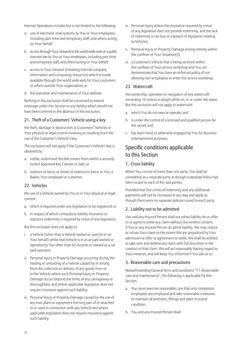Internet Operations includes but is not limited to, the following:

- a. use of electronic mail systems by You or Your employees, including part-time and temporary staff, and others acting on Your behalf;
- b. access through Your network to the world wide web or a public internet site by You or Your employees, including part-time and temporary staff, and others acting on Your behalf;
- c. access to Your intranet (meaning internal company information and computing resources) which is made available through the world wide web for Your customers or others outside Your organisation; or
- d. the operation and maintenance of Your website.

Nothing in this exclusion shall be construed to extend coverage under this Section to any liability which would not have been covered in the absence of this exclusion.

### 21. Theft of a Customers' Vehicle using a key

the theft, damage or destruction to Customers' Vehicles in Your physical or legal control involving or resulting from the use of the Customer's Vehicle's key.

This exclusion will not apply if the Customer's Vehicle's key is obtained by:

- a. visible, violent and forcible means from within a securely locked Approved Key Cabinet or Safe; or
- b. violence or force, or threat of violence or force, to You, a Bailee, Your employee or customer.

### 22. Vehicles

the use of a Vehicle owned by You or in Your physical or legal control:

- a. which is required under any legislation to be registered; or
- b. in respect of which compulsory liability insurance or statutory indemnity is required by virtue of any legislation.

But this exclusion does not apply to:

- i. a Vehicle (other than a Vehicle owned or used by or on Your behalf) whilst that Vehicle is in a car park owned or operated by You other than for income or reward as a car park operator;
- ii. Personal Injury or Property Damage occurring during the loading or unloading of a Vehicle caused by or arising from the collection or delivery of any goods from or to the Vehicle where such Personal Injury or Property Damage occurs beyond the limits of any carriageway or thoroughfare, and where applicable legislation does not require insurance against such liability;
- iii. Personal Injury or Property Damage caused by the use of any tool, plant or equipment forming part of or attached to or used in connection with any Vehicle and where applicable legislation does not require insurance against such liability;
- iv. Personal Injury where the insurance required by virtue of any legislation does not provide indemnity, and the lack of indemnity is not due to a breach of legislation relating to Vehicles;
- v. Personal Injury or Property Damage arising entirely within the confines of Your Situation(s);
- vi. a Customer's Vehicle that is being serviced within the confines of Your service workshop and You can demonstrate that You have an enforced policy of not allowing non-employees to enter the service workshop.

### 23. Watercraft

the ownership, operation or navigation of any watercraft exceeding 10 metres in length while on, in or under the water. But this exclusion will not apply to watercraft:

- a. which You do not own or operate; and
- b. is under the control of a licensed and qualified person for the vessel; and
- c. has been hired or otherwise engaged by You for Business entertainment purposes.

### Specific conditions applicable to this Section

### 1. Cross liability

When You consist of more than one party, You shall be considered as a separate party as though a separate Policy had been issued to each of the said parties.

Provided that Our Limits of Indemnity and any additional payments will not be increased in any way and apply as though there were no separate policies issued to each party.

### 2. Liability not to be admitted

You and any Insured Person shall not admit liability for or offer to or agree to settle any claim without Our written consent. If You or any Insured Person do admit liability, We may reduce or refuse Your claim to the extent We are prejudiced by Your admission or offer or agreement to settle. We shall be entitled to take over and defend any claim with full discretion in the conduct of that claim. We will act reasonably having regard to Your interests, and will keep You informed if You ask Us to.

### 3. Reasonable care and precautions

Notwithstanding General term and conditions "17. Reasonable care and maintenance", the following is applicable for this Section.

- a. You must exercise reasonable care that only competent employees are employed and take reasonable measures to maintain all premises, fittings and plant in sound condition.
- b. You and any Insured Person shall: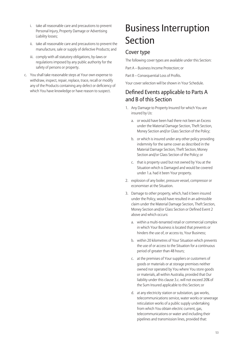- i. take all reasonable care and precautions to prevent Personal Injury, Property Damage or Advertising Liability losses;
- ii. take all reasonable care and precautions to prevent the manufacture, sale or supply of defective Products; and
- iii. comply with all statutory obligations, by-laws or regulations imposed by any public authority for the safety of persons or property.
- c. You shall take reasonable steps at Your own expense to withdraw, inspect, repair, replace, trace, recall or modify any of the Products containing any defect or deficiency of which You have knowledge or have reason to suspect.

# Business Interruption Section

### Cover type

The following cover types are available under this Section:

Part A – Business Income Protection; or

Part B – Consequential Loss of Profits.

Your cover selection will be shown in Your Schedule.

### Defined Events applicable to Parts A and B of this Section

- 1. Any Damage to Property Insured for which You are insured by Us:
	- a. or would have been had there not been an Excess under the Material Damage Section, Theft Section, Money Section and/or Glass Section of the Policy;
	- b. or which is insured under any other policy providing indemnity for the same cover as described in the Material Damage Section, Theft Section, Money Section and/or Glass Section of the Policy; or
	- c. that is property used but not owned by You at the Situation which is Damaged and would be covered under 1.a. had it been Your property.
- 2. explosion of any boiler, pressure vessel, compressor or economiser at the Situation.
- 3. Damage to other property, which, had it been insured under the Policy, would have resulted in an admissible claim under the Material Damage Section, Theft Section, Money Section and/or Glass Section or Defined Event 2 above and which occurs:
	- a. within a multi-tenanted retail or commercial complex in which Your Business is located that prevents or hinders the use of, or access to, Your Business;
	- b. within 20 kilometres of Your Situation which prevents the use of or access to the Situation for a continuous period of greater than 48 hours;
	- c. at the premises of Your suppliers or customers of goods or materials or at storage premises neither owned nor operated by You where You store goods or materials, all within Australia, provided that Our liability under this clause 3.c. will not exceed 20% of the Sum Insured applicable to this Section; or
	- d. at any electricity station or substation, gas works, telecommunications service, water works or sewerage reticulation works of a public supply undertaking from which You obtain electric current, gas, telecommunications or water and including their pipelines and transmission lines, provided that: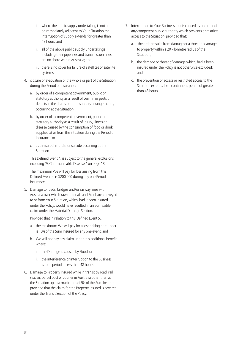- i. where the public supply undertaking is not at or immediately adjacent to Your Situation the interruption of supply extends for greater than 48 hours; and
- ii. all of the above public supply undertakings including their pipelines and transmission lines are on shore within Australia; and
- iii. there is no cover for failure of satellites or satellite systems.
- 4. closure or evacuation of the whole or part of the Situation during the Period of Insurance:
	- a. by order of a competent government, public or statutory authority as a result of vermin or pests or defects in the drains or other sanitary arrangements, occurring at the Situation;
	- b. by order of a competent government, public or statutory authority as a result of injury, illness or disease caused by the consumption of food or drink supplied at or from the Situation during the Period of Insurance; or
	- c. as a result of murder or suicide occurring at the Situation.

This Defined Event 4. is subject to the general exclusions, including "9. Communicable Diseases" on page 18.

 The maximum We will pay for loss arising from this Defined Event 4. is \$200,000 during any one Period of Insurance.

5. Damage to roads, bridges and/or railway lines within Australia over which raw materials and Stock are conveyed to or from Your Situation, which, had it been insured under the Policy, would have resulted in an admissible claim under the Material Damage Section.

Provided that in relation to this Defined Event 5.:

- a. the maximum We will pay for a loss arising hereunder is 10% of the Sum Insured for any one event; and
- b. We will not pay any claim under this additional benefit where:
	- i. the Damage is caused by Flood; or
	- ii. the interference or interruption to the Business is for a period of less than 48 hours.
- 6. Damage to Property Insured while in transit by road, rail, sea, air, parcel post or courier in Australia other than at the Situation up to a maximum of 5% of the Sum Insured provided that the claim for the Property Insured is covered under the Transit Section of the Policy.
- 7. Interruption to Your Business that is caused by an order of any competent public authority which prevents or restricts access to the Situation, provided that:
	- a. the order results from damage or a threat of damage to property within a 20 kilometre radius of the Situation;
	- b. the damage or threat of damage which, had it been insured under the Policy is not otherwise excluded; and
	- c. the prevention of access or restricted access to the Situation extends for a continuous period of greater than 48 hours.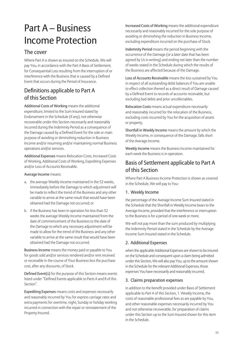# Part A – Business Income Protection

### The cover

Where Part A is shown as insured on the Schedule, We will pay You, in accordance with the Part A Basis of Settlement, for Consequential Loss resulting from the interruption of or interference with the Business that is caused by a Defined Event that occurs during the Period of Insurance.

## Definitions applicable to Part A of this Section

Additional Costs of Working means the additional expenditure, limited to the Sum Insured stated by Endorsement in the Schedule (if any), not otherwise recoverable under this Section necessarily and reasonably incurred during the Indemnity Period as a consequence of the Damage caused by a Defined Event for the sole or main purpose of avoiding or diminishing reduction in Business Income and/or resuming and/or maintaining normal Business operations and/or services.

Additional Expenses means Relocation Costs, Increased Costs of Working, Additional Costs of Working, Expediting Expenses and/or Loss of Accounts Receivable.

#### Average Income means:

- a. the average Weekly Income maintained in the 52 weeks, immediately before the Damage to which adjustment will be made to reflect the trend of the Business and any other variable to arrive at the same result that would have been obtained had the Damage not occurred; or
- b. if the Business has been in operation for less than 52 weeks the average Weekly Income maintained from the date of commencement of the Business to the date of the Damage to which any necessary adjustment will be made to allow for the trend of the Business and any other variable to arrive at the same result that would have been obtained had the Damage not occurred.

Business Income means the money paid or payable to You for goods sold and/or services rendered and/or rent received or receivable in the course of Your Business less the purchase cost, after any discounts, of Stock.

Defined Event(s) for the purpose of this Section means events listed under "Defined Events applicable to Parts A and B of this Section".

Expediting Expenses means costs and expenses necessarily and reasonably incurred by You for express carriage rates and extra payments for overtime, night, Sunday or holiday working incurred in connection with the repair or reinstatement of the Property Insured.

Increased Costs of Working means the additional expenditure necessarily and reasonably incurred for the sole purpose of avoiding or diminishing the reduction in Business Income, excluding expenditure incurred on the purchase of Stock.

Indemnity Period means the period beginning with the occurrence of the Damage (or a later date that has been agreed by Us in writing) and ending not later than the number of weeks stated in the Schedule during which the results of the Business are affected because of the Damage.

Loss of Accounts Receivable means the loss sustained by You in respect of all outstanding debit balances if You are unable to effect collection thereof as a direct result of Damage caused by a Defined Event to records of accounts receivable, but excluding bad debts and prior uncollectables.

Relocation Costs means actual expenditure necessarily and reasonably incurred for the relocation of the Business, excluding costs incurred by You for the acquisition of assets or property.

Shortfall in Weekly Income means the amount by which the Weekly Income, in consequence of the Damage, falls short of the Average Income.

Weekly Income means the Business Income maintained for each week the Business is in operation.

### Basis of Settlement applicable to Part A of this Section

Where Part A Business Income Protection is shown as covered in the Schedule, We will pay to You:

### 1. Weekly Income

the percentage of the Average Income Sum Insured stated in the Schedule that the Shortfall in Weekly Income bears to the Average Income, provided that the interference or interruption to the Business is for a period of one week or more.

We will not pay more than the sum produced by multiplying the Indemnity Period stated in the Schedule by the Average Income Sum Insured stated in the Schedule.

### 2. Additional Expenses

when the applicable Additional Expenses are shown to be insured on the Schedule and consequent upon a claim being admitted under this Section, We will also pay You, up to the amount shown in the Schedule for the relevant Additional Expenses, those expenses You have necessarily and reasonably incurred.

### 3. Claims preparation expenses

in addition to the benefit provided under Basis of Settlement applicable to Part A of this Section, 1. Weekly Income, the costs of reasonable professional fees as are payable by You, and other reasonable expenses necessarily incurred by You and not otherwise recoverable, for preparation of claims under this Section up to the Sum Insured shown for this item in the Schedule.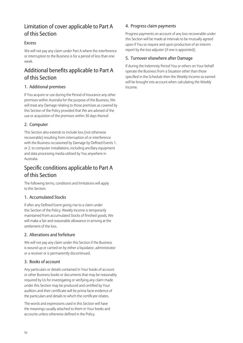### Limitation of cover applicable to Part A of this Section

### Excess

We will not pay any claim under Part A where the interference or interruption to the Business is for a period of less than one week.

## Additional benefits applicable to Part A of this Section

### 1. Additional premises

If You acquire or use during the Period of Insurance any other premises within Australia for the purpose of the Business, We will treat any Damage relating to those premises as covered by this Section of the Policy provided that We are advised of the use or acquisition of the premises within 30 days thereof.

### 2. Computer

This Section also extends to include loss (not otherwise recoverable) resulting from interruption of or interference with the Business occasioned by Damage by Defined Events 1. or 2. to computer installations, including ancillary equipment and data processing media utilised by You anywhere in Australia.

# Specific conditions applicable to Part A of this Section

The following terms, conditions and limitations will apply to this Section:

### 1. Accumulated Stocks

If after any Defined Event giving rise to a claim under this Section of the Policy, Weekly Income is temporarily maintained from accumulated Stocks of finished goods, We will make a fair and reasonable allowance in arriving at the settlement of the loss.

### 2. Alterations and forfeiture

We will not pay any claim under this Section if the Business is wound up or carried on by either a liquidator, administrator or a receiver or is permanently discontinued.

### 3. Books of account

Any particulars or details contained in Your books of account or other Business books or documents that may be reasonably required by Us for investigating or verifying any claim made under this Section may be produced and certified by Your auditors and their certificate will be prima facie evidence of the particulars and details to which the certificate relates.

The words and expressions used in this Section will have the meanings usually attached to them in Your books and accounts unless otherwise defined in the Policy.

### 4. Progress claim payments

Progress payments on account of any loss recoverable under this Section will be made at intervals to be mutually agreed upon if You so require and upon production of an interim report by the loss adjuster (if one is appointed).

### 5. Turnover elsewhere after Damage

If during the Indemnity Period You or others on Your behalf operate the Business from a Situation other than those specified in the Schedule then the Weekly Income so earned will be brought into account when calculating the Weekly Income.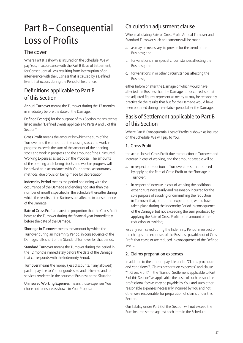# Part B – Consequential Loss of Profits

### The cover

Where Part B is shown as insured on the Schedule, We will pay You, in accordance with the Part B Basis of Settlement, for Consequential Loss resulting from interruption of or interference with the Business that is caused by a Defined Event that occurs during the Period of Insurance.

### Definitions applicable to Part B of this Section

Annual Turnover means the Turnover during the 12 months immediately before the date of the Damage.

Defined Event(s) for the purpose of this Section means events listed under "Defined Events applicable to Parts A and B of this Section".

Gross Profit means the amount by which the sum of the Turnover and the amount of the closing stock and work in progress exceeds the sum of the amount of the opening stock and work in progress and the amount of the Uninsured Working Expenses as set out in the Proposal. The amounts of the opening and closing stocks and work in progress will be arrived at in accordance with Your normal accountancy methods, due provision being made for depreciation.

Indemnity Period means the period beginning with the occurrence of the Damage and ending not later than the number of months specified in the Schedule thereafter during which the results of the Business are affected in consequence of the Damage.

Rate of Gross Profit means the proportion that the Gross Profit bears to the Turnover during the financial year immediately before the date of the Damage.

Shortage in Turnover means the amount by which the Turnover during an Indemnity Period, in consequence of the Damage, falls short of the Standard Turnover for that period.

Standard Turnover means the Turnover during the period in the 12 months immediately before the date of the Damage that corresponds with the Indemnity Period.

Turnover means the money (less discounts, if any allowed) paid or payable to You for goods sold and delivered and for services rendered in the course of Business at the Situation.

Uninsured Working Expenses means those expenses You chose not to insure as shown in Your Proposal.

# Calculation adjustment clause

When calculating Rate of Gross Profit, Annual Turnover and Standard Turnover such adjustments will be made:

- a. as may be necessary, to provide for the trend of the Business; and
- b. for variations in or special circumstances affecting the Business; and
- c. for variations in or other circumstances affecting the Business,

either before or after the Damage or which would have affected the Business had the Damage not occurred, so that the adjusted figures represent as nearly as may be reasonably practicable the results that but for the Damage would have been obtained during the relative period after the Damage.

# Basis of Settlement applicable to Part B of this Section

Where Part B Consequential Loss of Profits is shown as insured on the Schedule, We will pay to You:

### 1. Gross Profit

the actual loss of Gross Profit due to reduction in Turnover and increase in cost of working, and the amount payable will be:

- a. in respect of reduction in Turnover: the sum produced by applying the Rate of Gross Profit to the Shortage in Turnover;
- b. in respect of increase in cost of working the additional expenditure necessarily and reasonably incurred for the sole purpose of avoiding or diminishing the reduction in Turnover that, but for that expenditure, would have taken place during the Indemnity Period in consequence of the Damage, but not exceeding the sum produced by applying the Rate of Gross Profit to the amount of the reduction so avoided;

less any sum saved during the Indemnity Period in respect of the charges and expenses of the Business payable out of Gross Profit that cease or are reduced in consequence of the Defined Event.

### 2. Claims preparation expenses

in addition to the amount payable under "Claims procedure and conditions 2. Claims preparation expenses" and clause "1. Gross Profit" in the "Basis of Settlement applicable to Part B of this Section" as applicable, the costs of such reasonable professional fees as may be payable by You, and such other reasonable expenses necessarily incurred by You and not otherwise recoverable, for preparation of claims under this Section.

Our liability under Part B of this Section will not exceed the Sum Insured stated against each item in the Schedule.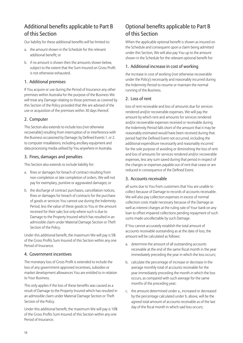## Additional benefits applicable to Part B of this Section

Our liability for these additional benefits will be limited to:

- a. the amount shown in the Schedule for the relevant additional benefit: or
- b. if no amount is shown then the amounts shown below, subject to the extent that the Sum Insured on Gross Profit is not otherwise exhausted.

### 1. Additional premises

If You acquire or use during the Period of Insurance any other premises within Australia for the purpose of the Business We will treat any Damage relating to those premises as covered by this Section of the Policy provided that We are advised of the use or acquisition of the premises within 30 days thereof.

### 2. Computer

This Section also extends to include loss (not otherwise recoverable) resulting from interruption of or interference with the Business occasioned by Damage; by Defined Events 1. or 2. to computer installations, including ancillary equipment and data processing media utilised by You anywhere in Australia.

### 3. Fines, damages and penalties

This Section also extends to include liability for:

- a. fines or damages for breach of contract resulting from non-completion or late completion of orders. We will not pay for exemplary, punitive or aggravated damages; or
- b. the discharge of contract purchases, cancellation notices, fines or damages for breach of contracts for the purchase of goods or services You cannot use during the Indemnity Period, less the value of these goods to You or the amount received for their sale; but only where such is due to Damage to the Property Insured which has resulted in an admissible claim under Material Damage Section or Theft Section of the Policy.

Under this additional benefit, the maximum We will pay is 5% of the Gross Profits Sum Insured of this Section within any one Period of Insurance.

### 4. Government incentives

The monetary loss of Gross Profit is extended to include the loss of any government-approved incentives, subsidies or market development allowances You are entitled to in relation to Your Business.

This only applies if the loss of these benefits was caused as a result of Damage to the Property Insured which has resulted in an admissible claim under Material Damage Section or Theft Section of the Policy.

Under this additional benefit, the maximum We will pay is 10% of the Gross Profits Sum Insured of this Section within any one Period of Insurance.

# Optional benefits applicable to Part B of this Section

When the applicable optional benefit is shown as insured on the Schedule and consequent upon a claim being admitted under this Section, We will also pay You up to the amount shown in the Schedule for the relevant optional benefit for:

#### 1. Additional increase in cost of working

the increase in cost of working (not otherwise recoverable under the Policy) necessarily and reasonably incurred during the Indemnity Period to resume or maintain the normal running of the Business.

### 2. Loss of rent

loss of rent receivable and loss of amounts due for services rendered and/or recoverable expenses. We will pay the amount by which rent and amounts for services rendered and/or recoverable expenses received or receivable during the Indemnity Period falls short of the amount that it may be reasonably estimated would have been received during that period had the Defined Event not occurred, including the additional expenditure necessarily and reasonably incurred for the sole purpose of avoiding or diminishing the loss of rent and loss of amounts for services rendered and/or recoverable expenses, less any sum saved during that period in respect of the charges or expenses payable out of rent that cease or are reduced in consequence of the Defined Event.

#### 3. Accounts receivable

all sums due to You from customers that You are unable to collect because of Damage to records of accounts receivable. We will also pay collection expenses in excess of normal collection costs made necessary because of the Damage as well as interest charges at the ruling rate of Your bank on any loan to offset impaired collections pending repayment of such sums made uncollectable by such Damage.

If You cannot accurately establish the total amount of accounts receivable outstanding as at the date of loss, the amount will be calculated as follows:

- a. determine the amount of all outstanding accounts receivable at the end of the same fiscal month in the year immediately preceding the year in which the loss occurs;
- b. calculate the percentage of increase or decrease in the average monthly total of accounts receivable for the year immediately preceding the month in which the loss occurs, as compared with such average for the same months of the preceding year;
- c. the amount determined under a., increased or decreased by the percentage calculated under b. above, will be the agreed total amount of accounts receivable as of the last day of the fiscal month in which said loss occurs;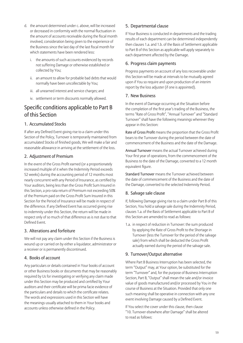- d. the amount determined under c. above, will be increased or decreased in conformity with the normal fluctuation in the amount of accounts receivable during the fiscal month involved, consideration being given to the experience of the Business since the last day of the last fiscal month for which statements have been rendered less:
	- i. the amounts of such accounts evidenced by records not suffering Damage or otherwise established or collected by You;
	- ii. an amount to allow for probable bad debts that would normally have been uncollectable by You;
	- iii. all unearned interest and service charges; and
	- iv. settlement or term discounts normally allowed.

# Specific conditions applicable to Part B of this Section

### 1. Accumulated Stocks

If after any Defined Event giving rise to a claim under this Section of the Policy, Turnover is temporarily maintained from accumulated Stocks of finished goods, We will make a fair and reasonable allowance in arriving at the settlement of the loss.

### 2. Adjustment of Premium

In the event of the Gross Profit earned (or a proportionately increased multiple of it when the Indemnity Period exceeds 52 weeks) during the accounting period of 12 months most nearly concurrent with any Period of Insurance, as certified by Your auditors, being less than the Gross Profit Sum Insured in this Section, a pro-rata return of Premium not exceeding 50% of the Premium paid on the Gross Profit Sum Insured in this Section for the Period of Insurance will be made in respect of the difference. If any Defined Event has occurred giving rise to indemnity under this Section, the return will be made in respect only of so much of that difference as is not due to that Defined Event

### 3. Alterations and forfeiture

We will not pay any claim under this Section if the Business is wound up or carried on by either a liquidator, administrator or a receiver or is permanently discontinued.

### 4. Books of account

Any particulars or details contained in Your books of account or other Business books or documents that may be reasonably required by Us for investigating or verifying any claim made under this Section may be produced and certified by Your auditors and their certificate will be prima facie evidence of the particulars and details to which the certificate relates. The words and expressions used in this Section will have the meanings usually attached to them in Your books and accounts unless otherwise defined in the Policy.

### 5. Departmental clause

If Your Business is conducted in departments and the trading results of each department can be determined independently then clauses 1.a. and 1.b. of the Basis of Settlement applicable to Part B of this Section as applicable will apply separately to each department affected by the Damage.

### 6. Progress claim payments

Progress payments on account of any loss recoverable under this Section will be made at intervals to be mutually agreed upon if You so require and upon production of an interim report by the loss adjuster (if one is appointed).

### 7. New Business

In the event of Damage occurring at the Situation before the completion of the first year's trading of the Business, the terms "Rate of Gross Profit", "Annual Turnover" and "Standard Turnover" shall have the following meanings wherever they appear in this Section:

Rate of Gross Profit means the proportion that the Gross Profit bears to the Turnover during the period between the date of commencement of the Business and the date of the Damage.

Annual Turnover means the actual Turnover achieved during Your first year of operations, from the commencement of the Business to the date of the Damage, converted to a 12 month equivalent figure.

Standard Turnover means the Turnover achieved between the date of commencement of the Business and the date of the Damage, converted to the selected Indemnity Period.

### 8. Salvage sale clause

If, following Damage giving rise to a claim under Part B of this Section, You hold a salvage sale during the Indemnity Period, clauses 1.a. of the Basis of Settlement applicable to Part B of this Section are amended to read as follows:

1.a. in respect of reduction in Turnover: the sum produced by applying the Rate of Gross Profit to the Shortage in Turnover (less the Turnover for the period of the salvage sale) from which shall be deducted the Gross Profit actually earned during the period of the salvage sale.

### 9. Turnover/Output alternative

Where Part B Business Interruption has been selected, the term "Output" may, at Your option, be substituted for the term "Turnover" and, for the purpose of Business Interruption Section, Part B, "Output" shall mean the sale and/or invoice value of goods manufactured and/or processed by You in the course of Business at the Situation. Provided that only one such meaning shall be operative in connection with any one event involving Damage caused by a Defined Event.

If You select the cover under this clause, then clause "10. Turnover elsewhere after Damage" shall be altered to read as follows: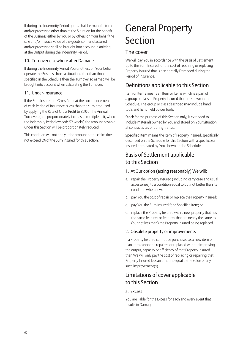If during the Indemnity Period goods shall be manufactured and/or processed other than at the Situation for the benefit of the Business either by You or by others on Your behalf the sale and/or invoice value of the goods so manufactured and/or processed shall be brought into account in arriving at the Output during the Indemnity Period.

### 10. Turnover elsewhere after Damage

If during the Indemnity Period You or others on Your behalf operate the Business from a situation other than those specified in the Schedule then the Turnover so earned will be brought into account when calculating the Turnover.

### 11. Under-insurance

If the Sum Insured for Gross Profit at the commencement of each Period of Insurance is less than the sum produced by applying the Rate of Gross Profit to 80% of the Annual Turnover, (or a proportionately increased multiple of it, where the Indemnity Period exceeds 52 weeks) the amount payable under this Section will be proportionately reduced.

This condition will not apply if the amount of the claim does not exceed 5% of the Sum Insured for this Section.

# General Property Section

### The cover

We will pay You in accordance with the Basis of Settlement up to the Sum Insured for the cost of repairing or replacing Property Insured that is accidentally Damaged during the Period of Insurance.

# Definitions applicable to this Section

Item or Items means an Item or Items which is a part of a group or class of Property Insured that are shown in the Schedule. The group or class described may include hand tools and hand held power tools.

Stock for the purpose of this Section only, is extended to include materials owned by You and stored on Your Situation, at contract sites or during transit.

Specified Item means the Item of Property Insured, specifically described on the Schedule for this Section with a specific Sum Insured nominated by You shown on the Schedule.

## Basis of Settlement applicable to this Section

### 1. At Our option (acting reasonably) We will:

- a. repair the Property Insured (including carry case and usual accessories) to a condition equal to but not better than its condition when new;
- b. pay You the cost of repair or replace the Property Insured;
- c. pay You the Sum Insured for a Specified Item; or
- d. replace the Property Insured with a new property that has the same features or features that are nearly the same as (but not less than) the Property Insured being replaced.

### 2. Obsolete property or improvements

If a Property Insured cannot be purchased as a new item or if an Item cannot be repaired or replaced without improving the output, capacity or efficiency of that Property Insured then We will only pay the cost of replacing or repairing that Property Insured less an amount equal to the value of any such improvement(s).

# Limitations of cover applicable to this Section

### a. Excess

You are liable for the Excess for each and every event that results in Damage.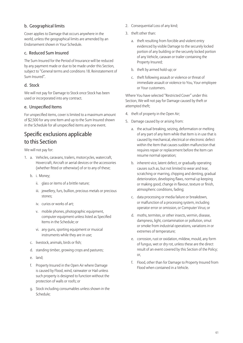### b. Geographical limits

Cover applies to Damage that occurs anywhere in the world, unless the geographical limits are amended by an Endorsement shown in Your Schedule.

### c. Reduced Sum Insured

The Sum Insured for the Period of Insurance will be reduced by any payment made or due to be made under this Section, subject to "General terms and conditions 18. Reinstatement of Sum Insured".

### d. Stock

We will not pay for Damage to Stock once Stock has been used or incorporated into any contract.

### e. Unspecified Items

For unspecified items, cover is limited to a maximum amount of \$2,500 for any one Item and up to the Sum Insured shown in the Schedule for all unspecified items any one event.

## Specific exclusions applicable to this Section

We will not pay for:

- 1. a. Vehicles, caravans, trailers, motorcycles, watercraft, Hovercraft, Aircraft or aerial devices or the accessories (whether fitted or otherwise) of or to any of these;
	- b. i. Money;
		- ii. glass or items of a brittle nature;
		- iii. jewellery, furs, bullion, precious metals or precious stones;
		- iv. curios or works of art;
		- v. mobile phones, photographic equipment, computer equipment unless listed as Specified Items in the Schedule; or
		- vi. any guns, sporting equipment or musical instruments while they are in use;
	- c. livestock, animals, birds or fish:
	- d. standing timber, growing crops and pastures;
	- e. land;
	- f. Property Insured in the Open Air where Damage is caused by Flood, wind, rainwater or Hail unless such property is designed to function without the protection of walls or roofs; or
	- g. Stock including consumables unless shown in the Schedule;
- 2. Consequential Loss of any kind;
- 3. theft other than:
	- a. theft resulting from forcible and violent entry evidenced by visible Damage to the securely locked portion of any building or the securely locked portion of any Vehicle, caravan or trailer containing the Property Insured;
	- b. theft by armed hold-up; or
	- c. theft following assault or violence or threat of immediate assault or violence to You, Your employee or Your customers.

Where You have selected "Restricted Cover" under this Section, We will not pay for Damage caused by theft or attempted theft;

- 4. theft of property in the Open Air;
- 5. Damage caused by or arising from:
	- a. the actual breaking, seizing, deformation or melting of any part of any Item while that Item is in use that is caused by mechanical, electrical or electronic defect within the Item that causes sudden malfunction that requires repair or replacement before the Item can resume normal operation;
	- b. inherent vice, latent defect, or gradually operating causes such as, but not limited to wear and tear, scratching or marring, chipping and denting, gradual deterioration, developing flaws, normal up keeping or making good, change in flavour, texture or finish, atmospheric conditions, fading;
	- c. data processing or media failure or breakdown, or malfunction of a processing system, including operator error or omission, or Computer Virus; or
	- d. moths, termites, or other insects, vermin, disease, dampness, light, contamination or pollution, smut or smoke from industrial operations, variations in or extremes of temperature;
	- e. corrosion, rust or oxidation, mildew, mould, any form of fungus, wet or dry rot, unless these are the direct result of an event covered by this Section of the Policy; or,
	- f. Flood, other than for Damage to Property Insured from Flood when contained in a Vehicle.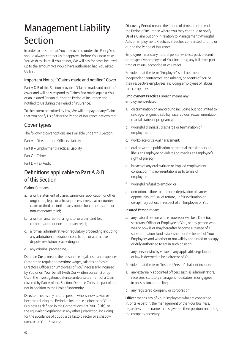# Management Liability Section

In order to be sure that You are covered under this Policy You should always contact Us for approval before You incur costs You wish to claim. If You do not, We will pay for costs incurred up to the amount We would have authorised had You asked Us fi rst.

### Important Notice: "Claims made and notified" Cover

Part A & B of this Section provide a 'Claims made and notified' cover and will only respond to Claims first made against You or an Insured Person during the Period of Insurance and notified to Us during the Period of Insurance.

To the extent permitted by law, We will not pay for any Claim that You notify Us of after the Period of Insurance has expired.

## Cover types

The following cover options are available under this Section:

Part A – Directors and Officers Liability

Part B – Employment Practices Liability

Part C – Crime

Part D – Tax Audit

## Definitions applicable to Part A & B of this Section

### Claim(s) means:

- a. a writ, statement of claim, summons, application or other originating legal or arbitral process, cross claim, counter claim or third or similar party notice for compensation or non-monetary relief;
- b. a written assertion of a right to, or a demand for, compensation or non-monetary relief;
- c. a formal administrative or regulatory proceeding including any arbitration, mediation, conciliation or alternative dispute resolution proceeding; or
- d. any criminal proceeding.

Defence Costs means the reasonable legal costs and expenses (other than regular or overtime wages, salaries or fees of Directors, Officers or Employees of You) necessarily incurred by You or on Your behalf (with Our written consent) or by Us, in the investigation, defence and/or settlement of a Claim covered by Part A of this Section. Defence Costs are part of and not in addition to the Limit of Indemnity.

Director means any natural person who is, now is, was or becomes during the Period of Insurance a director of Your Business as defined in the Corporations Act 2001 (Cth), or the equivalent legislation in any other jurisdiction, including for the avoidance of doubt, a de facto director or a shadow director of Your Business.

Discovery Period means the period of time after the end of the Period of Insurance where You may continue to notify Us of a Claim but only in relation to Management Wrongful Acts or Employment Practices Breaches committed prior to or during the Period of Insurance.

Employee means any natural person who is a past, present or prospective employee of You, including any full time, part time or casual, secondee or volunteer.

Provided that the term "Employee" shall not mean independent contractors, consultants, or agents of You or their respective employees, including employees of labour hire companies.

#### Employment Practices Breach means any employment-related:

- a. discrimination on any ground including but not limited to sex, age, religion, disability, race, colour, sexual orientation, marital status or pregnancy;
- b. wrongful dismissal, discharge or termination of employment;
- c. workplace or sexual harassment;
- d. oral or written publication of material that slanders or libels an Employee or violates or invades an Employee's right of privacy;
- e. breach of any oral, written or implied employment contract or misrepresentations as to terms of employment;
- f. wrongful refusal to employ; or
- g. demotion, failure to promote, deprivation of career opportunity, refusal of tenure, unfair evaluation or disciplinary action, in respect of an Employee of You.

### Insured Person means:

- a. any natural person who is, now is or will be a Director, secretary, Officer or Employee of You, or any person who was or now is or may hereafter become a trustee of a superannuation fund established for the benefit of Your Employees and whether or not validly appointed to occupy or duly authorised to act in such position;
- b. any person who by virtue of any applicable legislation or law is deemed to be a director of You.

Provided that the term "Insured Person" shall not include:

- a. any externally appointed officers such as administrators, receivers, statutory managers, liquidators, mortgagees in possession, or the like; or
- b. any registered company or corporation.

Officer means any of Your Employees who are concerned in, or take part in, the management of the Your Business, regardless of the name that is given to their position, including the company secretary.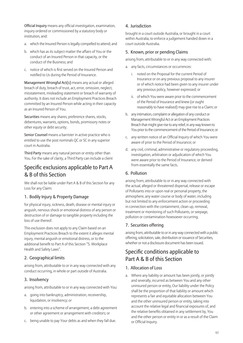Official Inquiry means any official investigation, examination, inquiry ordered or commissioned by a statutory body or institution, and:

- a. which the Insured Person is legally compelled to attend; and
- b. which has as its subject matter the affairs of You or the conduct of an Insured Person in that capacity, or the conduct of the Business; and
- c. notice of which is first served on the Insured Person and notified to Us during the Period of Insurance.

Management Wrongful Act(s) means any actual or alleged breach of duty, breach of trust, act, error, omission, neglect, misstatement, misleading statement or breach of warranty of authority. It does not include an Employment Practices Breach committed by an Insured Person while acting in their capacity as an Insured Person of You.

Securities means any shares, preference shares, stocks, debentures, warrants, options, bonds, promissory notes or other equity or debt security.

Senior Counsel means a barrister in active practice who is entitled to use the post nominals QC or SC in any superior court in Australia.

Third Party means any natural person or entity other than You. For the sake of clarity, a Third Party can include a client

### Specific exclusions applicable to Part A & B of this Section

We shall not be liable under Part A & B of this Section for any Loss for any Claim:

### 1. Bodily Injury & Property Damage

for physical injury, sickness, death, disease or mental injury or anguish, nervous shock or emotional distress of any person or destruction of or damage to tangible property including the loss of use thereof.

This exclusion does not apply to any Claim based on an Employment Practices Breach to the extent it alleges mental injury, mental anguish or emotional distress, or to the additional benefit to Part A of this Section "5. Workplace Health and Safety Laws".

### 2. Geographical limits

arising from, attributable to or in any way connected with any conduct occurring, in whole or part outside of Australia.

### 3. Insolvency

arising from, attributable to or in any way connected with You:

- a. going into bankruptcy, administration, receivership, liquidation, or insolvency; or
- b. entering into a scheme of arrangement, a debt agreement or other agreement or arrangement with creditors; or
- c. being unable to pay Your debts as and when they fall due.

### 4. Jurisdiction

brought in a court outside Australia, or brought in a court within Australia, to enforce a judgement handed down in a court outside Australia.

#### 5. Known, prior or pending Claims

arising from, attributable to or in any way connected with:

- a. any facts, circumstances or occurrences:
	- i. noted on the Proposal for the current Period of Insurance or on any previous proposal to any insurer or of which notice had been given to any insurer under any previous policy, however expressed; or
	- ii. of which You were aware prior to the commencement of the Period of Insurance and knew (or ought reasonably to have realised) may give rise to a Claim; or
- b. any intimation, complaint or allegation of any conduct or Management Wrongful Act or an Employment Practices Breach that might give rise to any relief, in any way known to You prior to the commencement of the Period of Insurance; or
- c. any written notice of an Official Inquiry of which You were aware of prior to the Period of Insurance; or
- d. any civil, criminal, administrative or regulatory proceeding, investigation, arbitration or adjudication of which You were aware prior to the Period of Insurance, or derived from essentially the same facts.

### 6. Pollution

arising from, attributable to or in any way connected with the actual, alleged or threatened dispersal, release or escape of Pollutants into or upon real or personal property, the atmosphere, any water course or body of water, including but not limited to any enforcement action or proceeding in connection with the containment, clean up, removal, treatment or monitoring of such Pollutants, or seepage, pollution or contamination howsoever occurring.

### 7. Securities offering

arising from, attributable to or in any way connected with a public offering, solicitation, sale, distribution or issuance of Securities, whether or not a disclosure document has been issued.

## Specific conditions applicable to Part A & B of this Section

### 1. Allocation of Loss

a. Where any liability or amount has been jointly, or jointly and severally, incurred as between You and any other uninsured person or entity, Our liability under the Policy shall be the proportion of that liability or amount which represents a fair and equitable allocation between You and the other uninsured person or entity, taking into account the relative legal and financial exposures of, and the relative benefits obtained in any settlement by, You and the other person or entity in or as a result of the Claim or Official Inquiry.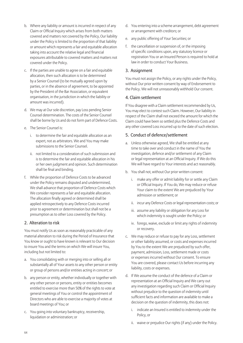- b. Where any liability or amount is incurred in respect of any Claim or Official Inquiry which arises from both matters covered and matters not covered by the Policy, Our liability under the Policy is limited to the proportion of that liability or amount which represents a fair and equitable allocation taking into account the relative legal and financial exposures attributable to covered matters and matters not covered under the Policy.
- c. If the parties are unable to agree on a fair and equitable allocation, then such allocation is to be determined by a Senior Counsel (to be mutually agreed upon by parties, or in the absence of agreement, to be appointed by the President of the Bar Association, or equivalent organisation, in the jurisdiction in which the liability or amount was incurred).
- d. We may at Our sole discretion, pay Loss pending Senior Counsel determination. The costs of the Senior Counsel shall be borne by Us and do not form part of Defence Costs.
- e. The Senior Counsel is:
	- i. to determine the fair and equitable allocation as an expert, not as arbitrators. We and You may make submissions to the Senior Counsel.
	- ii. not limited to a consideration of such submission and is to determine the fair and equitable allocation in his or her own judgment and opinion. Such determination shall be final and binding.
- f. While the proportion of Defence Costs to be advanced under the Policy remains disputed and undetermined, We shall advance that proportion of Defence Costs which We consider represents a fair and equitable allocation. The allocation finally agreed or determined shall be applied retrospectively to any Defence Costs incurred prior to agreement or determination but shall not be a presumption as to other Loss covered by the Policy.

### 2. Alteration to risk

You must notify Us as soon as reasonably practicable of any material alteration to risk during the Period of Insurance that You know or ought to have known is relevant to Our decision to insure You and the terms on which We will insure You, including but not limited to:

- a. You consolidating with or merging into or selling all or substantially all of Your assets to any other person or entity or group of persons and/or entities acting in concert; or
- b. any person or entity, whether individually or together with any other person or persons, entity or entities becomes entitled to exercise more than 50% of the rights to vote at general meetings of You or control the appointment of Directors who are able to exercise a majority of votes at board meetings of You; or
- c. You going into voluntary bankruptcy, receivership, liquidation or administration; or
- d. You entering into a scheme arrangement, debt agreement or arrangement with creditors; or
- e. any public offering of Your Securities; or
- f. the cancellation or suspension of, or the imposing of specific conditions upon, any statutory licence or registration You or an Insured Person is required to hold at law in order to conduct Your Business.

### 3. Assignment

You must not assign the Policy, or any rights under the Policy, without Our prior written consent by way of Endorsement to the Policy. We will not unreasonably withhold Our consent.

### 4. Claim settlement

If You disagree with a Claim settlement recommended by Us, You may elect to contest such Claim. However, Our liability in respect of the Claim shall not exceed the amount for which the Claim could have been so settled plus the Defence Costs and any other covered Loss incurred up to the date of such election.

### 5. Conduct of defence/settlement

- a. Unless otherwise agreed, We shall be entitled at any time to take over and conduct in the name of You the investigation, defence and/or settlement of any Claim or legal representation at an Official Inquiry. If We do this We will have regard to Your interests and act reasonably.
- b. You shall not, without Our prior written consent:
	- i. make any offer or admit liability for or settle any Claim or Official Inquiry. If You do, We may reduce or refuse Your claim to the extent We are prejudiced by Your admission or settlement; or
	- ii. incur any Defence Costs or legal representation costs; or
	- iii. assume any liability or obligation for any Loss for which indemnity is sought under the Policy; or
	- iv. forego, waive, exclude or limit any rights of indemnity or recovery.
- c. We may reduce or refuse to pay for any Loss, settlement or other liability assumed, or costs and expenses incurred by You to the extent We are prejudiced by such offer, payment, admission, Loss, settlement made or costs or expenses incurred without Our consent. To ensure You are covered, please contact Us before incurring any liability, costs or expenses.
- d. If We assume the conduct of the defence of a Claim or representation at an Official Inquiry and We carry out any investigation regarding such Claim or Official Inquiry without prejudice to the question of indemnity until sufficient facts and information are available to make a decision on the question of indemnity, this does not:
	- i. indicate an Insured is entitled to indemnity under the Policy, or
	- ii. waive or prejudice Our rights (if any) under the Policy.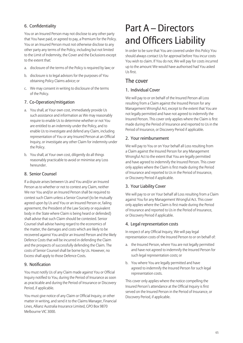### 6. Confidentiality

You or an Insured Person may not disclose to any other party that You have paid, or agreed to pay, a Premium for the Policy. You or an Insured Person must not otherwise disclose to any other party any terms of the Policy, including but not limited to the Limit of Indemnity, the Cover and the Exclusions except to the extent that:

- a. disclosure of the terms of the Policy is required by law; or
- b. disclosure is to legal advisors for the purposes of You obtaining Policy Claims advice; or
- c. We may consent in writing to disclosure of the terms of the Policy.

### 7. Co-Operation/mitigation

- a. You shall, at Your own cost, immediately provide Us such assistance and information as We may reasonably require to enable Us to determine whether or not You are entitled to an indemnity under the Policy, and to enable Us to investigate and defend any Claim, including representation of You or any Insured Person at an Official Inquiry, or investigate any other Claim for indemnity under the Policy.
- b. You shall, at Your own cost, diligently do all things reasonably practicable to avoid or minimise any Loss hereunder.

### 8. Senior Counsel

If a dispute arises between Us and You and/or an Insured Person as to whether or not to contest any Claim, neither We nor You and/or an Insured Person shall be required to contest such Claim unless a Senior Counsel (to be mutually agreed upon by Us and You or an Insured Person or, failing agreement, the President of the Law Society or equivalent body in the State where Claim is being heard or defended) shall advise that such Claim should be contested. Senior Counsel shall advise having regard to the economics of the matter, the damages and costs which are likely to be recovered against You and/or an Insured Person and the likely Defence Costs that will be incurred in defending the Claim and the prospects of successfully defending the Claim. The costs of Senior Counsel shall be borne by Us. However, no Excess shall apply to those Defence Costs.

### 9. Notification

You must notify Us of any Claim made against You or Official Inquiry notified to You, during the Period of Insurance as soon as practicable and during the Period of Insurance or Discovery Period, if applicable.

You must give notice of any Claim or Official Inquiry, or other matter in writing, and send it to the Claims Manager, Financial Lines, Allianz Australia Insurance Limited, GPO Box 9870 Melbourne VIC 3000.

# Part A – Directors and Officers Liability

 In order to be sure that You are covered under this Policy You should always contact Us for approval before You incur costs You wish to claim. If You do not, We will pay for costs incurred up to the amount We would have authorised had You asked Us first.

### The cover

### 1. Individual Cover

We will pay to or on behalf of the Insured Person all Loss resulting from a Claim against the Insured Person for any Management Wrongful Act, except to the extent that You are not legally permitted and have not agreed to indemnify the Insured Person. This cover only applies where the Claim is first made during the Period of Insurance and reported to Us in the Period of Insurance, or Discovery Period if applicable.

#### 2. Your reimbursement

We will pay to You or on Your behalf all Loss resulting from a Claim against the Insured Person for any Management Wrongful Act to the extent that You are legally permitted and have agreed to indemnify the Insured Person. This cover only applies where the Claim is first made during the Period of Insurance and reported to Us in the Period of Insurance, or Discovery Period if applicable.

### 3. Your Liability Cover

We will pay to or on Your behalf all Loss resulting from a Claim against You for any Management Wrongful Act. This cover only applies where the Claim is first made during the Period of Insurance and reported to Us in the Period of Insurance, or Discovery Period if applicable.

### 4. Legal representation costs

In respect of any Official Inquiry, We will pay legal representation costs of the Insured Person to or on behalf of:

- a. the Insured Person, where You are not legally permitted and have not agreed to indemnify the Insured Person for such legal representation costs; or
- b. You where You are legally permitted and have agreed to indemnify the Insured Person for such legal representation costs.

This cover only applies where the notice compelling the Insured Person's attendance at the Official Inquiry is first served on the Insured Person in the Period of Insurance, or Discovery Period, if applicable.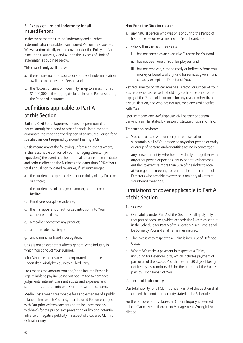### 5. Excess of Limit of Indemnity for all Insured Persons

In the event that the Limit of Indemnity and all other indemnification available to an Insured Person is exhausted, We will automatically extend cover under this Policy for Part A Insuring Clauses 1, 2 and 4 up to the "Excess of Limit of Indemnity" as outlined below.

This cover is only available where:

- a. there is/are no other source or sources of indemnification available to the Insured Person; and
- b. the "Excess of Limit of Indemnity" is up to a maximum of \$1,000,000 in the aggregate for all Insured Persons during the Period of Insurance.

# Definitions applicable to Part A of this Section

Bail and Civil Bond Expenses means the premium (but not collateral) for a bond or other financial instrument to guarantee the contingent obligation of an Insured Person for a specified amount required by a court hearing a Claim.

Crisis means any of the following unforeseen events where, in the reasonable opinion of Your managing Director (or equivalent) the event has the potential to cause an immediate and serious effect on the Business of greater than 20% of Your total annual consolidated revenues, if left unmanaged:

- a. the sudden, unexpected death or disability of any Director or Officer:
- b. the sudden loss of a major customer, contract or credit facility;
- c. Employee workplace violence;
- d. the first apparent unauthorised intrusion into Your computer facilities;
- e. a recall or boycott of any product;
- f. a man made disaster; or
- g. any criminal or fraud investigation.

Crisis is not an event that affects generally the industry in which You conduct Your Business.

Joint Venture means any unincorporated enterprise undertaken jointly by You with a Third Party.

Loss means the amount You and/or an Insured Person is legally liable to pay including but not limited to damages, judgments, interest, claimant's costs and expenses and settlements entered into with Our prior written consent.

Media Costs means reasonable fees and expenses of a public relations firm which You and/or an Insured Person engages with Our prior written consent (not to be unreasonably withheld) for the purpose of preventing or limiting potential adverse or negative publicity in respect of a covered Claim or Official Inquiry.

#### Non-Executive Director means:

- a. any natural person who was or is or during the Period of Insurance becomes a member of Your board; and
- b. who within the last three years:
	- i. has not served as an executive Director for You; and
	- ii. has not been one of Your Employees; and
	- iii. has not received, either directly or indirectly from You, money or benefits of any kind for services given in any capacity except as a Director of You.

Retired Director or Officer means a Director or Officer of Your Business who has ceased to hold any such office prior to the expiry of the Period of Insurance, for any reason other than disqualification, and who has not assumed any similar office with You.

Spouse means any lawful spouse, civil partner or person deriving a similar status by reason of statute or common law.

#### Transaction is where:

- a. You consolidate with or merge into or sell all or substantially all of Your assets to any other person or entity or group of persons and/or entities acting in concert; or
- b. any person or entity, whether individually or together with any other person or persons, entity or entities becomes entitled to exercise more than 50% of the rights to vote at Your general meetings or control the appointment of Directors who are able to exercise a majority of votes at Your board meetings.

## Limitations of cover applicable to Part A of this Section

### 1. Excess

- a. Our liability under Part A of this Section shall apply only to that part of each Loss, which exceeds the Excess as set out in the Schedule for Part A of this Section. Such Excess shall be borne by You and shall remain uninsured.
- b. The Excess with respect to a Claim is inclusive of Defence Costs.
- c. Where We make a payment in respect of a Claim, including for Defence Costs, which includes payment of part or all of the Excess, You shall within 30 days of being notified by Us, reimburse Us for the amount of the Excess paid by Us on behalf of You.

### 2. Limit of Indemnity

Our total liability for all Claims under Part A of this Section shall not exceed the Limit of Indemnity stated in the Schedule.

For the purpose of this clause, an Official Inquiry is deemed to be a Claim, even if there is no Management Wrongful Act alleged.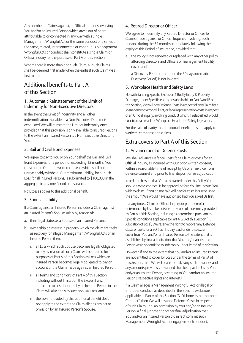Any number of Claims against, or Official Inquiries involving, You and/or an Insured Person which arose out of or are attributable to or connected in any way with a single Management Wrongful Act or the same conduct or a series of the same, related, interconnected or continuous Management Wrongful Acts or conduct shall constitute a single Claim or Official Inquiry for the purpose of Part A of this Section.

Where there is more than one such Claim, all such Claims shall be deemed first made when the earliest such Claim was first made

### Additional benefits to Part A of this Section

### 1. Automatic Reinstatement of the Limit of Indemnity for Non-Executive Directors

In the event the Limit of Indemnity and all other indemnification available to a Non-Executive Director is exhausted We will reinstate the Limit of Indemnity once, provided that this provision is only available to Insured Persons to the extent an Insured Person is a Non-Executive Director of You.

### 2. Bail and Civil Bond Expenses

We agree to pay to You or on Your behalf the Bail and Civil Bond Expenses for a period not exceeding 12 months. You must obtain Our prior written consent, which shall not be unreasonably withheld. Our maximum liability, for all such Loss for all Insured Persons, is sub-limited to \$100,000 in the aggregate in any one Period of Insurance.

No Excess applies to this additional benefit.

### 3. Spousal liability

If a Claim against an Insured Person includes a Claim against an Insured Person's Spouse solely by reason of:

- a. their legal status as a Spouse of an Insured Person; or
- b. ownership or interest in property which the claimant seeks as recovery for alleged Management Wrongful Acts of an Insured Person then:
	- i. all Loss which such Spouse becomes legally obligated to pay by reason of such Claim will be treated for purposes of Part A of this Section as Loss which an Insured Person becomes legally obligated to pay on account of the Claim made against an Insured Person;
	- ii. all terms and conditions of Part A of this Section, including without limitation the Excess if any, applicable to Loss incurred by an Insured Person in the Claim will also apply to such spousal Loss; and
	- iii. the cover provided by this additional benefit does not apply to the extent the Claim alleges any act or omission by an Insured Person's Spouse.

### 4. Retired Director or Officer

We agree to indemnify any Retired Director or Officer for Claims made against, or Official Inquiries involving, such persons during the 84 months immediately following the expiry of this Period of Insurance, provided that:

- a. the Policy is not renewed or replaced with any other policy affording Directors and Officers or management liability cover; and
- b. a Discovery Period (other than the 30 day automatic Discovery Period) is not invoked.

### 5. Workplace Health and Safety Laws

Notwithstanding Specific Exclusion 1'Bodily Injury & Property Damage', under Specific exclusions applicable to Part A and B of this Section, We will pay Defence Costs in respect of any Claim for a Management Wrongful Act, or legal representation costs in respect of an Official Inquiry, involving conduct which, if established, would constitute a breach of Workplace Health and Safety legislation.

For the sake of clarity this additional benefit does not apply to workers' compensation claims.

### Extra covers to Part A of this Section

### 1. Advancement of Defence Costs

We shall advance Defence Costs for a Claim or costs for an Official Inquiry, as incurred with Our prior written consent, within a reasonable time of receipt by Us of an invoice from defence counsel and prior to final disposition or adjudication.

In order to be sure that You are covered under this Policy You should always contact Us for approval before You incur costs You wish to claim. If You do not, We will pay for costs incurred up to the amount We would have authorised had You asked Us first.

If at any time a Claim or Official Inquiry, or part thereof, is determined by Us to be outside the scope of indemnity provided by Part A of this Section, including as determined pursuant to Specific conditions applicable to Part A & B of this Section "1. Allocation of Loss", We reserve the right to recover any Defence Costs or costs for an Official Inquiry paid under this extra cover from You and/or an Insured Person to the extent that is established by final adjudication, that You and/or an Insured Person were not entitled to indemnity under Part A of this Section.

However, if and to the extent that You and/or an Insured Person are not entitled to cover for Loss under the terms of Part A of this Section, then We will cease to make any such advances and any amounts previously advanced shall be repaid to Us by You and/or an Insured Person, according to Your and/or an Insured Person's respective rights and interests.

If a Claim alleges a Management Wrongful Act, or illegal or improper conduct, as described in the Specific exclusions applicable to Part A of this Section "3. Dishonesty or Improper Conduct", then We will advance Defence Costs in respect of such Claim until an admission by You and/or an Insured Person, a final judgment or other final adjudication that You and/or an Insured Person did in fact commit such Management Wrongful Act or engage in such conduct.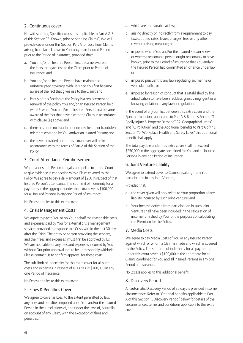### 2. Continuous cover

Notwithstanding Specific exclusions applicable to Part A & B of this Section "5. Known, prior or pending Claims", We will provide cover under this Section Part A for Loss from Claims arising from facts known to You and/or an Insured Person prior to the Period of Insurance, provided that:

- a. You and/or an Insured Person first became aware of the facts that gave rise to the Claim prior to Period of Insurance; and
- b. You and/or an Insured Person have maintained uninterrupted coverage with Us since You first became aware of the fact that gives rise to the Claim; and
- c. Part A of this Section of the Policy is a replacement or renewal of the policy You and/or an Insured Person held with Us when You and/or an Insured Person first became aware of the fact that gave rise to the Claim in accordance with clause (a) above; and
- d. there has been no fraudulent non-disclosure or fraudulent misrepresentation by You and/or an Insured Person; and
- e. the cover provided under this extra cover will be in accordance with the terms of Part A of this Section of the Policy.

#### 3. Court Attendance Reimbursement

Where an Insured Person is legally compelled to attend Court to give evidence in connection with a Claim covered by the Policy, We agree to pay a daily amount of \$250 in respect of that Insured Person's attendance. The sub-limit of indemnity for all payments in the aggregate under this extra cover is \$100,000 for all Insured Persons in any one Period of Insurance.

No Excess applies to this extra cover.

### 4. Crisis Management Costs

We agree to pay to You or on Your behalf the reasonable costs and expenses paid by You for external crisis management services provided in response to a Crisis within the first 30 days after the Crisis. The entity or person providing the services, and their fees and expenses, must first be approved by Us. We are not liable for any fees and expenses incurred by You without Our prior approval, not to be unreasonably withheld. Please contact Us to confirm approval for these costs.

The sub-limit of indemnity for this extra cover for all such costs and expenses in respect of all Crises, is \$100,000 in any one Period of Insurance.

No Excess applies to this extra cover.

#### 5. Fines & Penalties Cover

We agree to cover as Loss, to the extent permitted by law, any fines and penalties imposed upon You and/or the Insured Person in the jurisdictions of, and under the laws of, Australia on account of any Claim, with the exception of fines and penalties:

- a. which are uninsurable at law; or
- b. arising directly or indirectly from a requirement to pay taxes, duties, rates, levies, charges, fees or any other revenue raising measure; or
- c. imposed where You and/or the Insured Person knew, or where a reasonable person ought reasonably to have known, prior to the Period of Insurance that You and/or the Insured Person had committed an offence under law; or
- d. imposed pursuant to any law regulating air, marine or vehicular traffic; or
- e. imposed by reason of conduct that is established by final adjudication to have been reckless, grossly negligent or a knowing violation of any law or regulation.

In the event of any conflict between this extra cover and the Specific exclusions applicable to Part A & B of this Section "1, Bodily Injury & Property Damage", "2. Geographical limits" and "6. Pollution" and the Additional benefits to Part A of this Section "5. Workplace Health and Safety Laws" this additional benefit shall apply.

The total payable under this extra cover shall not exceed \$250,000 in the aggregate combined for You and all Insured Persons in any one Period of Insurance.

#### 6. Joint Venture Liability

We agree to extend cover to Claims resulting from Your participation in any Joint Venture,

Provided that:

- a. the cover given will only relate to Your proportion of any liability incurred by such Joint Venture; and
- b. Your income derived from participation in such Joint Venture shall have been included in the calculation of income furnished by You for the purposes of calculating the Premium for the Policy.

#### 7. Media Costs

We agree to pay Media Costs of You or any Insured Person against which or whom a Claim is made and which is covered by the Policy. The sub-limit of indemnity for all payments under this extra cover is \$100,000 in the aggregate for all Claims combined for You and all Insured Persons in any one Period of Insurance.

No Excess applies to this additional benefit.

#### 8. Discovery Period

An automatic Discovery Period of 30 days is provided in some circumstance. Refer to "Optional benefits applicable to Part A of this Section 1. Discovery Period" below for details of the circumstances, terms and conditions applicable to this extra cover.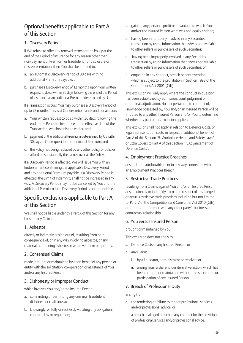# Optional benefits applicable to Part A of this Section

### 1. Discovery Period

If We refuse to offer any renewal terms for the Policy at the end of the Period of Insurance for any reason other than non-payment of Premium or fraudulent nondisclosure or misrepresentation, then You shall be entitled to:

- a. an automatic Discovery Period of 30 days with no additional Premium payable; or
- b. purchase a Discovery Period of 12 months, upon Your written request to do so within 30 days following the end of the Period of Insurance at an additional Premium determined by Us.

If a Transaction occurs, You may purchase a Discovery Period of up to 72 months. This is at Our discretion, and conditional upon:

- a. Your written request to do so within 30 days following the end of the Period of Insurance or the effective date of the Transaction, whichever is the earlier; and
- b. payment of the additional Premium determined by Us within 30 days of Our request for the additional Premium; and
- c. the Policy not being replaced by any other policy or policies affording substantially the same cover as the Policy.

If a Discovery Period is effected, We will issue You with an Endorsement confirming the applicable Discovery Period and any additional Premium payable. If a Discovery Period is effected, the Limit of Indemnity shall not be increased in any way. A Discovery Period may not be cancelled by You and the additional Premium for a Discovery Period is not refundable.

### Specific exclusions applicable to Part A of this Section

We shall not be liable under this Part A of this Section for any Loss for any Claim:

### 1. Asbestos

directly or indirectly arising out of, resulting from or in consequence of, or in any way involving asbestos, or any materials containing asbestos in whatever form or quantity.

### 2. Consensual Claims

made, brought or maintained by or on behalf of any person or entity with the solicitation, co-operation or assistance of You and/or any Insured Person.

### 3. Dishonesty or Improper Conduct

which involves You and/or the Insured Person:

- a. committing or permitting any criminal, fraudulent, dishonest or malicious act;
- b. knowingly, wilfully or recklessly violating any obligation, contract, law or regulation;
- c. gaining any personal profit or advantage to which You and/or the Insured Person were was not legally entitled;
- d. having been improperly involved in any Securities transaction by using information that is/was not available to other sellers or purchasers of such Securities;
- e. having been improperly involved in any Securities transaction by using information that is/was not available to other sellers or purchasers of such Securities; or
- f. engaging in any conduct, breach or contravention which is subject to the prohibition in Section 199B of the Corporations Act 2001 (Cth).

This exclusion will only apply where the conduct in question has been established by admission, court judgment or other final adjudication. No fact pertaining to conduct of, or knowledge possessed by, You and/or an Insured Person will be imputed to any other Insured Person and/or You to determine whether any part of this exclusion applies.

This exclusion shall not apply in relation to Defence Costs, or legal representation costs, in respect of additional benefit of Part A of this Section "5. Workplace Health and Safety Laws" or Extra Covers to Part A of this Section "1. Advancement of Defence Costs".

### 4. Employment Practice Breaches

arising from, attributable to or in any way connected with an Employment Practices Breach.

### 5. Restrictive Trade Practices

resulting from Claims against You and/or an Insured Person arising directly or indirectly from or in respect of any alleged or actual restrictive trade practices including but not limited to, Part IV of the Competition and Consumer Act 2010 (Cth) or tortious interference with any other party's business or contractual relationship.

### 6. You versus Insured Person

brought or maintained by You.

This exclusion does not apply to:

- a. Defence Costs of any Insured Person; or
- b. any Claim:
	- i. by a liquidator, administrator or receiver; or
	- ii. arising from a shareholder derivative action, which has been brought or maintained without the solicitation or participation of any Insured Person.

### 7. Breach of Professional Duty

arising from:

- a. the rendering or failure to render professional services and/or professional advice; or
- b. a breach or alleged breach of any contract for the provision of professional services and/or professional advice.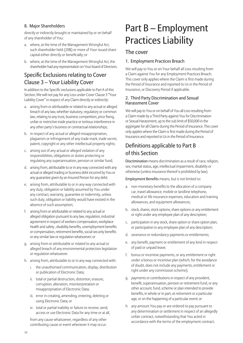### 8. Major Shareholders

directly or indirectly brought or maintained by or on behalf of any shareholder of You:

- a. where, at the time of the Management Wrongful Act, such shareholder held (20%) or more of Your issued share capital either directly or beneficially; or
- b. where, at the time of the Management Wrongful Act, the shareholder had any representation on Your board of Directors.

### Specific Exclusions relating to Cover Clause 3 – Your Liability Cover

In addition to the Specific exclusions applicable to Part A of this Section, We will not pay for any Loss under Cover Clause 3 "Your Liability Cover" in respect of any Claim directly or indirectly:

- a. arising from or attributable or related to any actual or alleged breach of any law, whether statutory, regulatory or common law, relating to any trust, business competition, price fixing, unfair or restrictive trade practice or tortious interference in any other party's business or contractual relationships;
- b. in respect of any actual or alleged misappropriation, plagiarism or infringement of any trade mark, trade secret, patent, copyright or any other intellectual property rights;
- c. arising out of any actual or alleged violation of any responsibilities, obligations or duties protecting or regulating any superannuation, pension or similar fund;
- d. arising from, attributable to or in any way connected with any actual or alleged trading or business debt incurred by You or any guarantee given by an Insured Person for any debt;
- e. arising from, attributable to or in any way connected with any duty, obligation or liability assumed by You under any contract, warranty, guarantee or indemnity, unless such duty, obligation or liability would have existed in the absence of such assumption;
- f. arising from or attributable or related to any actual or alleged obligation pursuant to any law, regulation, industrial agreement in respect of workers compensation, workplace health and safety, disability benefits, unemployment benefits or compensation, retirement benefits, social security benefits or any similar law or regulation whatsoever; or
- g. arising from or attributable or related to any actual or alleged breach of any environmental protection legislation or regulation whatsoever.
- h. arising from, attributable to or in any way connected with:
	- i. the unauthorised communication, display, distribution or publication of Electronic Data;
	- ii. total or partial destruction, distortion, erasure, corruption, alteration, misinterpretation or misappropriation of Electronic Data;
	- iii. error in creating, amending, entering, deleting or using Electronic Data; or
	- iv. total or partial inability or failure to receive, send, access or use Electronic Data for any time or at all,

 from any cause whatsoever, regardless of any other contributing cause or event whenever it may occur.

# Part B – Employment Practices Liability

### The cover

### 1. Employment Practices Breach

We will pay to You or on Your behalf all Loss resulting from a Claim against You for any Employment Practices Breach. This cover only applies where the Claim is first made during the Period of Insurance and reported to Us in the Period of Insurance, or Discovery Period if applicable.

### 2. Third Party Discrimination and Sexual Harassment Cover

We will pay to You or on behalf of You all Loss resulting from a Claim made by a Third Party against You for Discrimination or Sexual Harassment, up to the sub limit of \$50,000 in the aggregate for all Claims during the Period of Insurance. This cover only applies where the Claim is first made during the Period of Insurance and reported to Us in the Period of Insurance.

# Definitions applicable to Part B of this Section

Discrimination means discrimination as a result of race, religion, sex, marital status, age, intellectual impairment, disability or otherwise (unless insurance thereof is prohibited by law).

Employment Benefits means, but is not limited to:

- a. non-monetary benefits to the allocation of a company car, travel allowance, mobile or landline telephone, medical or life insurance expenses, education and training allowances, and equipment allowances;
- b. stock, shares, stock options, share options or any entitlement or right under any employee plan of any description;
- c. participation in any stock, share option or share option plan, or participation in any employee plan of any description;
- d. severance or redundancy payments or entitlements;
- e. any benefit, payment or entitlement of any kind in respect of paid or unpaid leave;
- f. bonus or incentive payments, or any entitlement or right under a bonus or incentive plan (which, for the avoidance of doubt, does not include any payments, entitlement or right under any commission scheme);
- g. payments or contributions in respect of any provident, benefit, superannuation, pension or retirement fund, or any other account, fund, scheme or plan intended to provide benefits, in whole or in part, at retirement or a particular age, or on the happening of a particular event; or
- h. any amount You pay or are ordered to pay pursuant to any determination or settlement in respect of an allegedly unfair contract, notwithstanding that You acted in accordance with the terms of the employment contract.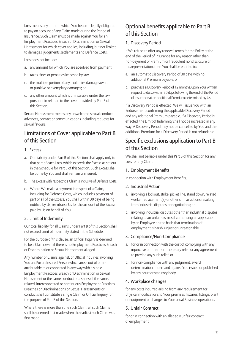Loss means any amount which You become legally obligated to pay on account of any Claim made during the Period of Insurance. Such Claim must be made against You for an Employment Practices Breach or Discrimination or Sexual Harassment for which cover applies, including, but not limited to damages, judgments settlements and Defence Costs.

Loss does not include:

- a. any amount for which You are absolved from payment;
- b. taxes, fines or penalties imposed by law;
- c. the multiple portion of any multiplies damage award or punitive or exemplary damages; or
- d. any other amount which is uninsurable under the law pursuant in relation to the cover provided by Part B of this Section.

Sexual Harassment means any unwelcome sexual conduct, advances, contact or communications including requests for sexual favours.

# Limitations of Cover applicable to Part B of this Section

#### 1. Excess

- a. Our liability under Part B of this Section shall apply only to that part of each Loss, which exceeds the Excess as set out in the Schedule for Part B of this Section. Such Excess shall be borne by You and shall remain uninsured.
- b. The Excess with respect to a Claim is inclusive of Defence Costs.
- c. Where We make a payment in respect of a Claim, including for Defence Costs, which includes payment of part or all of the Excess, You shall within 30 days of being notified by Us, reimburse Us for the amount of the Excess paid by Us on behalf of You.

## 2. Limit of Indemnity

Our total liability for all Claims under Part B of this Section shall not exceed Limit of Indemnity stated in the Schedule.

For the purpose of this clause, an Official Inquiry is deemed to be a Claim, even if there is no Employment Practices Breach or Discrimination or Sexual Harassment alleged.

Any number of Claims against, or Official Inquiries involving, You and/or an Insured Person which arose out of or are attributable to or connected in any way with a single Employment Practices Breach or Discrimination or Sexual Harassment or the same conduct or a series of the same, related, interconnected or continuous Employment Practices Breaches or Discriminations or Sexual Harassments or conduct shall constitute a single Claim or Official Inquiry for the purpose of Part B of this Section.

Where there is more than one such Claim, all such Claims shall be deemed first made when the earliest such Claim was first made.

# Optional benefits applicable to Part B of this Section

## 1. Discovery Period

If We refuse to offer any renewal terms for the Policy at the end of the Period of Insurance for any reason other than non-payment of Premium or fraudulent nondisclosure or misrepresentation, then You shall be entitled to:

- a. an automatic Discovery Period of 30 days with no additional Premium payable; or
- b. purchase a Discovery Period of 12 months, upon Your written request to do so within 30 days following the end of the Period of Insurance at an additional Premium determined by Us.

If a Discovery Period is effected, We will issue You with an Endorsement confirming the applicable Discovery Period and any additional Premium payable. If a Discovery Period is effected, the Limit of Indemnity shall not be increased in any way. A Discovery Period may not be cancelled by You and the additional Premium for a Discovery Period is not refundable.

# Specific exclusions application to Part B of this Section

We shall not be liable under this Part B of this Section for any Loss for any Claim:

#### 1. Employment Benefits

in connection with Employment Benefits.

#### 2. Industrial Action

- a. involving a lockout, strike, picket line, stand down, related worker replacement(s) or other similar actions resulting from industrial disputes or negotiations; or
- b. involving industrial disputes other than industrial disputes relating to an unfair dismissal comprising an application by an Employee on the basis that termination of employment is harsh, unjust or unreasonable.

#### 3. Compliance/Non-Compliance

- a. for or in connection with the cost of complying with any injunctive or other non-monetary relief or any agreement to provide any such relief; or
- b. for non-compliance with any judgment, award, determination or demand against You issued or published by any court or statutory body.

## 4. Workplace changes

for any costs incurred arising from any requirement for physical modifications to Your premises, fixtures, fittings, plant or equipment or changes to Your usual Business operations.

## 5. Unfair Contract

for or in connection with an allegedly unfair contract of employment.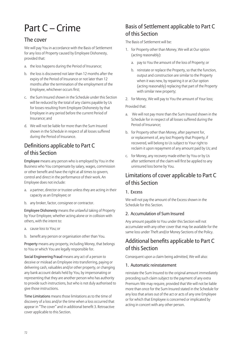# Part C – Crime

# The cover

We will pay You in accordance with the Basis of Settlement for any loss of Property caused by Employee Dishonesty, provided that:

- a. the loss happens during the Period of Insurance;
- b. the loss is discovered not later than 12 months after the expiry of the Period of Insurance or not later than 12 months after the termination of the employment of the Employee, whichever occurs first;
- c. the Sum Insured shown in the Schedule under this Section will be reduced by the total of any claims payable by Us for losses resulting from Employee Dishonesty by that Employee in any period before the current Period of Insurance; and
- d. We will not be liable for more than the Sum Insured shown in the Schedule in respect of all losses suffered during the Period of Insurance.

# Definitions applicable to Part C of this Section

Employee means any person who is employed by You in the Business who You compensate by salary, wages, commission or other benefit and have the right at all times to govern, control and direct in the performance of their work. An Employee does not include:

- a. a partner, director or trustee unless they are acting in their capacity as an Employee; or
- b. any broker, factor, consignee or contractor.

Employee Dishonesty means the unlawful taking of Property by Your Employee, whether acting alone or in collision with others, with the intent to:

- a. cause loss to You; or
- b. benefit any person or organisation other than You.

Property means any property, including Money, that belongs to You or which You are legally responsible for.

Social Engineering Fraud means any act of a person to deceive or mislead an Employee into transferring, paying or delivering cash, valuables and/or other property, or changing any bank account details held by You, by impersonating or representing that they are another person who has authority to provide such instructions, but who is not duly authorised to give those instructions.

Time Limitations means those limitations as to the time of discovery of a loss and/or the time when a loss occurred that appear in "The cover" and in additional benefit 3. Retroactive cover applicable to this Section.

# Basis of Settlement applicable to Part C of this Section

The Basis of Settlement will be:

- 1. for Property other than Money, We will at Our option (acting reasonably):
	- a. pay to You the amount of the loss of Property; or
	- b. reinstate or replace the Property, so that the function, output and construction are similar to the Property when it was new, by repairing it or at Our option (acting reasonably) replacing that part of the Property with similar new property;
- 2. for Money, We will pay to You the amount of Your loss;

Provided that:

- a. We will not pay more than the Sum Insured shown in the Schedule for in respect of all losses suffered during the Period of Insurance;
- b. for Property other than Money, after payment for, or replacement of, any lost Property that Property, if recovered, will belong to Us subject to Your right to reclaim it upon repayment of any amount paid by Us; and
- c. for Money, any recovery made either by You or by Us after settlement of the claim will first be applied to any uninsured loss borne by You.

# Limitations of cover applicable to Part C of this Section

# 1. Excess

We will not pay the amount of the Excess shown in the Schedule for this Section.

# 2. Accumulation of Sum Insured

Any amount payable to You under this Section will not accumulate with any other cover that may be available for the same loss under Theft and/or Money Sections of the Policy.

# Additional benefits applicable to Part C of this Section

Consequent upon a claim being admitted, We will also:

# 1. Automatic reinstatement

reinstate the Sum Insured to the original amount immediately preceding such claim subject to the payment of any extra Premium We may require, provided that We will not be liable more than once for the Sum Insured stated in the Schedule for any loss that arises out of the act or acts of any one Employee or for which that Employee is concerned or implicated by acting in concert with any other person.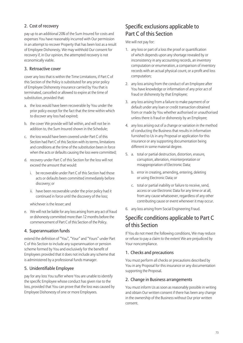# 2. Cost of recovery

pay up to an additional 20% of the Sum Insured for costs and expenses You have reasonably incurred with Our permission in an attempt to recover Property that has been lost as a result of Employee Dishonesty. We may withhold Our consent for recovery if, in Our opinion, the attempted recovery is not economically viable.

## 3. Retroactive cover

cover any loss that is within the Time Limitations, if Part C of this Section of the Policy is substituted for any prior policy of Employee Dishonesty insurance carried by You that is terminated, cancelled or allowed to expire at the time of substitution, provided that:

- a. the loss would have been recoverable by You under the prior policy except for the fact that the time within which to discover any loss had expired;
- b. the cover We provide will fall within, and will not be in addition to, the Sum Insured shown in the Schedule;
- c. the loss would have been covered under Part C of this Section had Part C of this Section with its terms, limitations and conditions at the time of the substitution been in force when the acts or defaults causing the loss were committed;
- d. recovery under Part C of this Section for the loss will not exceed the amount that would:
	- i. be recoverable under Part C of this Section had those acts or defaults been committed immediately before discovery; or
	- ii. have been recoverable under the prior policy had it continued in force until the discovery of the loss;

whichever is the lesser; and

e. We will not be liable for any loss arising from any act of fraud or dishonesty committed more than 12 months before the commencement of Part C of this Section of the Policy.

## 4. Superannuation funds

extend the definition of "You", "Your" and "Yours" under Part C of this Section to include any superannuation or pension scheme formed by You and exclusively for the benefit of Employees provided that it does not include any scheme that is administered by a professional funds manager.

# 5. Unidentifiable Employee

pay for any loss You suffer where You are unable to identify the specific Employee whose conduct has given rise to the loss, provided that You can prove that the loss was caused by Employee Dishonesty of one or more Employees.

# Specific exclusions applicable to Part C of this Section

#### We will not pay for:

- 1. any loss or part of a loss the proof or quantification of which depends upon any shortage revealed by or inconsistency in any accounting records, an inventory computation or enumeration, a comparison of inventory records with an actual physical count, or a profit and loss computation;
- 2. any loss arising from the conduct of an Employee after You have knowledge or information of any prior act of fraud or dishonesty by that Employee;
- 3. any loss arising from a failure to make payment of or default under any loan or credit transaction obtained from or made by You whether authorised or unauthorised unless there is fraud or dishonesty by an Employee;
- 4. any loss arising out of a change or variation in the method of conducting the Business that results in information furnished to Us in any Proposal or application for this insurance or any supporting documentation being different in some material degree.
- 5. a. total or partial destruction, distortion, erasure, corruption, alteration, misinterpretation or misappropriation of Electronic Data;
	- b. error in creating, amending, entering, deleting or using Electronic Data; or
	- c. total or partial inability or failure to receive, send, access or use Electronic Data for any time or at all, from any cause whatsoever, regardless of any other contributing cause or event whenever it may occur.
- 6. any loss arising from Social Engineering Fraud.

# Specific conditions applicable to Part C of this Section

If You do not meet the following conditions, We may reduce or refuse to pay a claim to the extent We are prejudiced by Your noncompliance.

# 1. Checks and precautions

You must perform all checks or precautions described by You in any Proposal for this insurance or any documentation supporting the Proposal.

## 2. Change in Business arrangements

You must inform Us as soon as reasonably possible in writing and obtain Our written consent if there has been any change in the ownership of the Business without Our prior written consent.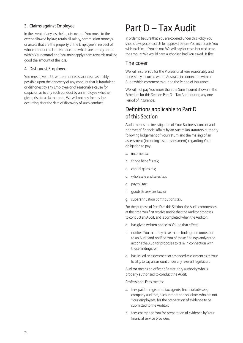# 3. Claims against Employee

In the event of any loss being discovered You must, to the extent allowed by law, retain all salary, commission moneys or assets that are the property of the Employee in respect of whose conduct a claim is made and which are or may come within Your control and You must apply them towards making good the amount of the loss.

## 4. Dishonest Employee

You must give to Us written notice as soon as reasonably possible upon the discovery of any conduct that is fraudulent or dishonest by any Employee or of reasonable cause for suspicion as to any such conduct by an Employee whether giving rise to a claim or not. We will not pay for any loss occurring after the date of discovery of such conduct.

# Part D – Tax Audit

 In order to be sure that You are covered under this Policy You should always contact Us for approval before You incur costs You wish to claim. If You do not, We will pay for costs incurred up to the amount We would have authorised had You asked Us first.

# The cover

We will insure You for the Professional Fees reasonably and necessarily incurred within Australia in connection with an Audit which commences during the Period of Insurance.

We will not pay You more than the Sum Insured shown in the Schedule for this Section Part D – Tax Audit during any one Period of Insurance.

# Definitions applicable to Part D of this Section

Audit means the investigation of Your Business' current and prior years' financial affairs by an Australian statutory authority following lodgement of Your return and the making of an assessment (including a self-assessment) regarding Your obligation to pay:

- a. income tax;
- b. fringe benefits tax;
- c. capital gains tax;
- d. wholesale and sales tax;
- e. payroll tax;
- f. goods & services tax; or
- g. superannuation contributions tax.

For the purpose of Part D of this Section, the Audit commences at the time You first receive notice that the Auditor proposes to conduct an Audit, and is completed when the Auditor:

- a. has given written notice to You to that effect;
- b. notifies You that they have made findings in connection to an Audit and notified You of those findings and/or the actions the Auditor proposes to take in connection with those findings; or
- c. has issued an assessment or amended assessment as to Your liability to pay an amount under any relevant legislation.

Auditor means an officer of a statutory authority who is properly authorised to conduct the Audit.

Professional Fees means:

- a. fees paid to registered tax agents, financial advisers, company auditors, accountants and solicitors who are not Your employees, for the preparation of evidence to be submitted to the Auditor;
- b. fees charged to You for preparation of evidence by Your financial service providers;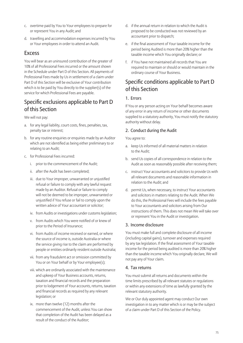- c. overtime paid by You to Your employees to prepare for or represent You in any Audit; and
- d. travelling and accommodation expenses incurred by You or Your employees in order to attend an Audit.

# Excess

You will bear as an uninsured contribution of the greater of 10% of all Professional Fees incurred or the amount shown in the Schedule under Part D of this Section. All payments of Professional Fees made by Us in settlement of a claim under Part D of this Section will be exclusive of Your contribution which is to be paid by You directly to the supplier(s) of the service for which Professional Fees are payable.

# Specific exclusions applicable to Part D of this Section

We will not pay:

- a. for any legal liability, court costs, fines, penalties, tax, penalty tax or interest;
- b. for any routine enquiries or enquiries made by an Auditor which are not identified as being either preliminary to or relating to an Audit;
- c. for Professional Fees incurred:
	- i. prior to the commencement of the Audit;
	- ii. after the Audit has been completed;
	- iii. due to Your improper, unwarranted or unjustified refusal or failure to comply with any lawful request made by an Auditor. Refusal or failure to comply will not be deemed to be improper, unwarranted or unjustified if You refuse or fail to comply upon the written advice of Your accountant or solicitor;
	- iv. from Audits or investigations under customs legislation;
	- v. from Audits which You were notified of or knew of prior to the Period of Insurance;
	- vi. from Audits of income received or earned, or where the source of income is, outside Australia or where the service giving rise to the claim are performed by people or entities ordinarily resident outside Australia;
	- vii. from any fraudulent act or omission committed by You or on Your behalf or by Your employee(s);
	- viii. which are ordinarily associated with the maintenance and upkeep of Your Business accounts, returns, taxation and financial records and the preparation prior to lodgement of Your accounts, returns, taxation and financial records as required by any relevant legislation; or
	- ix. more than twelve (12) months after the commencement of the Audit, unless You can show that completion of the Audit has been delayed as a result of the conduct of the Auditor;
- d. if the annual return in relation to which the Audit is proposed to be conducted was not reviewed by an accountant prior to dispatch;
- e. if the final assessment of Your taxable income for the period being Audited is more than 20% higher than the taxable income which You originally declare; or
- f. if You have not maintained all records that You are required to maintain or should or would maintain in the ordinary course of Your Business.

# Specific conditions applicable to Part D of this Section

# 1. Errors

If You or any person acting on Your behalf becomes aware of any error in any return of income or other documents supplied to a statutory authority, You must notify the statutory authority without delay.

# 2. Conduct during the Audit

You agree to:

- a. keep Us informed of all material matters in relation to the Audit;
- b. send Us copies of all correspondence in relation to the Audit as soon as reasonably possible after receiving them;
- c. instruct Your accountants and solicitors to provide Us with all relevant documents and reasonable information in relation to the Audit; and
- d. permit Us, when necessary, to instruct Your accountants and solicitors in matters relating to the Audit. When We do this, the Professional Fees will include the fees payable to Your accountants and solicitors arising from Our instructions of them. This does not mean We will take over or represent You in the Audit or investigation.

# 3. Income disclosure

You must make full and complete disclosure of all income (including capital gains), turnover and expenses required by any tax legislation. If the final assessment of Your taxable income for the period being audited is more than 20% higher than the taxable income which You originally declare, We will not pay any of Your claim.

# 4. Tax returns

You must submit all returns and documents within the time limits prescribed by all relevant statutes or regulations or within any extensions of time as lawfully granted by the relevant statutory authority.

We or Our duly appointed agent may conduct Our own investigation in to any matter which is or may be the subject of a claim under Part D of this Section of the Policy.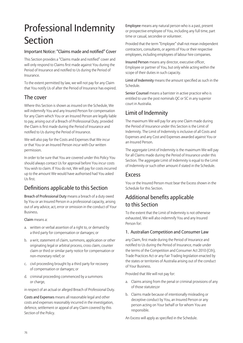# Professional Indemnity Section

## Important Notice: "Claims made and notified" Cover

This Section provides a "Claims made and notified" cover and will only respond to Claims first made against You during the Period of Insurance and notified to Us during the Period of Insurance.

To the extent permitted by law, we will not pay for any Claim that You notify Us of after the Period of Insurance has expired.

# The cover

Where this Section is shown as insured on the Schedule, We will indemnify You and any Insured Person for compensation for any Claim which You or an Insured Person are legally liable to pay, arising out of a Breach of Professional Duty, provided the Claim is first made during the Period of Insurance and notified to Us during the Period of Insurance.

We will also pay for the Costs and Expenses that We incur or that You or an Insured Person incur with Our written permission.

In order to be sure that You are covered under this Policy You should always contact Us for approval before You incur costs You wish to claim. If You do not, We will pay for costs incurred up to the amount We would have authorised had You asked Us first.

# Definitions applicable to this Section

Breach of Professional Duty means a breach of a duty owed by You or an Insured Person in a professional capacity, arising out of any advice, act, error or omission in the conduct of Your Business.

## Claim means a:

- a. written or verbal assertion of a right to, or demand by a third party for compensation or damages; or
- b. a writ, statement of claim, summons, application or other originating legal or arbitral process, cross claim, counter claim or third or similar party notice for compensation or non-monetary relief; or
- c. civil proceeding brought by a third party for recovery of compensation or damages; or
- d. criminal proceeding commenced by a summons or charge,

in respect of an actual or alleged Breach of Professional Duty.

Costs and Expenses means all reasonable legal and other costs and expenses reasonably incurred in the investigation, defence, settlement or appeal of any Claim covered by this Section of the Policy.

Employee means any natural person who is a past, present or prospective employee of You, including any full time, part time or casual, secondee or volunteer.

Provided that the term "Employee" shall not mean independent contractors, consultants, or agents of You or their respective employees, including employees of labour hire companies.

Insured Person means any director, executive officer, Employee or partner of You, but only while acting within the scope of their duties in such capacity.

Limit of Indemnity means the amount specified as such in the Schedule.

Senior Counsel means a barrister in active practice who is entitled to use the post nominals QC or SC in any superior court in Australia.

# Limit of Indemnity

The maximum We will pay for any one Claim made during the Period of Insurance under this Section is the Limit of Indemnity. The Limit of Indemnity is inclusive of all Costs and Expenses and any Cost and Expenses awarded against You or an Insured Person.

The aggregate Limit of Indemnity is the maximum We will pay for all Claims made during the Period of Insurance under this Section. The aggregate Limit of Indemnity is equal to the Limit of Indemnity or such other amount if stated in the Schedule.

# Excess

You or the Insured Person must bear the Excess shown in the Schedule for this Section.

# Additional benefits applicable to this Section

To the extent that the Limit of Indemnity is not otherwise exhausted, We will also indemnify You and any Insured Person for:

# 1. Australian Competition and Consumer Law

any Claim, first made during the Period of Insurance and notified to Us during the Period of Insurance, made under the terms of the Competition and Consumer Act 2010 (Cth), Trade Practices Act or any Fair Trading legislation enacted by the states or territories of Australia arising out of the conduct of Your Business.

Provided that We will not pay for:

- a. Claims arising from the penal or criminal provisions of any of those statutes;or
- b. Claims made because of intentionally misleading or deceptive conduct by You, an Insured Person or any person acting on Your behalf or for whom You are responsible.

An Excess will apply as specified in the Schedule.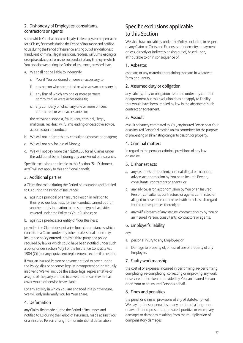# 2. Dishonesty of Employees, consultants, contractors or agents

sums which You shall become legally liable to pay as compensation for a Claim, first made during the Period of Insurance and notified to Us during the Period of Insurance, arising out of any dishonest, fraudulent, criminal, illegal, malicious, reckless, wilful, misleading or deceptive advice, act, omission or conduct of any Employee which You first discover during the Period of Insurance, provided that:

- a. We shall not be liable to indemnify:
	- i. You, if You condoned or were an accessory to;
	- ii. any person who committed or who was an accessory to;
	- iii. any firm of which any one or more partners committed, or were accessories to;
	- iv. any company of which any one or more officers committed, or were accessories to;

 the relevant dishonest, fraudulent, criminal, illegal, malicious, reckless, wilful misleading or deceptive advice, act omission or conduct;

- b. We will not indemnify any consultant, contractor or agent;
- c. We will not pay for loss of Money;
- d. We will not pay more than \$250,000 for all Claims under this additional benefit during any one Period of Insurance.

Specific exclusions applicable to this Section "5 – Dishonest acts" will not apply to this additional benefit.

## 3. Additional parties

a Claim first made during the Period of Insurance and notified to Us during the Period of Insurance:

- a. against a principal or an Insured Person in relation to their previous business, for their conduct carried out for another entity in relation to the same type of activities covered under the Policy as Your Business; or
- b. against a predecessor entity of Your Business;

provided the Claim does not arise from circumstances which constitute a Claim under any other professional indemnity insurance policy entered into by a third party or a policy required by law or which could have been notified under such a policy under section 40(3) of the Insurance Contracts Act 1984 (Cth) or any equivalent replacement section if amended.

If You, an Insured Person or anyone entitled to cover under the Policy, dies or becomes legally incompetent or individually insolvent, We will include the estate, legal representative or assigns of the party entitled to cover, to the same extent as cover would otherwise be available.

For any activity in which You are engaged in a joint venture, We will only indemnify You for Your share.

## 4. Defamation

any Claim, first made during the Period of Insurance and notified to Us during the Period of Insurance, made against You or an Insured Person arising from unintentional defamation.

# Specific exclusions applicable to this Section

We shall have no liability under the Policy, including in respect of any Claim or Costs and Expenses or indemnity or payment or loss, directly or indirectly arising out of, based upon, attributable to or in consequence of:

## 1. Asbestos

asbestos or any materials containing asbestos in whatever form or quantity.

## 2. Assumed duty or obligation

any liability, duty or obligation assumed under any contract or agreement but this exclusion does not apply to liability that would have been implied by law in the absence of such contract or agreement.

## 3. Assault

assault or battery committed by You, any Insured Person or at Your or an Insured Person's direction unless committed for the purpose of preventing or eliminating danger to persons or property.

## 4. Criminal matters

in regard to the penal or criminal provisions of any law or statute.

#### 5. Dishonest acts

- a. any dishonest, fraudulent, criminal, illegal or malicious advice, act or omission by You or an Insured Person, consultants, contractors or agents; or
- b. any advice, error, act or omission by You or an Insured Person, consultants, contractors, or agents committed or alleged to have been committed with a reckless disregard for the consequences thereof; or
- c. any wilful breach of any statute, contract or duty by You or an Insured Person, consultants, contractors or agents.

## 6. Employer's liability

any

- a. personal injury to any Employee; or
- b. Damage to property of, or loss of use of property of any Employee.

## 7. Faulty workmanship

the cost of or expenses incurred in performing, re-performing, completing, re-completing, correcting or improving any work or service undertaken or provided by You, an Insured Person or on Your or an Insured Person's behalf.

## 8. Fines and penalties

the penal or criminal provisions of any of statute, nor will We pay for fines or penalties or any portion of a judgment or award that represents aggravated, punitive or exemplary damages or damages resulting from the multiplication of compensatory damages.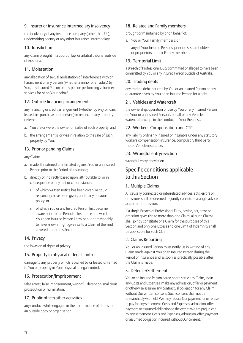## 9. Insurer or insurance intermediary insolvency

the insolvency of any insurance company (other than Us), underwriting agency or any other insurance intermediary.

## 10. Jurisdiction

any Claim brought in a court of law or arbitral tribunal outside of Australia.

# 11. Molestation

any allegation of sexual molestation of, interference with or harassment of any person (whether a minor or an adult) by You, any Insured Person or any person performing volunteer services for or on Your behalf.

## 12. Outside financing arrangements

any financing or credit arrangement (whether by way of loan, lease, hire purchase or otherwise) in respect of any property unless:

- a. You are or were the owner or Bailee of such property; and
- b. the arrangement is or was in relation to the sale of such property by You.

# 13. Prior or pending Claims

any Claim:

- a. made, threatened or intimated against You or an Insured Person prior to the Period of Insurance;
- b. directly or indirectly based upon, attributable to, or in consequence of any fact or circumstance:
	- i. of which written notice has been given, or could reasonably have been given, under any previous policy; or
	- ii. of which You or any Insured Person first became aware prior to the Period of Insurance and which You or an Insured Person knew or ought reasonably to have known might give rise to a Claim of the kind covered under this Section.

# 14. Privacy

the invasion of rights of privacy.

# 15. Property in physical or legal control

damage to any property which is owned by or leased or rented to You or property in Your physical or legal control.

# 16. Prosecution/imprisonment

false arrest, false imprisonment, wrongful detention, malicious prosecution or humiliation.

# 17. Public office/other activities

any conduct while engaged in the performance of duties for an outside body or organisation.

# 18. Related and Family members

brought or maintained by or on behalf of:

- a. You or Your Family members; or
- b. any of Your Insured Persons, principals, shareholders or proprietors or their Family members.

# 19. Territorial Limit

a Breach of Professional Duty committed or alleged to have been committed by You or any Insured Person outside of Australia.

# 20. Trading debts

any trading debt incurred by You or an Insured Person or any guarantee given by You or an Insured Person for a debt.

# 21. Vehicles and Watercraft

the ownership, operation or use by You or any Insured Person on Your or an Insured Person's behalf of any Vehicle or watercraft, except in the conduct of Your Business.

# 22. Workers' Compensation and CTP

any liability ordinarily insured or insurable under any statutory workers compensation insurance, compulsory third party motor Vehicle insurance.

# 23. Wrongful entry/eviction

wrongful entry or eviction.

# Specific conditions applicable to this Section

# 1. Multiple Claims

All causally connected or interrelated advices, acts, errors or omissions shall be deemed to jointly constitute a single advice, act, error or omission.

If a single Breach of Professional Duty, advice, act, error or omission gives rise to more than one Claim, all such Claims shall jointly constitute one Claim for the purposes of this Section and only one Excess and one Limit of Indemnity shall be applicable for such Claim.

# 2. Claims Reporting

You or an Insured Person must notify Us in writing of any Claim made against You or an Insured Person during the Period of Insurance and as soon as practically possible after the Claim is made.

# 3. Defence/Settlement

You or an Insured Person agree not to settle any Claim, incur any Costs and Expenses, make any admission, offer or payment or otherwise assume any contractual obligation for any Claim without Our written consent. Such consent shall not be unreasonably withheld. We may reduce Our payment for or refuse to pay for any settlement, Costs and Expenses, admission, offer, payment or assumed obligation to the extent We are prejudiced by any settlement, Costs and Expenses, admission, offer, payment or assumed obligation incurred without Our consent.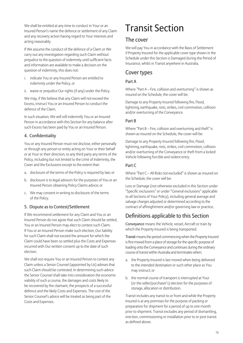We shall be entitled at any time to conduct in Your or an Insured Person's name the defence or settlement of any Claim and any recovery action having regard to Your interests and acting reasonably.

If We assume the conduct of the defence of a Claim or We carry out any investigation regarding such Claim without prejudice to the question of indemnity until sufficient facts and information are available to make a decision on the question of indemnity, this does not:

- i. indicate You or any Insured Person are entitled to indemnity under the Policy, or
- ii. waive or prejudice Our rights (if any) under the Policy.

We may, if We believe that any Claim will not exceed the Excess, instruct You or an Insured Person to conduct the defence of the Claim.

In such situation, We will still indemnify You or an Insured Person in accordance with this Section for any balance after such Excess has been paid by You or an Insured Person.

# 4. Confidentiality

You or any Insured Person must not disclose, either personally or through any person or entity acting on Your or their behalf or at Your or their direction, to any third party any terms of the Policy, including but not limited to the Limit of Indemnity, the Cover and the Exclusions except to the extent that:

- a. disclosure of the terms of the Policy is required by law; or
- b. disclosure is to legal advisors for the purposes of You or an Insured Person obtaining Policy Claims advice; or
- c. We may consent in writing to disclosure of the terms of the Policy.

# 5. Dispute as to Contest/Settlement

If We recommend settlement for any Claim and You or an Insured Person do not agree that such Claim should be settled, You or an Insured Person may elect to contest such Claim. If You or an Insured Person make such election, Our liability for such Claim shall not exceed the amount for which the Claim could have been so settled plus the Costs and Expenses incurred with Our written consent up to the date of such election.

We shall not require You or an Insured Person to contest any Claim unless a Senior Counsel (appointed by Us) advises that such Claim should be contested. In determining such advice the Senior Counsel shall take into consideration the economic viability of such a course, the damages and costs likely to be recovered by the claimant, the prospects of a successful defence and the likely Costs and Expenses. The cost of the Senior Counsel's advice will be treated as being part of the Costs and Expenses.

# Transit Section

# The cover

We will pay You in accordance with the Basis of Settlement if Property Insured for the applicable cover type shown in the Schedule under this Section is Damaged during the Period of Insurance, whilst in Transit anywhere in Australia.

# Cover types

# Part A

Where "Part A – Fire, collision and overturning" is shown as insured on the Schedule, the cover will be:

Damage to any Property Insured following fire, Flood, lightning, earthquake, riots, strikes, civil commotion, collision and/or overturning of the Conveyance.

## Part B

Where "Part B – Fire, collision and overturning and theft" is shown as insured on the Schedule, the cover will be:

Damage to any Property Insured following fire, Flood, lightning, earthquake, riots, strikes, civil commotion, collision and/or overturning of the Conveyance or theft from a locked Vehicle following forcible and violent entry.

## Part C

Where "Part C – All Risks not excluded" is shown as insured on the Schedule, the cover will be:

Loss or Damage (not otherwise excluded in this Section under "Specific exclusions" or under "General exclusions" applicable to all Sections of Your Policy), including general average and salvage charges adjusted or determined according to the contract of affreightment and/or governing law or practice.

# Definitions applicable to this Section

Conveyance means the Vehicle, vessel, Aircraft or train by which the Property Insured is being transported.

Transit means the period commencing when the Property Insured is first moved from a place of storage for the specific purpose of loading onto the Conveyance and continues during the ordinary course of transit within Australia and terminates when:

- a. the Property Insured is last moved when being delivered to the intended destination or such other place as You may instruct; or
- b. the normal course of transport is interrupted at Your (or the seller/purchaser's) election for the purposes of storage, allocation or distribution.

Transit includes any transit to or from and while the Property Insured is at any premises for the purpose of packing or preparation for shipment for a period of up to one month prior to shipment. Transit excludes any period of dismantling, erection, commissioning or installation prior to or post transit as defined above.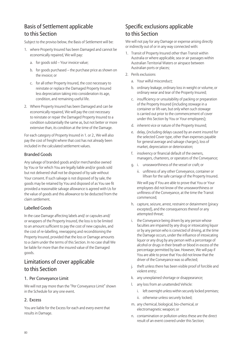# Basis of Settlement applicable to this Section

Subject to the proviso below, the Basis of Settlement will be:

- 1. where Property Insured has been Damaged and cannot be economically repaired, We will pay:
	- a. for goods sold Your invoice value;
	- b. for goods purchased the purchase price as shown on the invoice; or
	- c. for all other Property Insured, the cost necessary to reinstate or replace the Damaged Property Insured less depreciation taking into consideration its age, condition, and remaining useful life.
- 2. Where Property Insured has been Damaged and can be economically repaired, We will pay the cost necessary to reinstate or repair the Damaged Property Insured to a condition substantially the same as, but not better or more extensive than, its condition at the time of the Damage.

For each category of Property Insured in 1. or 2., We will also pay the cost of freight where that cost has not already been included in the calculated settlement values.

# Branded Goods

Any salvage of branded goods and/or merchandise owned by You or for which You are legally liable and/or goods sold but not delivered shall not be disposed of by sale without Your consent. If such salvage is not disposed of by sale, the goods may be retained by You and disposed of as You see fit provided a reasonable salvage allowance is agreed with Us for the value of goods and this allowance to be deducted from the claim settlement.

## Labelled Goods

In the case Damage affecting labels and/ or capsules and/ or wrappers of the Property Insured, the loss is to be limited to an amount sufficient to pay the cost of new capsules, and the cost of re-labelling, rewrapping and reconditioning the Property Insured, provided that the loss or Damage amounts to a claim under the terms of this Section. In no case shall We be liable for more than the insured value of the Damaged goods.

# Limitations of cover applicable to this Section

## 1. Per Conveyance Limit

We will not pay more than the "Per Conveyance Limit" shown in the Schedule for any one event.

# 2. Excess

You are liable for the Excess for each and every event that results in Damage.

# Specific exclusions applicable to this Section

We will not pay for any Damage or expense arising directly or indirectly out of or in any way connected with:

- 1. Transit of Property Insured other than Transit within Australia or where applicable, sea or air passages within Australian Territorial Waters or airspace between Australian ports or places;
- 2. Perils exclusions
	- a. Your wilful misconduct;
	- b. ordinary leakage, ordinary loss in weight or volume, or ordinary wear and tear of the Property Insured;
	- c. insufficiency or unsuitability of packing or preparation of the Property Insured (including stowage in a container or lift-van, but only when such stowage is carried out prior to the commencement of cover under this Section by You or Your employees);
	- d. inherent vice or nature of the Property Insured;
	- e. delay, (including delays caused by an event insured for the selected Cover type, other than expenses payable for general average and salvage charges), loss of market, depreciation or deterioration;
	- f. insolvency or financial default of the owners, managers, charterers, or operators of the Conveyance;
	- g. i. unseaworthiness of the vessel or craft; or
		- ii. unfitness of any other Conveyance, container or liftvan for the safe carriage of the Property Insured.

 We will pay if You are able to prove that You or Your employees did not know of the unseaworthiness or unfitness of the Conveyance, at the time the Transit commenced;

- h. capture, seizure, arrest, restraint or detainment (piracy excepted), and the consequences thereof or any attempted threat;
- i. the Conveyance being driven by any person whose faculties are impaired by any drug or intoxicating liquor or by any person who is convicted of driving, at the time the Damage occurs, under the influence of intoxicating liquor or any drug by any person with a percentage of alcohol or drugs in their breath or blood in excess of the percentage permitted by law. However, We will pay if You are able to prove that You did not know that the driver of the Conveyance was so affected;
- j. theft unless there has been visible proof of forcible and violent entry;
- k. any unexplained shortage or disappearance;
- l. any loss from an unattended Vehicle:
	- i. left overnight unless within securely locked premises;
	- ii. otherwise unless securely locked;
- m. any chemical, biological, bio-chemical, or electromagnetic weapon; or
- n. contamination or pollution unless these are the direct result of an event covered under this Section;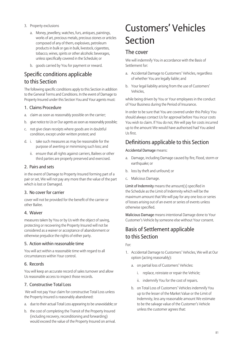#### 3. Property exclusions

- a. Money, jewellery, watches, furs, antiques, paintings, works of art, precious metals, precious stones or articles composed of any of them, explosives, petroleum products in bulk or gas in bulk, livestock, cigarettes, tobacco, wines, spirits or other alcoholic beverages, unless specifically covered in the Schedule; or
- b. goods carried by You for payment or reward.

# Specific conditions applicable to this Section

The following specific conditions apply to this Section in addition to the General Terms and Conditions. In the event of Damage to Property Insured under this Section You and Your agents must:

## 1. Claims Procedure

- a. claim as soon as reasonably possible on the carrier;
- b. give notice to Us or Our agents as soon as reasonably possible;
- c. not give clean receipts where goods are in doubtful condition, except under written protest; and
- d. i. take such measures as may be reasonable for the purpose of averting or minimising such loss; and
	- ii. ensure that all rights against carriers, Bailees or other third parties are properly preserved and exercised.

## 2. Pairs and sets

in the event of Damage to Property Insured forming part of a pair or set, We will not pay any more than the value of the part which is lost or Damaged.

## 3. No cover for carrier

cover will not be provided for the benefit of the carrier or other Bailee.

## 4. Waiver

measures taken by You or by Us with the object of saving, protecting or recovering the Property Insured will not be considered as a waiver or acceptance of abandonment or otherwise prejudice the rights of either party.

## 5. Action within reasonable time

You will act within a reasonable time with regard to all circumstances within Your control.

# 6. Records

You will keep an accurate record of sales turnover and allow Us reasonable access to inspect those records.

# 7. Constructive Total Loss

 We will not pay Your claim for constructive Total Loss unless the Property Insured is reasonably abandoned:

- a. due to their actual Total Loss appearing to be unavoidable; or
- b. the cost of completing the Transit of the Property Insured (including recovery, reconditioning and forwarding) would exceed the value of the Property Insured on arrival.

# Customers' Vehicles Section

# The cover

We will indemnify You in accordance with the Basis of Settlement for:

- a. Accidental Damage to Customers' Vehicles, regardless of whether You are legally liable; and
- b. Your legal liability arising from the use of Customers' Vehicles,

while being driven by You or Your employees in the conduct of Your Business during the Period of Insurance.

In order to be sure that You are covered under this Policy You should always contact Us for approval before You incur costs You wish to claim. If You do not, We will pay for costs incurred up to the amount We would have authorised had You asked Us fi rst.

# Definitions applicable to this Section

#### Accidental Damage means:

- a. Damage, including Damage caused by fire, Flood, storm or earthquake; or
- b. loss by theft and unfound; or
- c. Malicious Damage.

Limit of Indemnity means the amount(s) specified in the Schedule as the Limit of Indemnity which will be the maximum amount that We will pay for any one loss or series of losses arising out of an event or series of events unless otherwise specified.

Malicious Damage means intentional Damage done to Your Customer's Vehicle by someone else without Your consent.

# Basis of Settlement applicable to this Section

## For:

- 1. Accidental Damage to Customers' Vehicles, We will at Our option (acting reasonably):
	- a. on partial loss of Customers' Vehicles:
		- i. replace, reinstate or repair the Vehicle;
		- ii. indemnify You for the cost of repairs.
	- b. on Total Loss of Customers' Vehicles indemnify You up to the lesser of the Market Value or the Limit of Indemnity, less any reasonable amount We estimate to be the salvage value of the Customer's Vehicle unless the customer agrees that: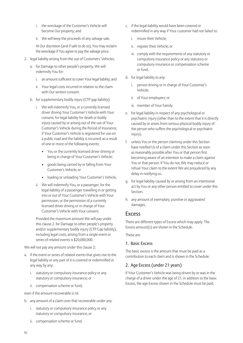- i. the wreckage of the Customer's Vehicle will become Our property; and
- ii. We will keep the proceeds of any salvage sale.

 At Our discretion (and if safe to do so), You may reclaim the wreckage if You agree to pay the salvage price.

- 2. legal liability arising from the use of Customers' Vehicles:
	- a. for Damage to other people's property, We will indemnify You for:
		- i. an amount sufficient to cover Your legal liability; and
		- ii. Your legal costs incurred in relation to the claim with Our written consent.
	- b. for supplementary bodily injury (CTP gap liability):
		- i. We will indemnify You, or a currently licensed driver driving Your Customer's Vehicle with Your consent, for legal liability for death or bodily injury caused by or arising out of the use of Your Customer's Vehicle during the Period of Insurance, if Your Customer's Vehicle is registered for use on a public road and the liability is incurred, as a result of one or more of the following events:
			- You or the currently licensed driver driving or being in charge of Your Customer's Vehicle;
			- goods being carried by or falling from Your Customer's Vehicle; or
			- loading or unloading Your Customer's Vehicle,
		- ii. We will indemnify You, or a passenger, for the legal liability of a passenger travelling in or getting into or out of Your Customer's Vehicle with Your permission, or the permission of a currently licensed driver driving or in charge of Your Customer's Vehicle with Your consent.

 Provided the maximum amount We will pay under this clause 2. for Damage to other people's property and/or supplementary bodily injury (CTP Gap liability), including legal costs, arising from a single event or series of related events is \$20,000,000.

We will not pay any amount under this clause 2:

- a. if the event or series of related events that gives rise to the legal liability or any part of it is covered or indemnified in any way by any:
	- i. statutory or compulsory insurance policy or any statutory or compulsory insurance; or
	- ii. compensation scheme or fund,

even if the amount recoverable is nil.

- b. any amount of a claim over that recoverable under any:
	- i. statutory or compulsory insurance policy or any statutory or compulsory insurance; or
	- ii. compensation scheme or fund.
- c. if the legal liability would have been covered or indemnified in any way if Your customer had not failed to:
	- i. insure their Vehicle;
	- ii. register their Vehicle; or
	- iii. comply with the requirements of any statutory or compulsory insurance policy or any statutory or compulsory insurance or compensation scheme or fund.
- d. for legal liability to any:
	- i. person driving or in charge of Your Customer's Vehicle;
	- ii. of Your employees; or
	- iii. member of Your Family.
- e. for legal liability in respect of any psychological or psychiatric injury (other than to the extent that it is directly caused by or arises from serious physical bodily injury of the person who suffers the psychological or psychiatric injury).
- f. unless You or the person claiming under this Section have notified Us of a claim under this Section as soon as reasonably possible after You or that person first becoming aware of an intention to make a claim against You or that person. If You do not, We may reduce or refuse Your claim to the extent We are prejudiced by any delay in notifying us.
- g. for legal liability caused by or arising from an intentional act by You or any other person entitled to cover under this Section.
- h. any amount of exemplary, punitive or aggravated damages.

# Excess

There are different types of Excess which may apply. The Excess amount(s) are shown in the Schedule.

These are:

## 1. Basic Excess

The basic excess is the amount that must be paid as a contribution to each claim and is shown in the Schedule.

## 2. Age Excess (under 21 years)

If Your Customer's Vehicle was being driven by or was in the charge of a driver under the age of 21, in addition to the basic Excess, the age Excess shown in the Schedule must be paid.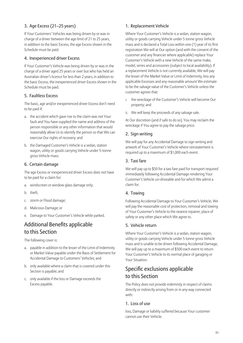# 3. Age Excess (21–25 years)

If Your Customers' Vehicles was being driven by or was in charge of a driver between the age limit of 21 to 25 years, in addition to the basic Excess, the age Excess shown in the Schedule must be paid.

#### 4. Inexperienced driver Excess

If Your Customer's Vehicle was being driven by or was in the charge of a driver aged 25 years or over but who has held an Australian driver's licence for less than 2 years, in addition to the basic Excess, the inexperienced driver Excess shown in the Schedule must be paid.

## 5. Faultless Excess

The basic, age and/or inexperienced driver Excess don't need to be paid if:

- a. the accident which gave rise to the claim was not Your fault and You have supplied the name and address of the person responsible or any other information that would reasonably allow Us to identify the person so that We can exercise Our rights of recovery; and
- b. the Damaged Customer's Vehicle is a sedan, station wagon, utility or goods carrying Vehicle under 5-tonne gross Vehicle mass.

#### 6. Certain damage

The age Excess or inexperienced driver Excess does not have to be paid for a claim for:

- a. windscreen or window glass damage only;
- b. theft;
- c. storm or Flood damage;
- d. Malicious Damage; or
- e. Damage to Your Customer's Vehicle while parked.

# Additional Benefits applicable to this Section

The following cover is:

- a. payable in addition to the lesser of the Limit of Indemnity or Market Value payable under the Basis of Settlement for Accidental Damage to Customers' Vehicles; and
- b. only available where a claim that is covered under this Section is payable; and
- c. only available if the loss or Damage exceeds the Excess payable.

## 1. Replacement Vehicle

Where Your Customer's Vehicle is a sedan, station wagon, utility or goods carrying Vehicle under 5 tonne gross Vehicle mass and is declared a Total Loss within one (1) year of its first registration We will at Our option (and with the consent of the customer and any financier where applicable) replace Your Customer's Vehicle with a new Vehicle of the same make, model, series and accessories (subject to local availability). If a replacement Vehicle is not currently available, We will pay the lesser of the Market Value or Limit of Indemnity, less any applicable Excesses and any reasonable amount We estimate to be the salvage value of the Customer's Vehicle unless the customer agrees that:

- i. the wreckage of the Customer's Vehicle will become Our property; and
- ii. We will keep the proceeds of any salvage sale.

At Our discretion (and if safe to do so), You may reclaim the wreckage if You agree to pay the salvage price.

## 2. Sign writing

We will pay for any Accidental Damage to sign writing and artwork of Your Customer's Vehicle where reinstatement is required up to a maximum of \$1,000 each event.

## 3. Taxi fare

We will pay up to \$50 for a taxi fare paid for transport required immediately following Accidental Damage rendering Your Customer's Vehicle un-driveable and for which We admit a claim for.

#### 4. Towing

Following Accidental Damage to Your Customer's Vehicle, We will pay the reasonable cost of protection, removal and towing of Your Customer's Vehicle to the nearest repairer, place of safety or any other place which We agree to.

## 5. Vehicle return

Where Your Customer's Vehicle is a sedan, station wagon, utility or goods carrying Vehicle under 5 tonne gross Vehicle mass and is unable to be driven following Accidental Damage, We will pay up to a maximum of \$500 each event to return Your Customer's Vehicle to its normal place of garaging or Your Situation.

# Specific exclusions applicable to this Section

The Policy does not provide indemnity in respect of claims directly or indirectly arising from or in any way connected with:

## 1. Loss of use

loss, Damage or liability suffered because Your customer cannot use their Vehicle.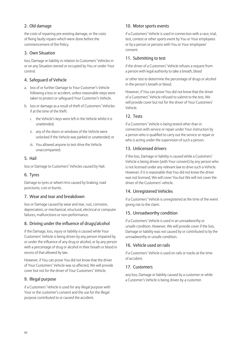# 2. Old damage

the costs of repairing pre-existing damage, or the costs of fixing faulty repairs which were done before the commencement of the Policy.

# 3. Own Situation

loss, Damage or liability in relation to Customers' Vehicles in or on any Situation owned or occupied by You or under Your control.

# 4. Safeguard of Vehicle

- a. loss of or further Damage to Your Customer's Vehicle following a loss or accident, unless reasonable steps were taken to protect or safeguard Your Customer's Vehicle.
- b. loss or damage as a result of theft of Customers' Vehicles if at the time of the theft:
	- i. the Vehicle's keys were left in the Vehicle whilst it is unattended;
	- ii. any of the doors or windows of the Vehicle were unlocked if the Vehicle was parked or unattended; or
	- iii. You allowed anyone to test drive the Vehicle unaccompanied.

## 5. Hail

loss or Damage to Customers' Vehicles caused by Hail.

# 6. Tyres

Damage to tyres or wheel rims caused by braking, road punctures, cuts or bursts.

## 7. Wear and tear and breakdown

loss or Damage caused by wear and tear, rust, corrosion, depreciation, or mechanical, structural, electrical or computer failures, malfunctions or non-performance.

## 8. Driving under the influence of drugs/alcohol

if the Damage, loss, injury or liability is caused while Your Customers' Vehicle is being driven by any person impaired by or under the influence of any drug or alcohol, or by any person with a percentage of drug or alcohol in their breath or blood in excess of that allowed by law.

However, if You can prove You did not know that the driver of Your Customers' Vehicle was so affected, We will provide cover but not for the driver of Your Customers' Vehicle.

## 9. Illegal purpose

if a Customers' Vehicle is used for any illegal purpose with Your or the customer's consent and the use for the illegal purpose contributed to or caused the accident.

## 10. Motor sports events

if a Customers' Vehicle is used in connection with a race, trial, test, contest or other sports event by You or Your employees or by a person or persons with You or Your employees' consent.

## 11. Submitting to test

if the driver of a Customers' Vehicle refuses a request from a person with legal authority to take a breath, blood

or other test to determine the percentage of drugs or alcohol in the person's breath or blood.

However, if You can prove You did not know that the driver of a Customers' Vehicle refused to submit to the test, We will provide cover but not for the driver of Your Customers' Vehicle.

## 12. Tests

if a Customers' Vehicle is being tested other than in connection with service or repair under Your instruction by a person who is qualified to carry out the service or repair or who is acting under the supervision of such a person.

## 13. Unlicensed drivers

if the loss, Damage or liability is caused while a Customers' Vehicle is being driven (with Your consent) by any person who is not licensed under any relevant law to drive such a Vehicle. However, if it is reasonable that You did not know the driver was not licensed, We will cover You but We will not cover the driver of the Customers' vehicle.

## 14. Unregistered Vehicles

if a Customers' Vehicle is unregistered at the time of the event giving rise to the claim.

## 15. Unroadworthy condition

if a Customers' Vehicle is used in an unroadworthy or unsafe condition. However, We will provide cover if the loss, Damage or liability was not caused by or contributed to by the unroadworthy or unsafe condition.

## 16. Vehicle used on rails

if a Customers' Vehicle is used on rails or tracks at the time of accident.

# 17. Customers

any loss, Damage or liability caused by a customer or while a Customer's Vehicle is being driven by a customer.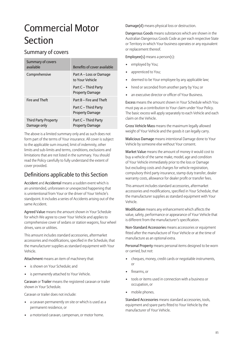# Commercial Motor Section

# Summary of covers

| Summary of covers<br>available             | Benefits of cover available                    |
|--------------------------------------------|------------------------------------------------|
| Comprehensive                              | Part A – Loss or Damage<br>to Your Vehicle     |
|                                            | Part C – Third Party<br><b>Property Damage</b> |
| Fire and Theft                             | Part B – Fire and Theft                        |
|                                            | Part C – Third Party<br><b>Property Damage</b> |
| <b>Third Party Property</b><br>Damage only | Part C – Third Party<br><b>Property Damage</b> |

The above is a limited summary only and as such does not form part of the terms of Your insurance. All cover is subject to the applicable sum insured, limit of indemnity, other limits and sub-limits and terms, conditions, exclusions and limitations that are not listed in the summary. You should read the Policy carefully to fully understand the extent of cover provided.

# Definitions applicable to this Section

Accident and Accidental means a sudden event which is an unintended, unforeseen or unexpected happening that is unintentional from Your or the driver of Your Vehicle's standpoint. It includes a series of Accidents arising out of the same Accident.

Agreed Value means the amount shown in Your Schedule for which We agree to cover Your Vehicle and applies to comprehensive cover of sedans or station wagons, four wheel drives, vans or utilities.

This amount includes standard accessories, aftermarket accessories and modifications, specified in the Schedule, that the manufacturer supplies as standard equipment with Your Vehicle.

Attachment means an item of machinery that:

- is shown on Your Schedule: and
- is permanently attached to Your Vehicle.

Caravan or Trailer means the registered caravan or trailer shown in Your Schedule.

Caravan or trailer does not include:

- a caravan permanently on site or which is used as a permanent residence, or
- a motorised caravan, campervan, or motor home.

Damage(d) means physical loss or destruction.

Dangerous Goods means substances which are shown in the Australian Dangerous Goods Code as per each respective State or Territory in which Your business operates or any equivalent or replacement thereof.

Employee(s) means a person(s):

- employed by You;
- apprenticed to You:
- deemed to be Your employee by any applicable law;
- hired or seconded from another party by You; or
- an executive director or officer of Your Business.

Excess means the amount shown in Your Schedule which You must pay as a contribution to Your claim under Your Policy. The basic excess will apply separately to each Vehicle and each claim on the Vehicle.

Gross Vehicle Mass means the maximum legally allowed weight of Your Vehicle and the goods it can legally carry.

Malicious Damage means intentional Damage done to Your Vehicle by someone else without Your consent.

Market Value means the amount of money it would cost to buy a vehicle of the same make, model, age and condition of Your Vehicle immediately prior to the loss or Damage but excluding costs and charges for vehicle registration. compulsory third party insurance, stamp duty transfer, dealer warranty costs, allowance for dealer profit or transfer fees.

This amount includes standard accessories, aftermarket accessories and modifications, specified in Your Schedule, that the manufacturer supplies as standard equipment with Your Vehicle.

Modification means any enhancement which affects the value, safety, performance or appearance of Your Vehicle that is different from the manufacturer's specification.

Non-Standard Accessories means accessories or equipment fitted after the manufacture of Your Vehicle or at the time of manufacture as an optional extra.

Personal Property means personal items designed to be worn or carried, but not:

- cheques, money, credit cards or negotiable instruments, or
- firearms, or
- tools or items used in connection with a business or occupation, or
- mobile phones.

Standard Accessories means standard accessories, tools, equipment and spare parts fitted to Your Vehicle by the manufacturer of Your Vehicle.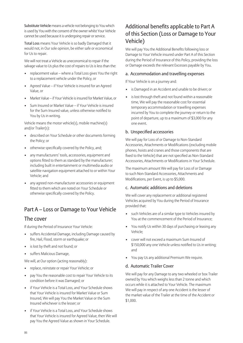Substitute Vehicle means a vehicle not belonging to You which is used by You with the consent of the owner whilst Your Vehicle cannot be used because it is undergoing repair or service.

Total Loss means Your Vehicle is so badly Damaged that it would not, in Our sole opinion, be either safe or economical for Us to repair.

We will not treat a Vehicle as uneconomical to repair if the salvage value to Us plus the cost of repairs to Us is less than the:

- replacement value where a Total Loss gives You the right to a replacement vehicle under the Policy, or
- Agreed Value if Your Vehicle is insured for an Agreed Value, or
- Market Value if Your Vehicle is insured for Market Value, or
- Sum Insured or Market Value if Your Vehicle is insured for the Sum Insured value, unless otherwise notified to You by Us in writing.

Vehicle means the motor vehicle(s), mobile machine(s) and/or Trailer(s):

- described on Your Schedule or other documents forming the Policy; or
- otherwise specifically covered by the Policy, and;
- any manufacturers' tools, accessories, equipment and options fitted to them as standard by the manufacturer; including built in entertainment or multimedia audio or satellite navigation equipment attached to or within Your Vehicle; and
- any agreed non-manufacturer accessories or equipment fitted to them which are noted on Your Schedule or otherwise specifically covered by the Policy.

# Part A – Loss or Damage to Your Vehicle

# The cover

If during the Period of Insurance Your Vehicle:

- suffers Accidental Damage, including Damage caused by fire, Hail, Flood, storm or earthquake; or
- is lost by theft and not found; or
- suffers Malicious Damage,

We will, at Our option (acting reasonably):

- replace, reinstate or repair Your Vehicle; or
- pay You the reasonable cost to repair Your Vehicle to its condition before it was Damaged; or
- if Your Vehicle is a Total Loss, and Your Schedule shows that Your Vehicle is insured for Market Value or Sum Insured, We will pay You the Market Value or the Sum Insured whichever is the lesser; or
- if Your Vehicle is a Total Loss, and Your Schedule shows that Your Vehicle is insured for Agreed Value, then We will pay You the Agreed Value as shown in Your Schedule.

# Additional benefits applicable to Part A of this Section (Loss or Damage to Your Vehicle)

We will pay You the Additional Benefits following loss or Damage to Your Vehicle insured under Part A of this Section during the Period of Insurance of this Policy, providing the loss or Damage exceeds the relevant Excesses payable by You.

#### a. Accommodation and travelling expenses

If Your Vehicle is on a journey and:

- is Damaged in an Accident and unable to be driven; or
- is lost through theft and not found within a reasonable time, We will pay the reasonable cost for essential temporary accommodation or travelling expenses incurred by You to complete the journey or return to the point of departure, up to a maximum of \$3,000 for any one event.

## b. Unspecified accessories

We will pay for Loss of or Damage to Non-Standard Accessories, Attachments or Modifications (excluding mobile phones, hoists and cranes and those components that are fixed to the Vehicle) that are not specified as Non-Standard Accessories, Attachments or Modifications in Your Schedule.

The maximum amount We will pay for Loss of or Damage to such Non-Standard Accessories, Attachments and Modifications, per Event, is up to \$5,000.

#### c. Automatic additions and deletions

We will cover any replacement or additional registered Vehicles acquired by You during the Period of Insurance provided that:

- such Vehicles are of a similar type to Vehicles insured by You at the commencement of the Period of Insurance;
- You notify Us within 30 days of purchasing or leasing any Vehicle;
- cover will not exceed a maximum Sum Insured of \$150,000 any one Vehicle unless notified to Us in writing; and
- You pay Us any additional Premium We require.

#### d. Automatic Trailer Cover

We will pay for any Damage to any two wheeled or box Trailer owned by You which weighs less than 2 tonne and which occurs while it is attached to Your Vehicle. The maximum We will pay in respect of any one Accident is the lesser of the market value of the Trailer at the time of the Accident or \$1,000.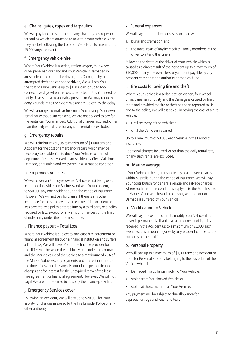# e. Chains, gates, ropes and tarpaulins

We will pay for claims for theft of any chains, gates, ropes or tarpaulins which are attached to or within Your Vehicle when they are lost following theft of Your Vehicle up to maximum of \$5,000 any one event.

# f. Emergency vehicle hire

Where Your Vehicle is a sedan, station wagon, four wheel drive, panel van or utility and Your Vehicle is Damaged in an Accident and cannot be driven, or is Damaged by an attempted theft and cannot be driven, We will pay You the cost of a hire vehicle up to \$100 a day for up to two consecutive days when the loss is reported to Us. You need to notify Us as soon as reasonably possible or We may reduce or deny Your claim to the extent We are prejudiced by the delay.

We will arrange a rental car for You. If You arrange Your own rental car without Our consent, We are not obliged to pay for the rental car You arranged. Additional charges incurred, other than the daily rental rate, for any such rental are excluded.

## g. Emergency repairs

We will reimburse You, up to maximum of \$1,000 any one Accident for the cost of emergency repairs which may be necessary to enable You to drive Your Vehicle to point of departure after it is involved in an Accident, suffers Malicious Damage, or is stolen and recovered in a Damaged condition.

## h. Employees vehicles

We will cover an Employee owned Vehicle whist being used in connection with Your Business and with Your consent, up to \$50,000 any one Accident during the Period of Insurance. However, We will not pay for claims if there is any other insurance for the same event at the time of the Accident or loss covered by a policy entered into by a third party or a policy required by law, except for any amount in excess of the limit of indemnity under the other insurance.

## i. Finance payout – Total Loss

Where Your Vehicle is subject to any lease hire agreement or financial agreement through a financial institution and suffers a Total Loss, We will cover You or the finance provider for the difference between the residual value under the contract and the Market Value of the Vehicle to a maximum of 25% of the Market Value less any payments and interest in arrears at the time of loss, and less any discount in respect of finance charges and/or interest for the unexpired term of the lease hire agreement or financial agreement. However, We will not pay if We are not required to do so by the finance provider.

#### j. Emergency Services cover

Following an Accident, We will pay up to \$20,000 for Your liability for charges imposed by the Fire Brigade, Police or any other authority.

## k. Funeral expenses

We will pay for funeral expenses associated with:

- a. burial and cremation, and
- b. the travel costs of any immediate Family members of the driver to attend the funeral,

following the death of the driver of Your Vehicle which is caused as a direct result of the Accident up to a maximum of \$10,000 for any one event less any amount payable by any accident compensation authority or medical fund.

#### l. Hire costs following fire and theft

Where Your Vehicle is a sedan, station wagon, four wheel drive, panel van or utility and the Damage is caused by fire or theft, and provided the fire or theft has been reported to Us and to the police, We will assist You in paying the cost of a hire vehicle:

- until recovery of the Vehicle; or
- until the Vehicle is repaired.

Up to a maximum of \$3,000 each Vehicle in the Period of Insurance.

Additional charges incurred, other than the daily rental rate, for any such rental are excluded.

#### m. Marine average

If Your Vehicle is being transported by sea between places within Australia during the Period of Insurance We will pay Your contribution for general average and salvage charges where such maritime conditions apply up to the Sum Insured or Market Value whichever is the lesser, whether or not Damage is suffered by Your Vehicle.

## n. Modification to Vehicle

We will pay for costs incurred to modify Your Vehicle if its driver is permanently disabled as a direct result of injuries received in the Accident up to a maximum of \$5,000 each event less any amount payable by any accident compensation authority or medical fund.

#### o. Personal Property

We will pay, up to a maximum of \$1,000 any one Accident or theft, for Personal Property belonging to the custodian of the Vehicle which is:

- Damaged in a collision involving Your Vehicle,
- stolen from Your locked Vehicle, or
- stolen at the same time as Your Vehicle.

Any payment will be subject to due allowance for depreciation, age and wear and tear.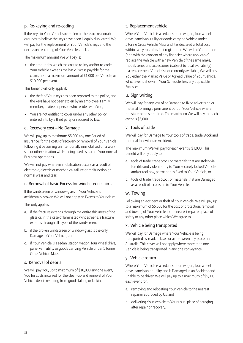# p. Re-keying and re-coding

If the keys to Your Vehicle are stolen or there are reasonable grounds to believe the keys have been illegally duplicated, We will pay for the replacement of Your Vehicle's keys and the necessary re-coding of Your Vehicle's locks.

The maximum amount We will pay is:

• the amount by which the cost to re-key and/or re-code Your Vehicle exceeds the basic Excess payable for the claim, up to a maximum amount of \$1,000 per Vehicle, or \$10,000 per event.

This benefit will only apply if:

- the theft of Your keys has been reported to the police, and the keys have not been stolen by an employee, Family member, invitee or person who resides with You, and
- You are not entitled to cover under any other policy entered into by a third party or required by law.

## q. Recovery cost – No Damage

We will pay, up to maximum \$5,000 any one Period of Insurance, for the costs of recovery or removal of Your Vehicle following it becoming unintentionally immobilised on a work site or other situation whilst being used as part of Your normal Business operations.

We will not pay where immobilisation occurs as a result of electronic, electric or mechanical failure or malfunction or normal wear and tear.

#### r. Removal of basic Excess for windscreen claims

If the windscreen or window glass in Your Vehicle is accidentally broken We will not apply an Excess to Your claim.

This only applies:

- a. if the fracture extends through the entire thickness of the glass or, in the case of laminated windscreens, a fracture extends through all layers of the windscreen;
- b. if the broken windscreen or window glass is the only Damage to Your Vehicle; and
- c. if Your Vehicle is a sedan, station wagon, four wheel drive, panel van, utility or goods carrying Vehicle under 5 tonne Gross Vehicle Mass.

## s. Removal of debris

We will pay You, up to maximum of \$10,000 any one event, You for costs incurred for the clean-up and removal of Your Vehicle debris resulting from goods falling or leaking.

## t. Replacement vehicle

Where Your Vehicle is a sedan, station wagon, four wheel drive, panel van, utility or goods carrying Vehicle under 5 tonne Gross Vehicle Mass and it is declared a Total Loss within two years of its first registration We will at Your option (and with the consent of any financier where applicable) replace the Vehicle with a new Vehicle of the same make, model, series and accessories (subject to local availability). If a replacement Vehicle is not currently available, We will pay You either the Market Value or Agreed Value of Your Vehicle, whichever is shown in Your Schedule, less any applicable Excesses.

#### u. Sign writing

We will pay for any loss of or Damage to fixed advertising or material forming a permanent part of Your Vehicle where reinstatement is required. The maximum We will pay for each event is \$5,000.

## v. Tools of trade

We will pay for Damage to Your tools of trade, trade Stock and material following an Accident.

The maximum We will pay for each event is \$1,000. This benefit will only apply to:

- a. tools of trade, trade Stock or materials that are stolen via forcible and violent entry to Your securely locked Vehicle and/or tool box, permanently fixed to Your Vehicle; or
- b. tools of trade, trade Stock or materials that are Damaged as a result of a collision to Your Vehicle.

#### w. Towing

Following an Accident or theft of Your Vehicle, We will pay up to a maximum of \$5,000 for the cost of protection, removal and towing of Your Vehicle to the nearest repairer, place of safety or any other place which We agree to.

#### x. Vehicle being transported

We will pay for Damage where Your Vehicle is being transported by road, rail, sea or air between any places in Australia. This cover will not apply where more than one Vehicle is being transported in any one conveyance.

#### y. Vehicle return

Where Your Vehicle is a sedan, station wagon, four wheel drive, panel van or utility and is Damaged in an Accident and unable to be driven We will pay up to a maximum of \$5,000 each event for:

- a. removing and relocating Your Vehicle to the nearest repairer approved by Us, and
- b. delivering Your Vehicle to Your usual place of garaging after repair or recovery.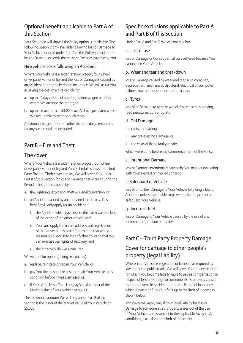# Optional benefit applicable to Part A of this Section

Your Schedule will show if the Policy option is applicable. The following option is only available following loss or Damage to Your Vehicle insured under Part A of this Policy, providing the loss or Damage exceeds the relevant Excesses payable by You.

## Hire vehicle costs following an Accident

Where Your Vehicle is a sedan, station wagon, four wheel drive, panel van or utility and the loss or Damage is caused by an Accident during the Period of Insurance, We will assist You in paying the cost of a hire vehicle for:

- a. up to 42 days rental of a sedan, station wagon or utility where We arrange the rental; or
- b. up to a maximum of \$3,000 each Vehicle per claim where We are unable to arrange such rental.

Additional charges incurred, other than the daily rental rate, for any such rental are excluded.

# Part B – Fire and Theft

# The cover

Where Your Vehicle is a sedan, station wagon, four wheel drive, panel van or utility and Your Schedule shows that Third Party Fire and Theft cover applies, We will cover You under Part B of this Section for loss or Damage that occurs during the Period of Insurance caused by:

- a. fire, lightning, explosion, theft or illegal conversion; or
- b. an Accident caused by an uninsured third party. This benefit will only apply for an Accident if:
	- i. the Accident which gave rise to the claim was the fault of the driver of the other vehicle; and
	- ii. You can supply the name, address and registration of that driver or any other information that would reasonably allow Us to identify that driver so that We can exercise our rights of recovery; and
	- iii. the other vehicle was uninsured.

We will, at Our option (acting reasonably):

- a. replace, reinstate or repair Your Vehicle; or
- b. pay You the reasonable cost to repair Your Vehicle to its condition before it was Damaged; or
- c. if Your Vehicle is a Total Loss pay You the lesser of the Market Value of Your Vehicle or \$5,000.

The maximum amount We will pay under Part B of this Section is the lesser of the Market Value of Your Vehicle or \$5,000.

# Specific exclusions applicable to Part A and Part B of this Section

Under Part A and Part B We will not pay for:

## a. Loss of use

loss or Damage or Consequential Loss suffered because You cannot use Your Vehicle.

## b. Wear and tear and breakdown

loss or Damage caused by wear and tear, rust, corrosion, depreciation, mechanical, structural, electrical or computer failures, malfunctions or non-performance.

## c. Tyres

loss of or Damage to tyres or wheel rims caused by braking, road punctures, cuts or bursts.

## d. Old Damage

the costs of repairing:

- i. any pre-existing Damage; or
- ii. the costs of fixing faulty repairs

which were done before the commencement of the Policy.

## e. Intentional Damage

loss or Damage intentionally caused by You or a person acting with Your express or implied consent.

## f. Safeguard of Vehicle

loss of or further Damage to Your Vehicle following a loss or Accident, unless reasonable steps were taken to protect or safeguard Your Vehicle.

## g. Incorrect fuel

loss or Damage to Your Vehicle caused by the use of any incorrect fuel, coolant or additive.

# Part C – Third Party Property Damage

# Cover for damage to other people's property (legal liability)

Where Your Vehicle is registered or licensed as required by law for use on public roads, We will cover You for any amount for which You become legally liable to pay as compensation in respect of loss or Damage to someone else's property caused by a motor vehicle Accident during the Period of Insurance, which is partly or fully Your fault up to the limit of indemnity shown below.

This cover will apply only if Your legal liability for loss or Damage to someone else's property arises out of the use of Your Vehicle and is subject to the applicable Excess(es), conditions, exclusions and limit of indemnity.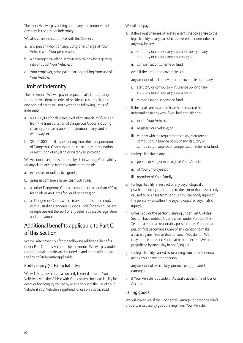The most We will pay arising out of any one motor vehicle Accident is the limit of indemnity.

We also cover in accordance with this Section:

- a. any person who is driving, using or in charge of Your Vehicle with Your permission;
- b. a passenger travelling in Your Vehicle or who is getting into or out of Your Vehicle; or
- c. Your employer, principal or partner, arising from use of Your Vehicle.

# Limit of indemnity

The maximum We will pay in respect of all claims arising from one Accident or series of Accidents resulting from the one original cause will not exceed the following limits of indemnity:

- a. \$30,000,000 for all losses, excluding any claim(s) arising from the transportation of Dangerous Goods including clean-up, contamination or restitution of any land or waterway; or
- b. \$5,000,000 for all losses, arising from the transportation of Dangerous Goods including clean-up, contamination or restitution of any land or waterway, provided:

We will not cover, unless agreed by Us in writing, Your liability for any claim arising from the transportation of:

- a. explosives or radioactive goods;
- b. gases in containers larger than 500 litres;
- c. all other Dangerous Goods in containers larger than 400kg for solids or 450 litres for liquid or pastes; or
- d. all Dangerous Goods where transport does not comply with Australian Dangerous Goods Code (or any equivalent or replacement thereof) or any other applicable legislation and regulations.

# Additional benefits applicable to Part C of this Section

We will also cover You for the following Additional benefits under Part C of this Section. The maximum We will pay under the additional benefits are included in and not in addition to the limit of indemnity applicable.

# Bodily injury (CTP gap liability)

We will also cover You, or a currently licensed driver of Your Vehicle driving the Vehicle with Your consent, for legal liability for death or bodily injury caused by or arising out of the use of Your Vehicle, if Your Vehicle is registered for use on a public road.

We will not pay:

- a. if the event or series of related events that gives rise to the legal liability or any part of it is covered or indemnified in any way by any:
	- i. statutory or compulsory insurance policy or any statutory or compulsory insurance; or
	- ii. compensation scheme or fund,

even if the amount recoverable is nil.

- b. any amount of a claim over that recoverable under any:
	- i. statutory or compulsory insurance policy or any statutory or compulsory insurance ;or
	- ii. compensation scheme or fund.
- c. if the legal liability would have been covered or indemnified in any way if You had not failed to:
	- i. insure Your Vehicle;
	- ii. register Your Vehicle; or
	- iii. comply with the requirements of any statutory or compulsory insurance policy or any statutory or compulsory insurance or compensation scheme or fund.
- d. for legal liability to any:
	- i. person driving or in charge of Your Vehicle;
	- ii. of Your Employees; or
	- iii. member of Your Family.
- e. for legal liability in respect of any psychological or psychiatric injury (other than to the extent that it is directly caused by or arises from serious physical bodily injury of the person who suffers the psychological or psychiatric injury).
- f. unless You or the person claiming under Part C of this Section have notified Us of a claim under Part C of this Section as soon as reasonably possible after You or that person first becoming aware of an intention to make a claim against You or that person. If You do not, We may reduce or refuse Your claim to the extent We are prejudiced by any delay in notifying Us.
- g. for legal liability caused by or arising from an intentional act by You or any other person.
- h. any amount of exemplary, punitive or aggravated damages.
- i. if Your Vehicle is outside of Australia at the time of loss or Accident.

## Falling goods

We will cover You if the Accidental Damage to someone else's property is caused by goods falling from Your Vehicle.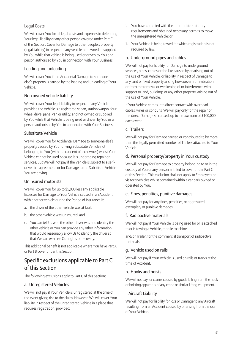# Legal Costs

We will cover You for all legal costs and expenses in defending Your legal liability or any other person covered under Part C of this Section. Cover for Damage to other people's property (legal liability) in respect of any vehicle not owned or supplied by You while that vehicle is being used or driven by You or a person authorised by You in connection with Your Business.

## Loading and unloading

We will cover You if the Accidental Damage to someone else's property is caused by the loading and unloading of Your Vehicle.

## Non owned vehicle liability

We will cover Your legal liability in respect of any Vehicle provided the Vehicle is a registered sedan, station wagon, four wheel drive, panel van or utility, and not owned or supplied by You while that Vehicle is being used or driven by You or a person authorised by You in connection with Your Business.

## Substitute Vehicle

We will cover You for Accidental Damage to someone else's property caused by Your driving Substitute Vehicle not belonging to You (with the consent of the owner) whilst Your Vehicle cannot be used because it is undergoing repair or services. But We will not pay if the Vehicle is subject to a selfdrive hire agreement, or for Damage to the Substitute Vehicle You are driving.

## Uninsured motorists

We will cover You for up to \$5,000 less any applicable Excesses for Damage to Your Vehicle caused in an Accident with another vehicle during the Period of Insurance if:

- a. the driver of the other vehicle was at fault;
- b. the other vehicle was uninsured; and
- c. You can tell Us who the other driver was and identify the other vehicle or You can provide any other information that would reasonably allow Us to identify the driver so that We can exercise Our rights of recovery.

This additional benefit is not applicable where You have Part A or Part B cover under this Section.

# Specific exclusions applicable to Part C of this Section

The following exclusions apply to Part C of this Section:

## a. Unregistered Vehicles

We will not pay if Your Vehicle is unregistered at the time of the event giving rise to the claim. However, We will cover Your liability in respect of the unregistered Vehicle in a place that requires registration, provided:

- i. You have complied with the appropriate statutory requirements and obtained necessary permits to move the unregistered Vehicle; or
- ii. Your Vehicle is being towed for which registration is not required by law.

## b. Underground pipes and cables

We will not pay for liability for Damage to underground services, pipes, cables or the like caused by or arising out of the use of Your Vehicle, or liability in respect of Damage to any land or fixed property arising howsoever from vibration or from the removal or weakening of or interference with support to land, buildings or any other property, arising out of the use of Your Vehicle.

If Your Vehicle comes into direct contact with overhead cables, wires or conduits, We will pay only for the repair of the direct Damage so caused, up to a maximum of \$100,000 each event.

## c. Trailers

We will not pay for Damage caused or contributed to by more than the legally permitted number of Trailers attached to Your Vehicle.

# d. Personal property/property in Your custody

We will not pay for Damage to property belonging to or in the custody of You or any person entitled to cover under Part C of this Section. This exclusion shall not apply to Employees or visitor's vehicles whilst contained within a car park owned or operated by You.

## e. Fines, penalties, punitive damages

We will not pay for any fines, penalties, or aggravated, exemplary or punitive damages.

## f. Radioactive materials

We will not pay if Your Vehicle is being used for or is attached to or is towing a Vehicle, mobile machine

and/or Trailer, for the commercial transport of radioactive materials.

## g. Vehicle used on rails

We will not pay if Your Vehicle is used on rails or tracks at the time of Accident.

## h. Hooks and hoists

We will not pay for claims caused by goods falling from the hook or hoisting apparatus of any crane or similar lifting equipment.

## i. Aircraft Liability

We will not pay for liability for loss or Damage to any Aircraft resulting from an Accident caused by or arising from the use of Your Vehicle.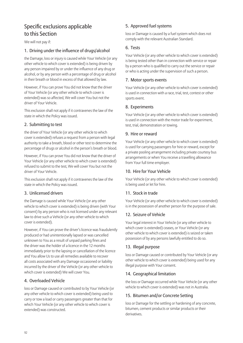# Specific exclusions applicable to this Section

We will not pay if:

# 1. Driving under the influence of drugs/alcohol

the Damage, loss or injury is caused while Your Vehicle (or any other vehicle to which cover is extended) is being driven by any person impaired by or under the influence of any drug or alcohol, or by any person with a percentage of drug or alcohol in their breath or blood in excess of that allowed by law.

However, if You can prove You did not know that the driver of Your Vehicle (or any other vehicle to which cover is extended) was so affected, We will cover You but not the driver of Your Vehicle.

This exclusion shall not apply if it contravenes the law of the state in which the Policy was issued.

# 2. Submitting to test

the driver of Your Vehicle (or any other vehicle to which cover is extended) refuses a request from a person with legal authority to take a breath, blood or other test to determine the percentage of drugs or alcohol in the person's breath or blood.

However, if You can prove You did not know that the driver of Your Vehicle (or any other vehicle to which cover is extended) refused to submit to the test, We will cover You but not the driver of Your Vehicle.

This exclusion shall not apply if it contravenes the law of the state in which the Policy was issued.

# 3. Unlicensed drivers

the Damage is caused while Your Vehicle (or any other vehicle to which cover is extended) is being driven (with Your consent) by any person who is not licensed under any relevant law to drive such a Vehicle (or any other vehicle to which cover is extended).

However, if You can prove the driver's licence was fraudulently produced or had unintentionally lapsed or was cancelled unknown to You as a result of unpaid parking fines and the driver was the holder of a licence in the 12 months immediately prior to the lapsing or cancellation of the licence and You allow Us to use all remedies available to recover all costs associated with any Damage occasioned or liability incurred by the driver of the Vehicle (or any other vehicle to which cover is extended) We will cover You.

# 4. Overloaded Vehicle

loss or Damage caused or contributed to by Your Vehicle (or any other vehicle to which cover is extended) being used to carry or tow a load or carry passengers greater than that for which Your Vehicle (or any other vehicle to which cover is extended) was constructed.

# 5. Approved fuel systems

loss or Damage is caused by a fuel system which does not comply with the relevant Australian Standard.

## 6. Tests

Your Vehicle (or any other vehicle to which cover is extended) is being tested other than in connection with service or repair by a person who is qualified to carry out the service or repair or who is acting under the supervision of such a person.

## 7. Motor sports events

Your Vehicle (or any other vehicle to which cover is extended) is used in connection with a race, trial, test, contest or other sports event.

## 8. Experiments

Your Vehicle (or any other vehicle to which cover is extended) is used in connection with the motor trade for experiment, test, trial, demonstration or towing.

## 9. Hire or reward

Your Vehicle (or any other vehicle to which cover is extended) is used for carrying passengers for hire or reward, except for a private pooling arrangement including private courtesy bus arrangements or when You receive a travelling allowance from Your full time employer.

## 10. Hire for Your Vehicle

Your Vehicle (or any other vehicle to which cover is extended) is being used or let for hire.

# 11. Stock in trade

Your Vehicle (or any other vehicle to which cover is extended) is in the possession of another person for the purpose of sale.

## 12. Seizure of Vehicle

Your legal interest in Your Vehicle (or any other vehicle to which cover is extended) ceases, or Your Vehicle (or any other vehicle to which cover is extended) is seized or taken possession of by any persons lawfully entitled to do so.

# 13. Illegal purpose

loss or Damage caused or contributed by Your Vehicle (or any other vehicle to which cover is extended) being used for any illegal purpose with Your consent.

# 14. Geographical limitation

the loss or Damage occurred while Your Vehicle (or any other vehicle to which cover is extended) was not in Australia.

# 15. Bitumen and/or Concrete Setting

loss or Damage for the settling or hardening of any concrete, bitumen, cement products or similar products or their derivatives.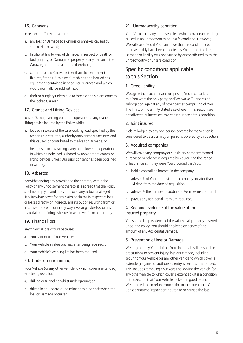# 16. Caravans

in respect of Caravans where:

- a. any loss or Damage to awnings or annexes caused by storm, Hail or wind;
- b. liability at law by way of damages in respect of death or bodily injury, or Damage to property of any person in the Caravan, or entering alighting therefrom;
- c. contents of the Caravan other than the permanent fixtures, fittings, furniture, furnishings and bottled gas equipment contained in or on Your Caravan and which would normally be sold with it; or
- d. theft or burglary unless due to forcible and violent entry to the locked Caravan.

## 17. Cranes and Lifting Devices

loss or Damage arising out of the operation of any crane or lifting device insured by the Policy whilst:

- a. loaded in excess of the safe working load specified by the responsible statutory authority and/or manufacturers and this caused or contributed to the loss or Damage; or
- b. being used in any raising, carrying or lowering operation in which a single load is shared by two or more cranes or lifting devices unless Our prior consent has been obtained in writing.

#### 18. Asbestos

notwithstanding any provision to the contrary within the Policy or any Endorsement thereto, it is agreed that the Policy shall not apply to and does not cover any actual or alleged liability whatsoever for any claim or claims in respect of loss or losses directly or indirectly arising out of, resulting from or in consequence of, or in any way involving asbestos, or any materials containing asbestos in whatever form or quantity.

#### 19. Financial loss

any financial loss occurs because:

- a. You cannot use Your Vehicle;
- b. Your Vehicle's value was less after being repaired; or
- c. Your Vehicle's working life has been reduced.

## 20. Underground mining

Your Vehicle (or any other vehicle to which cover is extended) was being used for:

- a. drilling or tunneling whilst underground; or
- b. driven in an underground mine or mining shaft when the loss or Damage occurred.

# 21. Unroadworthy condition

Your Vehicle (or any other vehicle to which cover is extended) is used in an unroadworthy or unsafe condition. However, We will cover You if You can prove that the condition could not reasonably have been detected by You or that the loss, Damage or liability was not caused by or contributed to by the unroadworthy or unsafe condition.

# Specific conditions applicable to this Section

## 1. Cross liability

We agree that each person comprising You is considered as if You were the only party, and We waive Our rights of subrogation against any of other parties comprising of You. The limits of indemnity stated elsewhere in this Section are not affected or increased as a consequence of this condition.

#### 2. Joint insured

A claim lodged by any one person covered by the Section is considered to be a claim by all persons covered by this Section.

#### 3. Acquired companies

We will cover any company or subsidiary company formed, purchased or otherwise acquired by You during the Period of Insurance as if they were You provided that You:

- a. hold a controlling interest in the company;
- b. advise Us of Your interest in the company no later than 14 days from the date of acquisition;
- c. advise Us the number of additional Vehicles insured; and
- d. pay Us any additional Premium required.

## 4. Keeping evidence of the value of the insured property

You should keep evidence of the value of all property covered under the Policy. You should also keep evidence of the amount of any Accidental Damage.

## 5. Prevention of loss or Damage

We may not pay Your claim if You do not take all reasonable precautions to prevent injury, loss or Damage, including securing Your Vehicle (or any other vehicle to which cover is extended) against unauthorised entry when it is unattended. This includes removing Your keys and locking the Vehicle (or any other vehicle to which cover is extended). It is a condition of this Section that Your Vehicle be kept in good repair. We may reduce or refuse Your claim to the extent that Your Vehicle's state of repair contributed to or caused the loss.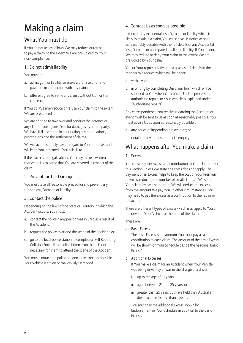# Making a claim

# What You must do

If You do not act as follows We may reduce or refuse to pay a claim, to the extent We are prejudiced by Your non-compliance:

# 1. Do not admit liability

You must not:

- a. admit guilt or liability, or make a promise or offer of payment in connection with any claim; or
- b. offer or agree to settle any claim, without Our written consent.

If You do, We may reduce or refuse Your claim to the extent We are prejudiced.

We are entitled to take over and conduct the defence of any claim made against You for damages by a third party. We have full discretion in conducting any negotiations, proceedings and the settlement of claims.

We will act reasonably having regard to Your interests, and will keep You informed if You ask Us to

If the claim is for legal liability, You may make a written request to Us to agree that You are covered in respect of the claim.

# 2. Prevent further Damage

You must take all reasonable precautions to prevent any further loss, Damage or liability.

# 3. Contact the police

Depending on the laws of the State or Territory in which the Accident occurs, You must:

- a. contact the police if any person was injured as a result of the Accident;
- b. request the police to attend the scene of the Accident; or
- c. go to the local police station to complete a 'Self Reporting Collision Form' if the police inform You that it is not necessary for them to attend the scene of the Accident.

You must contact the police as soon as reasonably possible if Your Vehicle is stolen or maliciously Damaged.

# 4. Contact Us as soon as possible

If there is any Accidental loss, Damage or liability which is likely to result in a claim, You must give Us notice as soon as reasonably possible with the full details of any Accidental loss, Damage or anticipated or alleged liability. If You do not, We may reduce or deny Your claim to the extent We are prejudiced by Your delay.

You or Your representative must give Us full details in the manner We request which will be either:

- a. verbally; or
- b. in writing by completing Our claim form which will be supplied to You when You contact Us The process for authorising repairs to Your Vehicle is explained under "Authorising repairs".

Any correspondence You receive regarding the Accident or event must be sent to Us as soon as reasonably possible. You must advise Us as soon as reasonably possible of:

- a. any notice of impending prosecution; or
- b. details of any inquest or official enquiry.

# What happens after You make a claim

## 1. Excess

You must pay the Excess as a contribution to Your claim under this Section unless We state an Excess does not apply. The payment of an Excess helps to keep the cost of Your Premium down by reducing the number of small claims. If We settle Your claim by cash settlement We will deduct the excess from the amount We pay You. In other circumstances, You may need to pay the excess as a contribution to the repair or replacement.

There are different types of Excess which may apply to You or the driver of Your Vehicle at the time of the claim.

These are:

## a. Basic Excess

 The basic Excess is the amount You must pay as a contribution to each claim. The amount of the basic Excess will be shown on Your Schedule beside the heading "Basic Excess".

## b. Additional Excesses

 If You make a claim for an Accident when Your Vehicle was being driven by or was in the charge of a driver:

- i. up to the age of 21 years;
- ii. aged between 21 and 25 years; or
- iii. greater than 25 years but have held their Australian driver licence for less than 2 years,

 You must pay the additional Excess shown by Endorsement in Your Schedule in addition to the basic Excess.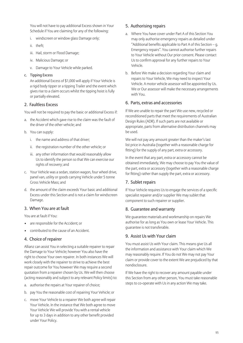You will not have to pay additional Excess shown in Your Schedule if You are claiming for any of the following:

- i. windscreen or window glass Damage only;
- ii. theft;
- iii. Hail, storm or Flood Damage;
- iv. Malicious Damage; or
- v. Damage to Your Vehicle while parked.

#### c. Tipping Excess

 An additional Excess of \$1,000 will apply if Your Vehicle is a rigid body tipper or a tipping Trailer and the event which gives rise to a claim occurs whilst the tipping hoist is fully or partially elevated.

## 2. Faultless Excess

You will not be required to pay the basic or additional Excess if:

- a. the Accident which gave rise to the claim was the fault of the driver of the other vehicle; and
- b. You can supply:
	- i. the name and address of that driver;
	- ii. the registration number of the other vehicle; or
	- iii. any other information that would reasonably allow Us to identify the person so that We can exercise our rights of recovery; and
- c. Your Vehicle was a sedan, station wagon, four wheel drive, panel van, utility or goods carrying Vehicle under 5 tonne Gross Vehicle Mass; and
- d. the amount of the claim exceeds Your basic and additional Excess under this Section and is not a claim for windscreen Damage.

## 3. When You are at fault

You are at fault if You:

- are responsible for the Accident; or
- contributed to the cause of an Accident.

#### 4. Choice of repairer

Allianz can assist You in selecting a suitable repairer to repair the Damage to Your Vehicle; however You also have the right to choose Your own repairer. In both instances We will work closely with the repairer to strive to achieve the best repair outcome for You however We may require a second quotation from a repairer chosen by Us. We will then choose (acting reasonably and subject to any relevant Policy limits) to:

- a. authorise the repairs at Your repairer of choice;
- b. pay You the reasonable cost of repairing Your Vehicle; or
- c. move Your Vehicle to a repairer We both agree will repair Your Vehicle. In the instance that We both agree to move Your Vehicle We will provide You with a rental vehicle for up to 3 days in addition to any other benefit provided under Your Policy.

## 5. Authorising repairs

- a. Where You have cover under Part A of this Section You may only authorise emergency repairs as detailed under "Additional benefits applicable to Part A of this Section  $-q$ . Emergency repairs". You cannot authorise further repairs to Your Vehicle without Our prior consent. Please contact Us to confirm approval for any further repairs to Your Vehicle.
- b. Before We make a decision regarding Your claim and repairs to Your Vehicle, We may need to inspect Your Vehicle. A motor vehicle assessor will be appointed by Us. We or Our assessor will make the necessary arrangements with You.

#### 6. Parts, extras and accessories

If We are unable to repair the part We use new, recycled or reconditioned parts that meet the requirements of Australian Design Rules (ADR). If such parts are not available or appropriate, parts from alternative distribution channels may be used.

We will not pay any amount greater than the maker's last list price in Australia (together with a reasonable charge for fitting) for the supply of any part, extra or accessory.

In the event that any part, extra or accessory cannot be obtained immediately, We may choose to pay You the value of the part, extra or accessory (together with a reasonable charge for fitting) rather than supply the part, extra or accessory.

## 7. Sublet repairs

If Your Vehicle requires Us to engage the services of a specific specialist repairer and/or supplier We may sublet that component to such repairer or supplier.

#### 8. Guarantee and warranty

We guarantee materials and workmanship on repairs We authorise for as long as You own or lease Your Vehicle. This guarantee is not transferable.

#### 9. Assist Us with Your claim

You must assist Us with Your claim. This means give Us all the information and assistance with Your claim which We may reasonably require. If You do not We may not pay Your claim or provide cover to the extent We are prejudiced by that nondisclosure.

If We have the right to recover any amount payable under this Section from any other person, You must take reasonable steps to co-operate with Us in any action We may take.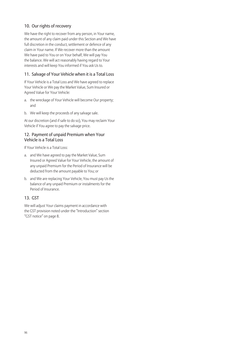# 10. Our rights of recovery

We have the right to recover from any person, in Your name, the amount of any claim paid under this Section and We have full discretion in the conduct, settlement or defence of any claim in Your name. If We recover more than the amount We have paid to You or on Your behalf, We will pay You the balance. We will act reasonably having regard to Your interests and will keep You informed if You ask Us to.

## 11. Salvage of Your Vehicle when it is a Total Loss

If Your Vehicle is a Total Loss and We have agreed to replace Your Vehicle or We pay the Market Value, Sum Insured or Agreed Value for Your Vehicle:

- a. the wreckage of Your Vehicle will become Our property; and
- b. We will keep the proceeds of any salvage sale.

At our discretion (and if safe to do so), You may reclaim Your Vehicle if You agree to pay the salvage price.

## 12. Payment of unpaid Premium when Your Vehicle is a Total Loss

If Your Vehicle is a Total Loss:

- a. and We have agreed to pay the Market Value, Sum Insured or Agreed Value for Your Vehicle, the amount of any unpaid Premium for the Period of Insurance will be deducted from the amount payable to You; or
- b. and We are replacing Your Vehicle, You must pay Us the balance of any unpaid Premium or instalments for the Period of Insurance.

## 13. GST

We will adjust Your claims payment in accordance with the GST provision noted under the "Introduction" section "GST notice" on page 8.